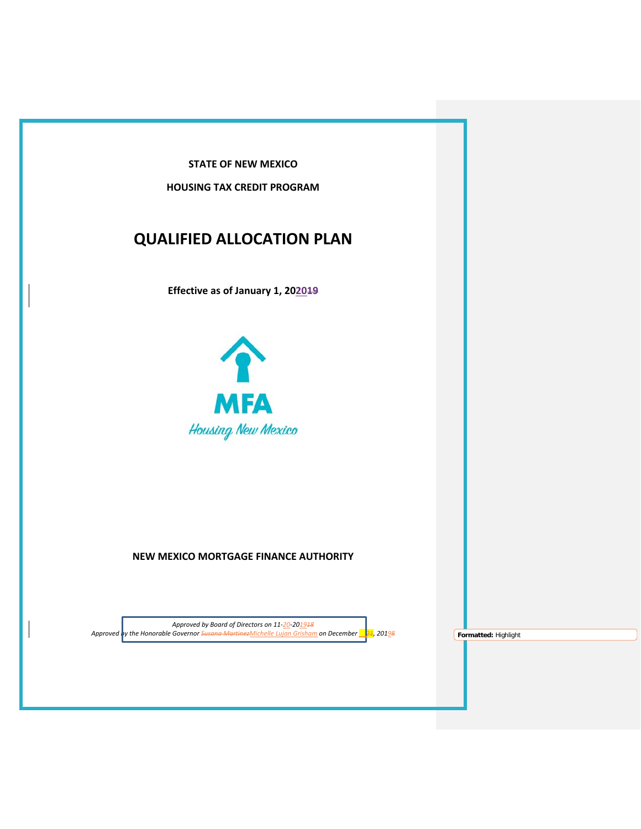**STATE OF NEW MEXICO**

**HOUSING TAX CREDIT PROGRAM**

# **QUALIFIED ALLOCATION PLAN**

**Effective as of January 1, 202019**



# **NEW MEXICO MORTGAGE FINANCE AUTHORITY**

*Approved by Board of Directors on 11-20-201918 Approved by the Honorable Governor Susana MartinezMichelle Lujan Grisham on December \_\_21, 20198* **Formatted:** Highlight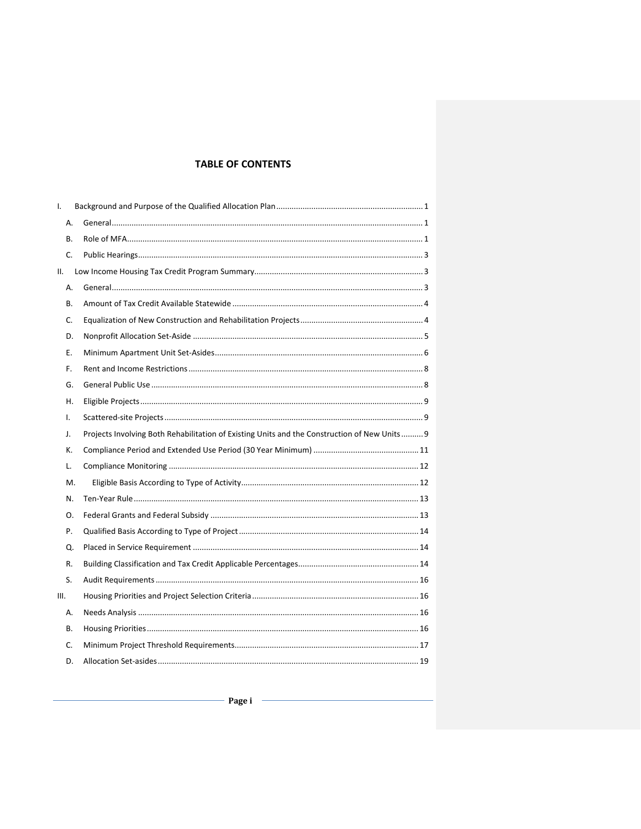# **TABLE OF CONTENTS**

| I.   |    |                                                                                              |  |
|------|----|----------------------------------------------------------------------------------------------|--|
|      | А. |                                                                                              |  |
|      | В. |                                                                                              |  |
|      | C. |                                                                                              |  |
| ΙΙ.  |    |                                                                                              |  |
|      | А. |                                                                                              |  |
|      | В. |                                                                                              |  |
|      | C. |                                                                                              |  |
|      | D. |                                                                                              |  |
|      | Е. |                                                                                              |  |
|      | F. |                                                                                              |  |
|      | G. |                                                                                              |  |
|      | Н. |                                                                                              |  |
| I.   |    |                                                                                              |  |
| J.   |    | Projects Involving Both Rehabilitation of Existing Units and the Construction of New Units 9 |  |
|      | К. |                                                                                              |  |
|      | L. |                                                                                              |  |
|      | Μ. |                                                                                              |  |
|      | N. |                                                                                              |  |
|      | Ο. |                                                                                              |  |
|      | P. |                                                                                              |  |
|      | Q. |                                                                                              |  |
|      | R. |                                                                                              |  |
|      | S. |                                                                                              |  |
| III. |    |                                                                                              |  |
|      | А. |                                                                                              |  |
|      | В. |                                                                                              |  |
|      | C. |                                                                                              |  |
|      | D. |                                                                                              |  |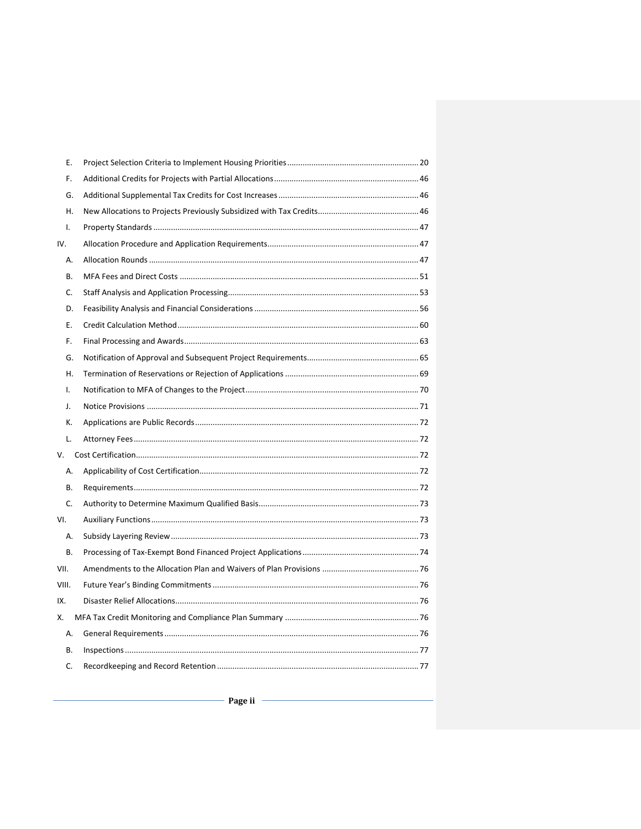|     | Е.    |  |
|-----|-------|--|
|     | F.    |  |
|     | G.    |  |
|     | Η.    |  |
|     | I.    |  |
| IV. |       |  |
|     | А.    |  |
|     | В.    |  |
|     | C.    |  |
|     | D.    |  |
|     | Е.    |  |
|     | F.    |  |
|     | G.    |  |
|     | Η.    |  |
|     | I.    |  |
|     | J.    |  |
|     | К.    |  |
|     | L.    |  |
|     | V.    |  |
|     | А.    |  |
|     | В.    |  |
|     | C.    |  |
| VI. |       |  |
|     | А.    |  |
|     | В.    |  |
|     | VII.  |  |
|     | VIII. |  |
| IX. |       |  |
| Х.  |       |  |
|     | Α.    |  |
|     | В.    |  |
|     | C.    |  |
|     |       |  |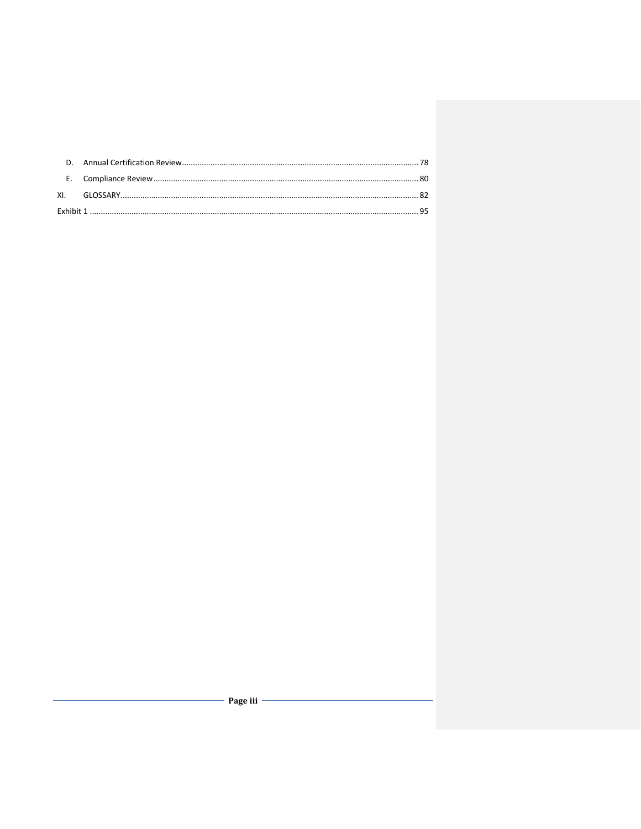- Page iii -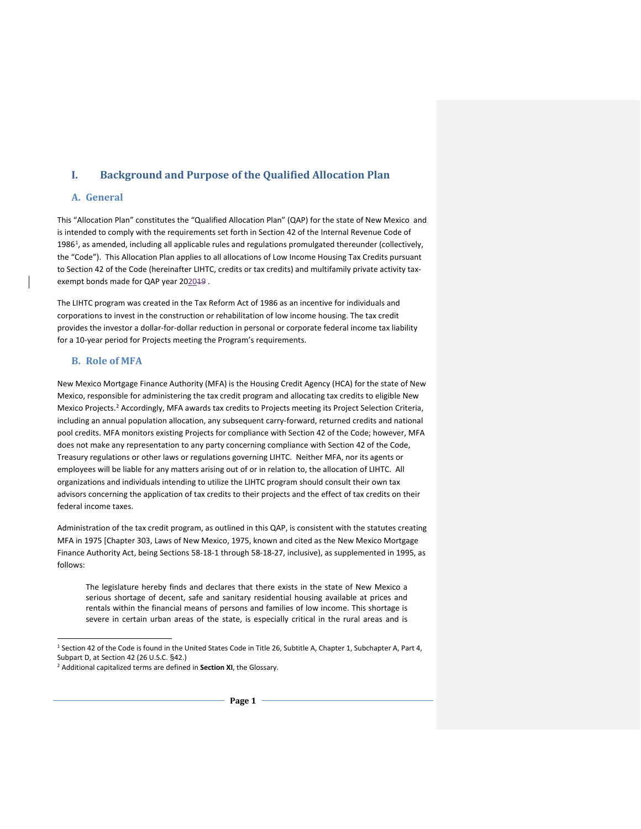# <span id="page-4-0"></span>**I. Background and Purpose of the Qualified Allocation Plan**

#### <span id="page-4-1"></span>**A. General**

This "Allocation Plan" constitutes the "Qualified Allocation Plan" (QAP) for the state of New Mexico and is intended to comply with the requirements set forth in Section 42 of the Internal Revenue Code of [1](#page-4-3)986<sup>1</sup>, as amended, including all applicable rules and regulations promulgated thereunder (collectively, the "Code"). This Allocation Plan applies to all allocations of Low Income Housing Tax Credits pursuant to Section 42 of the Code (hereinafter LIHTC, credits or tax credits) and multifamily private activity taxexempt bonds made for QAP year 202019.

The LIHTC program was created in the Tax Reform Act of 1986 as an incentive for individuals and corporations to invest in the construction or rehabilitation of low income housing. The tax credit provides the investor a dollar-for-dollar reduction in personal or corporate federal income tax liability for a 10-year period for Projects meeting the Program's requirements.

#### <span id="page-4-2"></span>**B. Role of MFA**

New Mexico Mortgage Finance Authority (MFA) is the Housing Credit Agency (HCA) for the state of New Mexico, responsible for administering the tax credit program and allocating tax credits to eligible New Mexico Projects.<sup>[2](#page-4-4)</sup> Accordingly, MFA awards tax credits to Projects meeting its Project Selection Criteria, including an annual population allocation, any subsequent carry-forward, returned credits and national pool credits. MFA monitors existing Projects for compliance with Section 42 of the Code; however, MFA does not make any representation to any party concerning compliance with Section 42 of the Code, Treasury regulations or other laws or regulations governing LIHTC. Neither MFA, nor its agents or employees will be liable for any matters arising out of or in relation to, the allocation of LIHTC. All organizations and individuals intending to utilize the LIHTC program should consult their own tax advisors concerning the application of tax credits to their projects and the effect of tax credits on their federal income taxes.

Administration of the tax credit program, as outlined in this QAP, is consistent with the statutes creating MFA in 1975 [Chapter 303, Laws of New Mexico, 1975, known and cited as the New Mexico Mortgage Finance Authority Act, being Sections 58-18-1 through 58-18-27, inclusive), as supplemented in 1995, as follows:

The legislature hereby finds and declares that there exists in the state of New Mexico a serious shortage of decent, safe and sanitary residential housing available at prices and rentals within the financial means of persons and families of low income. This shortage is severe in certain urban areas of the state, is especially critical in the rural areas and is

 <sup>1</sup> Section 42 of the Code is found in the United States Code in Title 26, Subtitle A, Chapter 1, Subchapter A, Part 4, Subpart D, at Section 42 (26 U.S.C. §42.)

<span id="page-4-4"></span><span id="page-4-3"></span><sup>2</sup> Additional capitalized terms are defined in **Section XI**, the Glossary.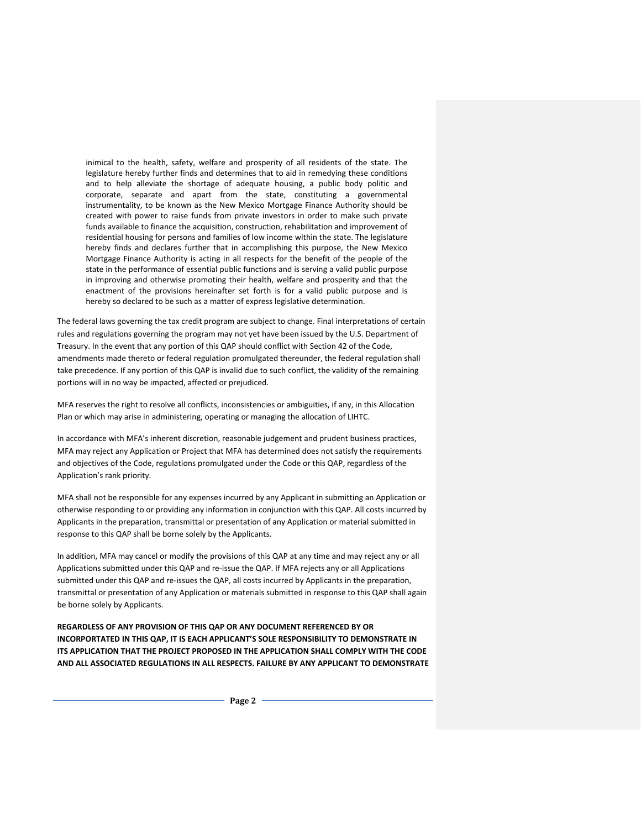inimical to the health, safety, welfare and prosperity of all residents of the state. The legislature hereby further finds and determines that to aid in remedying these conditions and to help alleviate the shortage of adequate housing, a public body politic and corporate, separate and apart from the state, constituting a governmental instrumentality, to be known as the New Mexico Mortgage Finance Authority should be created with power to raise funds from private investors in order to make such private funds available to finance the acquisition, construction, rehabilitation and improvement of residential housing for persons and families of low income within the state. The legislature hereby finds and declares further that in accomplishing this purpose, the New Mexico Mortgage Finance Authority is acting in all respects for the benefit of the people of the state in the performance of essential public functions and is serving a valid public purpose in improving and otherwise promoting their health, welfare and prosperity and that the enactment of the provisions hereinafter set forth is for a valid public purpose and is hereby so declared to be such as a matter of express legislative determination.

The federal laws governing the tax credit program are subject to change. Final interpretations of certain rules and regulations governing the program may not yet have been issued by the U.S. Department of Treasury. In the event that any portion of this QAP should conflict with Section 42 of the Code, amendments made thereto or federal regulation promulgated thereunder, the federal regulation shall take precedence. If any portion of this QAP is invalid due to such conflict, the validity of the remaining portions will in no way be impacted, affected or prejudiced.

MFA reserves the right to resolve all conflicts, inconsistencies or ambiguities, if any, in this Allocation Plan or which may arise in administering, operating or managing the allocation of LIHTC.

In accordance with MFA's inherent discretion, reasonable judgement and prudent business practices, MFA may reject any Application or Project that MFA has determined does not satisfy the requirements and objectives of the Code, regulations promulgated under the Code or this QAP, regardless of the Application's rank priority.

MFA shall not be responsible for any expenses incurred by any Applicant in submitting an Application or otherwise responding to or providing any information in conjunction with this QAP. All costs incurred by Applicants in the preparation, transmittal or presentation of any Application or material submitted in response to this QAP shall be borne solely by the Applicants.

In addition, MFA may cancel or modify the provisions of this QAP at any time and may reject any or all Applications submitted under this QAP and re-issue the QAP. If MFA rejects any or all Applications submitted under this QAP and re-issues the QAP, all costs incurred by Applicants in the preparation, transmittal or presentation of any Application or materials submitted in response to this QAP shall again be borne solely by Applicants.

**REGARDLESS OF ANY PROVISION OF THIS QAP OR ANY DOCUMENT REFERENCED BY OR INCORPORTATED IN THIS QAP, IT IS EACH APPLICANT'S SOLE RESPONSIBILITY TO DEMONSTRATE IN ITS APPLICATION THAT THE PROJECT PROPOSED IN THE APPLICATION SHALL COMPLY WITH THE CODE AND ALL ASSOCIATED REGULATIONS IN ALL RESPECTS. FAILURE BY ANY APPLICANT TO DEMONSTRATE**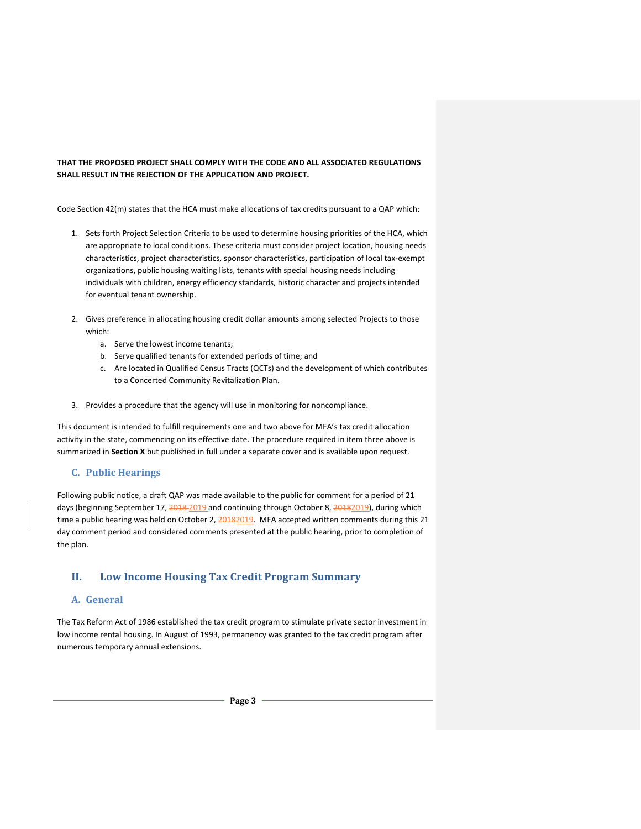#### **THAT THE PROPOSED PROJECT SHALL COMPLY WITH THE CODE AND ALL ASSOCIATED REGULATIONS SHALL RESULT IN THE REJECTION OF THE APPLICATION AND PROJECT.**

Code Section 42(m) states that the HCA must make allocations of tax credits pursuant to a QAP which:

- 1. Sets forth Project Selection Criteria to be used to determine housing priorities of the HCA, which are appropriate to local conditions. These criteria must consider project location, housing needs characteristics, project characteristics, sponsor characteristics, participation of local tax-exempt organizations, public housing waiting lists, tenants with special housing needs including individuals with children, energy efficiency standards, historic character and projects intended for eventual tenant ownership.
- 2. Gives preference in allocating housing credit dollar amounts among selected Projects to those which:
	- a. Serve the lowest income tenants;
	- b. Serve qualified tenants for extended periods of time; and
	- c. Are located in Qualified Census Tracts (QCTs) and the development of which contributes to a Concerted Community Revitalization Plan.
- 3. Provides a procedure that the agency will use in monitoring for noncompliance.

This document is intended to fulfill requirements one and two above for MFA's tax credit allocation activity in the state, commencing on its effective date. The procedure required in item three above is summarized in **Section X** but published in full under a separate cover and is available upon request.

#### <span id="page-6-0"></span>**C. Public Hearings**

Following public notice, a draft QAP was made available to the public for comment for a period of 21 days (beginning September 17, 2018-2019 and continuing through October 8, 20182019), during which time a public hearing was held on October 2, 20182019. MFA accepted written comments during this 21 day comment period and considered comments presented at the public hearing, prior to completion of the plan.

# <span id="page-6-1"></span>**II. Low Income Housing Tax Credit Program Summary**

#### <span id="page-6-2"></span>**A. General**

The Tax Reform Act of 1986 established the tax credit program to stimulate private sector investment in low income rental housing. In August of 1993, permanency was granted to the tax credit program after numerous temporary annual extensions.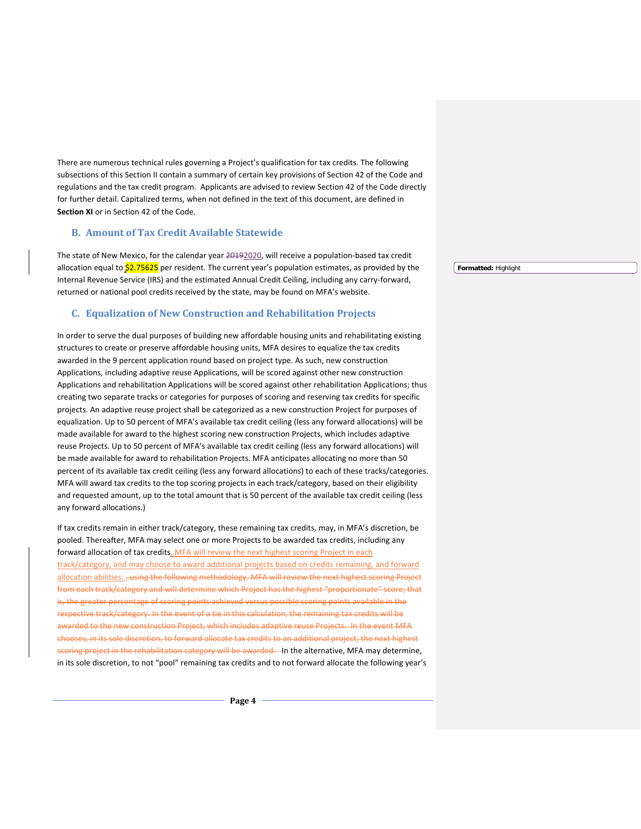There are numerous technical rules governing a Project's qualification for tax credits. The following subsections of this Section II contain a summary of certain key provisions of Section 42 of the Code and regulations and the tax credit program. Applicants are advised to review Section 42 of the Code directly for further detail. Capitalized terms, when not defined in the text of this document, are defined in **Section XI** or in Section 42 of the Code.

#### <span id="page-7-0"></span>**B. Amount of Tax Credit Available Statewide**

The state of New Mexico, for the calendar year 20192020, will receive a population-based tax credit allocation equal to \$2.75625 per resident. The current year's population estimates, as provided by the Internal Revenue Service (IRS) and the estimated Annual Credit Ceiling, including any carry-forward, returned or national pool credits received by the state, may be found on MFA's website.

#### <span id="page-7-1"></span>**C. Equalization of New Construction and Rehabilitation Projects**

In order to serve the dual purposes of building new affordable housing units and rehabilitating existing structures to create or preserve affordable housing units, MFA desires to equalize the tax credits awarded in the 9 percent application round based on project type. As such, new construction Applications, including adaptive reuse Applications, will be scored against other new construction Applications and rehabilitation Applications will be scored against other rehabilitation Applications; thus creating two separate tracks or categories for purposes of scoring and reserving tax credits for specific projects. An adaptive reuse project shall be categorized as a new construction Project for purposes of equalization. Up to 50 percent of MFA's available tax credit ceiling (less any forward allocations) will be made available for award to the highest scoring new construction Projects, which includes adaptive reuse Projects. Up to 50 percent of MFA's available tax credit ceiling (less any forward allocations) will be made available for award to rehabilitation Projects. MFA anticipates allocating no more than 50 percent of its available tax credit ceiling (less any forward allocations) to each of these tracks/categories. MFA will award tax credits to the top scoring projects in each track/category, based on their eligibility and requested amount, up to the total amount that is 50 percent of the available tax credit ceiling (less any forward allocations.)

If tax credits remain in either track/category, these remaining tax credits, may, in MFA's discretion, be pooled. Thereafter, MFA may select one or more Projects to be awarded tax credits, including any forward allocation of tax credits. MFA will review the next highest scoring Project in each track/category, and may choose to award additional projects based on credits remaining, and forward allocation abilities. , using the following methodology. MFA will review the next highest scoring Project from each track/category and will determine which Project has the highest "proportionate" score; that is, the greater percentage of scoring points achieved versus possible scoring points available in the respective track/category. In the event of a tie in this calculation, the remaining tax credits will be awarded to the new construction Project, which includes adaptive reuse Projects. In the event MFA chooses, in its sole discretion, to forward allocate tax credits to an additional project, the next highest scoring project in the rehabilitation category will be awarded. In the alternative, MFA may determine, in its sole discretion, to not "pool" remaining tax credits and to not forward allocate the following year's **Formatted:** Highlight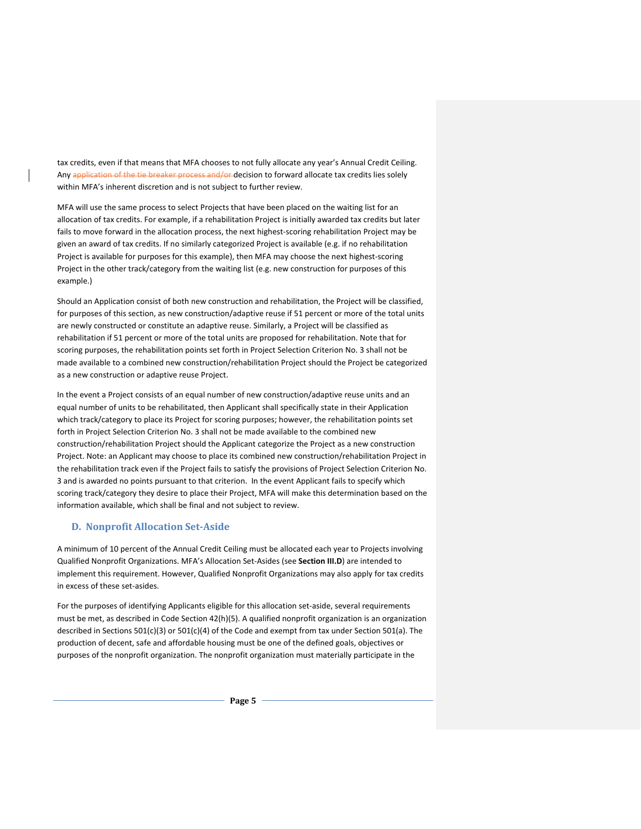tax credits, even if that means that MFA chooses to not fully allocate any year's Annual Credit Ceiling. Any application of the tie breaker process and/or decision to forward allocate tax credits lies solely within MFA's inherent discretion and is not subject to further review.

MFA will use the same process to select Projects that have been placed on the waiting list for an allocation of tax credits. For example, if a rehabilitation Project is initially awarded tax credits but later fails to move forward in the allocation process, the next highest-scoring rehabilitation Project may be given an award of tax credits. If no similarly categorized Project is available (e.g. if no rehabilitation Project is available for purposes for this example), then MFA may choose the next highest-scoring Project in the other track/category from the waiting list (e.g. new construction for purposes of this example.)

Should an Application consist of both new construction and rehabilitation, the Project will be classified, for purposes of this section, as new construction/adaptive reuse if 51 percent or more of the total units are newly constructed or constitute an adaptive reuse. Similarly, a Project will be classified as rehabilitation if 51 percent or more of the total units are proposed for rehabilitation. Note that for scoring purposes, the rehabilitation points set forth in Project Selection Criterion No. 3 shall not be made available to a combined new construction/rehabilitation Project should the Project be categorized as a new construction or adaptive reuse Project.

In the event a Project consists of an equal number of new construction/adaptive reuse units and an equal number of units to be rehabilitated, then Applicant shall specifically state in their Application which track/category to place its Project for scoring purposes; however, the rehabilitation points set forth in Project Selection Criterion No. 3 shall not be made available to the combined new construction/rehabilitation Project should the Applicant categorize the Project as a new construction Project. Note: an Applicant may choose to place its combined new construction/rehabilitation Project in the rehabilitation track even if the Project fails to satisfy the provisions of Project Selection Criterion No. 3 and is awarded no points pursuant to that criterion. In the event Applicant fails to specify which scoring track/category they desire to place their Project, MFA will make this determination based on the information available, which shall be final and not subject to review.

## <span id="page-8-0"></span>**D. Nonprofit Allocation Set-Aside**

A minimum of 10 percent of the Annual Credit Ceiling must be allocated each year to Projects involving Qualified Nonprofit Organizations. MFA's Allocation Set-Asides (see **Section III.D**) are intended to implement this requirement. However, Qualified Nonprofit Organizations may also apply for tax credits in excess of these set-asides.

For the purposes of identifying Applicants eligible for this allocation set-aside, several requirements must be met, as described in Code Section 42(h)(5). A qualified nonprofit organization is an organization described in Sections 501(c)(3) or 501(c)(4) of the Code and exempt from tax under Section 501(a). The production of decent, safe and affordable housing must be one of the defined goals, objectives or purposes of the nonprofit organization. The nonprofit organization must materially participate in the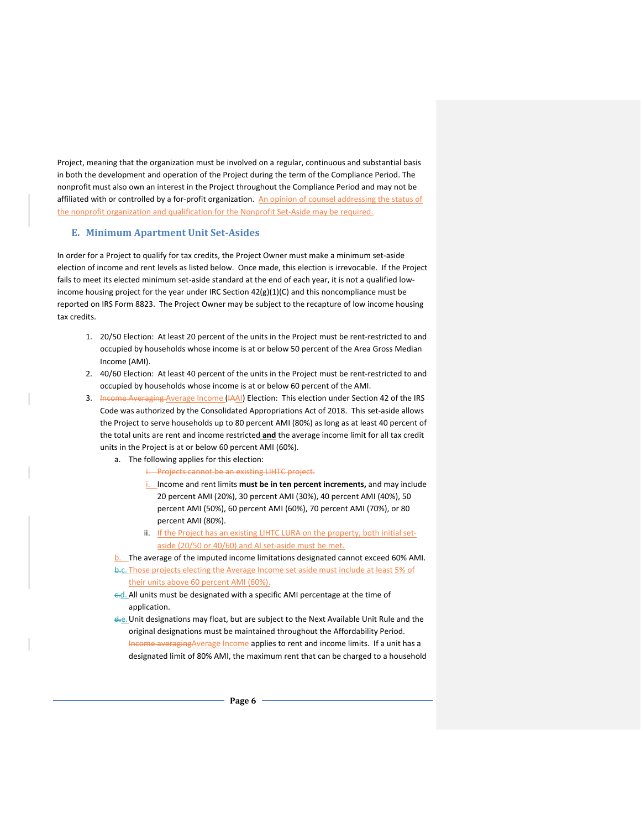Project, meaning that the organization must be involved on a regular, continuous and substantial basis in both the development and operation of the Project during the term of the Compliance Period. The nonprofit must also own an interest in the Project throughout the Compliance Period and may not be affiliated with or controlled by a for-profit organization. An opinion of counsel addressing the status of the nonprofit organization and qualification for the Nonprofit Set-Aside may be required.

## <span id="page-9-0"></span>**E. Minimum Apartment Unit Set-Asides**

In order for a Project to qualify for tax credits, the Project Owner must make a minimum set-aside election of income and rent levels as listed below. Once made, this election is irrevocable. If the Project fails to meet its elected minimum set-aside standard at the end of each year, it is not a qualified lowincome housing project for the year under IRC Section 42(g)(1)(C) and this noncompliance must be reported on IRS Form 8823. The Project Owner may be subject to the recapture of low income housing tax credits.

- 1. 20/50 Election: At least 20 percent of the units in the Project must be rent-restricted to and occupied by households whose income is at or below 50 percent of the Area Gross Median Income (AMI).
- 2. 40/60 Election: At least 40 percent of the units in the Project must be rent-restricted to and occupied by households whose income is at or below 60 percent of the AMI.
- 3. Income Averaging Average Income (IAAI) Election: This election under Section 42 of the IRS Code was authorized by the Consolidated Appropriations Act of 2018. This set-aside allows the Project to serve households up to 80 percent AMI (80%) as long as at least 40 percent of the total units are rent and income restricted **and** the average income limit for all tax credit units in the Project is at or below 60 percent AMI (60%).
	- a. The following applies for this election:
		- i. Projects cannot be an existing LIHTC project.
		- i. Income and rent limits **must be in ten percent increments,** and may include 20 percent AMI (20%), 30 percent AMI (30%), 40 percent AMI (40%), 50 percent AMI (50%), 60 percent AMI (60%), 70 percent AMI (70%), or 80 percent AMI (80%).
		- ii. If the Project has an existing LIHTC LURA on the property, both initial setaside (20/50 or 40/60) and AI set-aside must be met.
	- b. The average of the imputed income limitations designated cannot exceed 60% AMI.
	- b.c. Those projects electing the Average Income set aside must include at least 5% of their units above 60 percent AMI (60%).
	- c.d. All units must be designated with a specific AMI percentage at the time of application.
	- d.e.Unit designations may float, but are subject to the Next Available Unit Rule and the original designations must be maintained throughout the Affordability Period. Income averagingAverage Income applies to rent and income limits. If a unit has a designated limit of 80% AMI, the maximum rent that can be charged to a household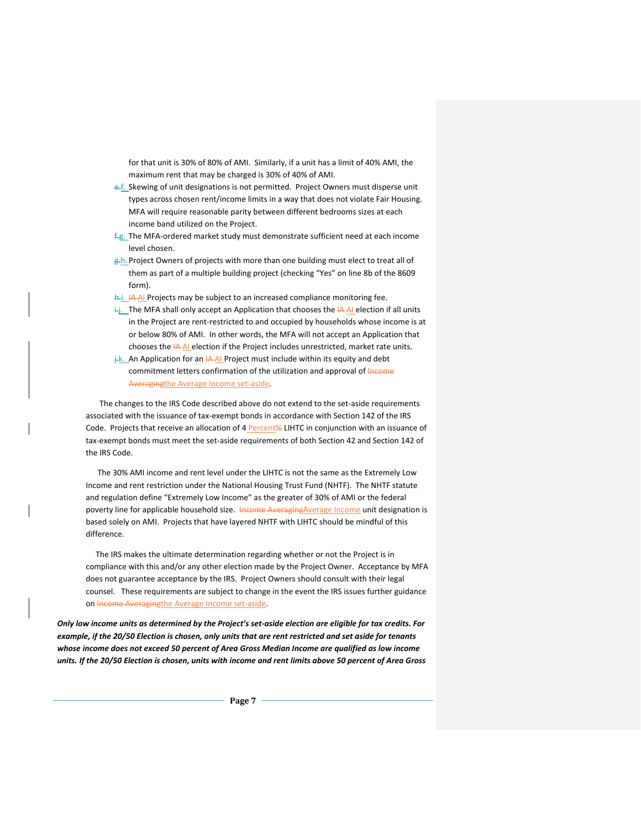for that unit is 30% of 80% of AMI. Similarly, if a unit has a limit of 40% AMI, the maximum rent that may be charged is 30% of 40% of AMI.

- e.f. Skewing of unit designations is not permitted. Project Owners must disperse unit types across chosen rent/income limits in a way that does not violate Fair Housing. MFA will require reasonable parity between different bedrooms sizes at each income band utilized on the Project.
- f.g. The MFA-ordered market study must demonstrate sufficient need at each income level chosen.
- g<sub>r</sub>h. Project Owners of projects with more than one building must elect to treat all of them as part of a multiple building project (checking "Yes" on line 8b of the 8609 form).
- h.j. IA AI Projects may be subject to an increased compliance monitoring fee.
- $\frac{1}{2}$ . The MFA shall only accept an Application that chooses the  $\frac{1}{2}$ -AI election if all units in the Project are rent-restricted to and occupied by households whose income is at or below 80% of AMI. In other words, the MFA will not accept an Application that chooses the IA AI election if the Project includes unrestricted, market rate units.
- $\frac{1}{k}$ . An Application for an  $\frac{1}{k}$  Project must include within its equity and debt commitment letters confirmation of the utilization and approval of Income Averagingthe Average Income set-aside.

 The changes to the IRS Code described above do not extend to the set-aside requirements associated with the issuance of tax-exempt bonds in accordance with Section 142 of the IRS Code. Projects that receive an allocation of 4 Percent% LIHTC in conjunction with an issuance of tax-exempt bonds must meet the set-aside requirements of both Section 42 and Section 142 of the IRS Code.

 The 30% AMI income and rent level under the LIHTC is not the same as the Extremely Low Income and rent restriction under the National Housing Trust Fund (NHTF). The NHTF statute and regulation define "Extremely Low Income" as the greater of 30% of AMI or the federal poverty line for applicable household size. Income Averaging Average Income unit designation is based solely on AMI. Projects that have layered NHTF with LIHTC should be mindful of this difference.

 The IRS makes the ultimate determination regarding whether or not the Project is in compliance with this and/or any other election made by the Project Owner. Acceptance by MFA does not guarantee acceptance by the IRS. Project Owners should consult with their legal counsel. These requirements are subject to change in the event the IRS issues further guidance on Income Averagingthe Average Income set-aside.

*Only low income units as determined by the Project's set-aside election are eligible for tax credits. For example, if the 20/50 Election is chosen, only units that are rent restricted and set aside for tenants whose income does not exceed 50 percent of Area Gross Median Income are qualified as low income units. If the 20/50 Election is chosen, units with income and rent limits above 50 percent of Area Gross*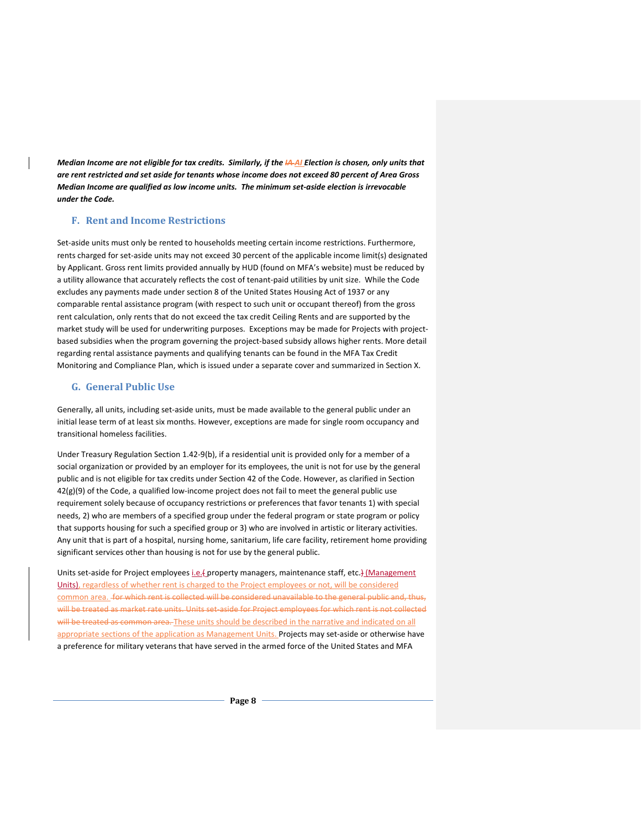*Median Income are not eligible for tax credits. Similarly, if the IA AI Election is chosen, only units that are rent restricted and set aside for tenants whose income does not exceed 80 percent of Area Gross Median Income are qualified as low income units. The minimum set-aside election is irrevocable under the Code.*

#### <span id="page-11-0"></span>**F. Rent and Income Restrictions**

Set-aside units must only be rented to households meeting certain income restrictions. Furthermore, rents charged for set-aside units may not exceed 30 percent of the applicable income limit(s) designated by Applicant. Gross rent limits provided annually by HUD (found on MFA's website) must be reduced by a utility allowance that accurately reflects the cost of tenant-paid utilities by unit size. While the Code excludes any payments made under section 8 of the United States Housing Act of 1937 or any comparable rental assistance program (with respect to such unit or occupant thereof) from the gross rent calculation, only rents that do not exceed the tax credit Ceiling Rents and are supported by the market study will be used for underwriting purposes. Exceptions may be made for Projects with projectbased subsidies when the program governing the project-based subsidy allows higher rents. More detail regarding rental assistance payments and qualifying tenants can be found in the MFA Tax Credit Monitoring and Compliance Plan, which is issued under a separate cover and summarized in Section X.

#### <span id="page-11-1"></span>**G. General Public Use**

Generally, all units, including set-aside units, must be made available to the general public under an initial lease term of at least six months. However, exceptions are made for single room occupancy and transitional homeless facilities.

Under Treasury Regulation Section 1.42-9(b), if a residential unit is provided only for a member of a social organization or provided by an employer for its employees, the unit is not for use by the general public and is not eligible for tax credits under Section 42 of the Code. However, as clarified in Section  $42(g)(9)$  of the Code, a qualified low-income project does not fail to meet the general public use requirement solely because of occupancy restrictions or preferences that favor tenants 1) with special needs, 2) who are members of a specified group under the federal program or state program or policy that supports housing for such a specified group or 3) who are involved in artistic or literary activities. Any unit that is part of a hospital, nursing home, sanitarium, life care facility, retirement home providing significant services other than housing is not for use by the general public.

Units set-aside for Project employees *i.e.*(property managers, maintenance staff, etc.) (Management Units), regardless of whether rent is charged to the Project employees or not, will be considered common area. for which rent is collected will be considered unavailable to the general public and, thus, will be treated as market rate units. Units set-aside for Project employees for which rent is not collected will be treated as common area. These units should be described in the narrative and indicated on all appropriate sections of the application as Management Units. Projects may set-aside or otherwise have a preference for military veterans that have served in the armed force of the United States and MFA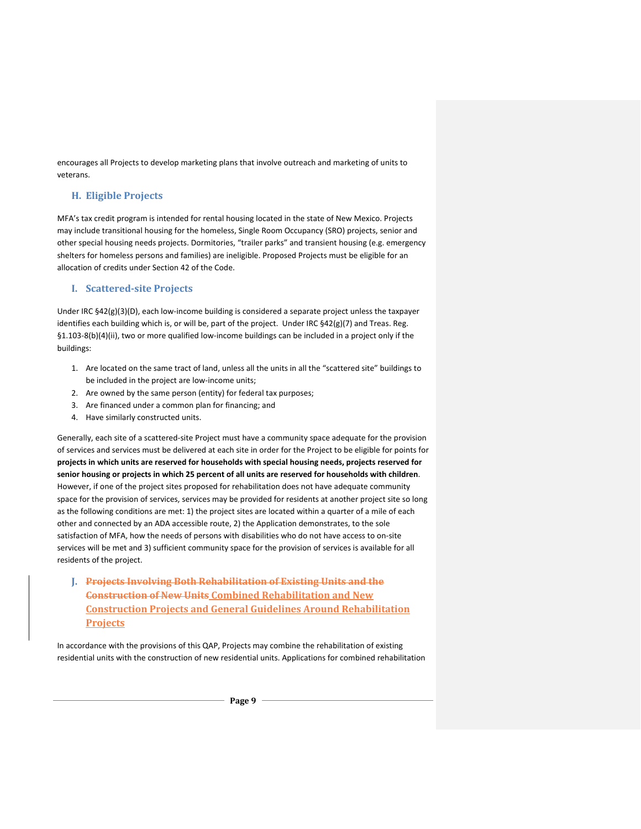encourages all Projects to develop marketing plans that involve outreach and marketing of units to veterans.

## <span id="page-12-0"></span>**H. Eligible Projects**

MFA's tax credit program is intended for rental housing located in the state of New Mexico. Projects may include transitional housing for the homeless, Single Room Occupancy (SRO) projects, senior and other special housing needs projects. Dormitories, "trailer parks" and transient housing (e.g. emergency shelters for homeless persons and families) are ineligible. Proposed Projects must be eligible for an allocation of credits under Section 42 of the Code.

## <span id="page-12-1"></span>**I. Scattered-site Projects**

Under IRC §42(g)(3)(D), each low-income building is considered a separate project unless the taxpayer identifies each building which is, or will be, part of the project. Under IRC  $\frac{542(g)}{7}$  and Treas. Reg. §1.103-8(b)(4)(ii), two or more qualified low-income buildings can be included in a project only if the buildings:

- 1. Are located on the same tract of land, unless all the units in all the "scattered site" buildings to be included in the project are low-income units;
- 2. Are owned by the same person (entity) for federal tax purposes;
- 3. Are financed under a common plan for financing; and
- 4. Have similarly constructed units.

Generally, each site of a scattered-site Project must have a community space adequate for the provision of services and services must be delivered at each site in order for the Project to be eligible for points for **projects in which units are reserved for households with special housing needs, projects reserved for senior housing or projects in which 25 percent of all units are reserved for households with children**. However, if one of the project sites proposed for rehabilitation does not have adequate community space for the provision of services, services may be provided for residents at another project site so long as the following conditions are met: 1) the project sites are located within a quarter of a mile of each other and connected by an ADA accessible route, 2) the Application demonstrates, to the sole satisfaction of MFA, how the needs of persons with disabilities who do not have access to on-site services will be met and 3) sufficient community space for the provision of services is available for all residents of the project.

<span id="page-12-2"></span>**J. Projects Involving Both Rehabilitation of Existing Units and the Construction of New Units Combined Rehabilitation and New Construction Projects and General Guidelines Around Rehabilitation Projects**

In accordance with the provisions of this QAP, Projects may combine the rehabilitation of existing residential units with the construction of new residential units. Applications for combined rehabilitation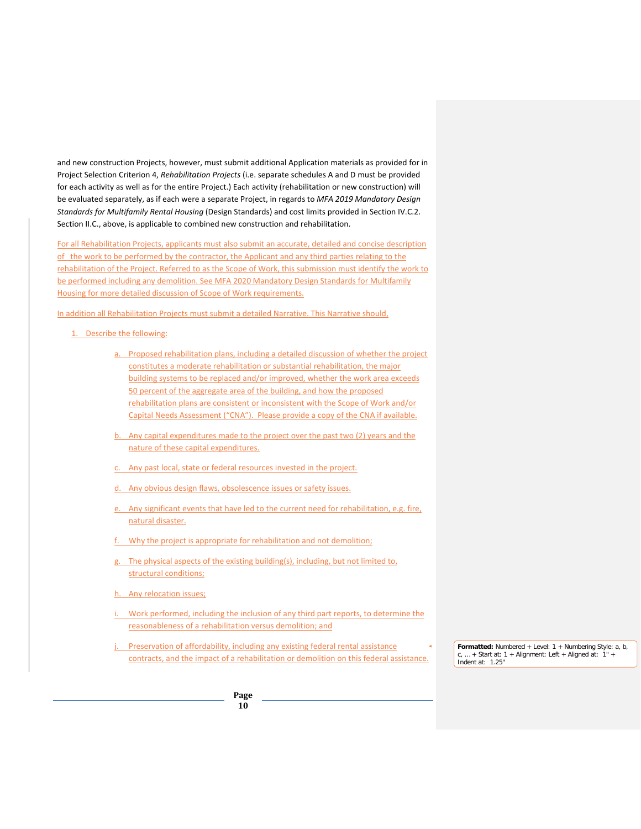and new construction Projects, however, must submit additional Application materials as provided for in Project Selection Criterion 4, *Rehabilitation Projects* (i.e. separate schedules A and D must be provided for each activity as well as for the entire Project.) Each activity (rehabilitation or new construction) will be evaluated separately, as if each were a separate Project, in regards to *MFA 2019 Mandatory Design Standards for Multifamily Rental Housing* (Design Standards) and cost limits provided in Section IV.C.2. Section II.C., above, is applicable to combined new construction and rehabilitation.

For all Rehabilitation Projects, applicants must also submit an accurate, detailed and concise description of the work to be performed by the contractor, the Applicant and any third parties relating to the rehabilitation of the Project. Referred to as the Scope of Work, this submission must identify the work to be performed including any demolition. See MFA 2020 Mandatory Design Standards for Multifamily Housing for more detailed discussion of Scope of Work requirements.

In addition all Rehabilitation Projects must submit a detailed Narrative. This Narrative should,

- 1. Describe the following:
	- a. Proposed rehabilitation plans, including a detailed discussion of whether the project constitutes a moderate rehabilitation or substantial rehabilitation, the major building systems to be replaced and/or improved, whether the work area exceeds 50 percent of the aggregate area of the building, and how the proposed rehabilitation plans are consistent or inconsistent with the Scope of Work and/or Capital Needs Assessment ("CNA"). Please provide a copy of the CNA if available.
	- b. Any capital expenditures made to the project over the past two (2) years and the nature of these capital expenditures.
	- c. Any past local, state or federal resources invested in the project.
	- d. Any obvious design flaws, obsolescence issues or safety issues.
	- e. Any significant events that have led to the current need for rehabilitation, e.g. fire, natural disaster.
	- Why the project is appropriate for rehabilitation and not demolition;
	- g. The physical aspects of the existing building(s), including, but not limited to, structural conditions;
	- h. Any relocation issues;
	- Work performed, including the inclusion of any third part reports, to determine the reasonableness of a rehabilitation versus demolition; and
	- Preservation of affordability, including any existing federal rental assistance contracts, and the impact of a rehabilitation or demolition on this federal assistance.

**Formatted:** Numbered + Level: 1 + Numbering Style: a, b,  $c, ... +$  Start at: 1 + Alignment: Left + Aligned at: 1" Indent at: 1.25"

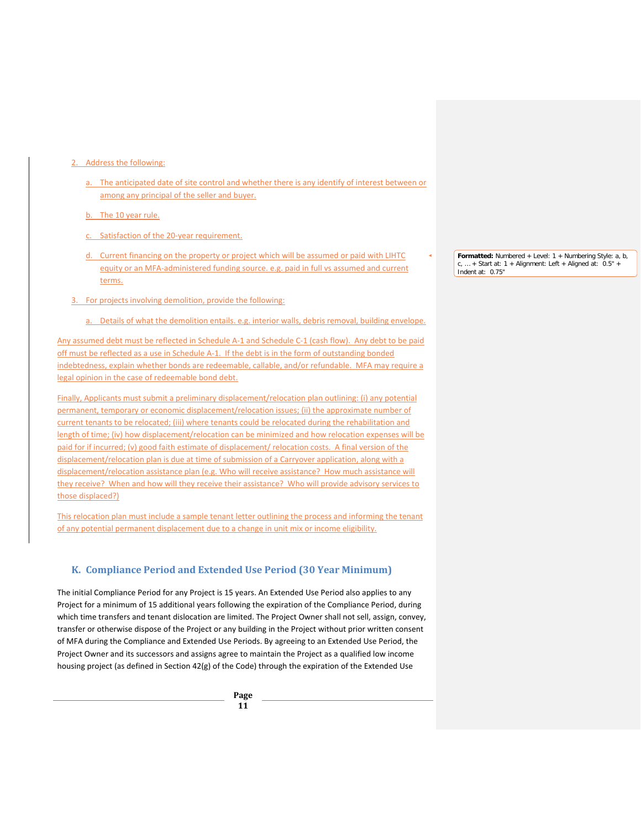#### 2. Address the following:

a. The anticipated date of site control and whether there is any identify of interest between or among any principal of the seller and buyer.

b. The 10 year rule.

- c. Satisfaction of the 20-year requirement.
- d. Current financing on the property or project which will be assumed or paid with LIHTC equity or an MFA-administered funding source. e.g. paid in full vs assumed and current terms.
- 3. For projects involving demolition, provide the following:
	- a. Details of what the demolition entails. e.g. interior walls, debris removal, building envelope.

Any assumed debt must be reflected in Schedule A-1 and Schedule C-1 (cash flow). Any debt to be paid off must be reflected as a use in Schedule A-1. If the debt is in the form of outstanding bonded indebtedness, explain whether bonds are redeemable, callable, and/or refundable. MFA may require a legal opinion in the case of redeemable bond debt.

Finally, Applicants must submit a preliminary displacement/relocation plan outlining: (i) any potential permanent, temporary or economic displacement/relocation issues; (ii) the approximate number of current tenants to be relocated; (iii) where tenants could be relocated during the rehabilitation and length of time; (iv) how displacement/relocation can be minimized and how relocation expenses will be paid for if incurred; (v) good faith estimate of displacement/ relocation costs. A final version of the displacement/relocation plan is due at time of submission of a Carryover application, along with a displacement/relocation assistance plan (e.g. Who will receive assistance? How much assistance will they receive? When and how will they receive their assistance? Who will provide advisory services to those displaced?)

This relocation plan must include a sample tenant letter outlining the process and informing the tenant of any potential permanent displacement due to a change in unit mix or income eligibility.

## <span id="page-14-0"></span>**K. Compliance Period and Extended Use Period (30 Year Minimum)**

The initial Compliance Period for any Project is 15 years. An Extended Use Period also applies to any Project for a minimum of 15 additional years following the expiration of the Compliance Period, during which time transfers and tenant dislocation are limited. The Project Owner shall not sell, assign, convey, transfer or otherwise dispose of the Project or any building in the Project without prior written consent of MFA during the Compliance and Extended Use Periods. By agreeing to an Extended Use Period, the Project Owner and its successors and assigns agree to maintain the Project as a qualified low income housing project (as defined in Section 42(g) of the Code) through the expiration of the Extended Use

**Formatted:** Numbered + Level: 1 + Numbering Style: a, b,  $\dots$  + Start at: 1 + Alignment: Left + Aligned at:  $0.5"$ Indent at: 0.75"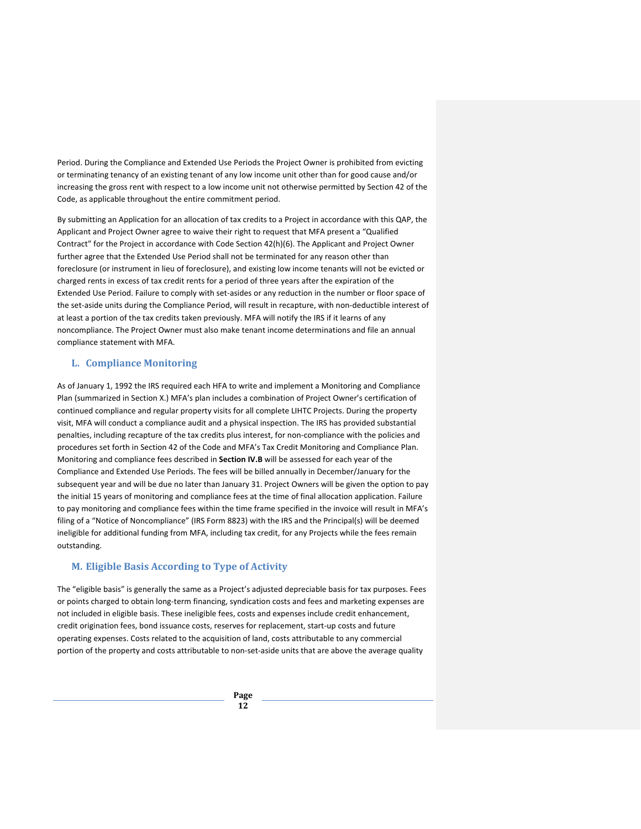Period. During the Compliance and Extended Use Periods the Project Owner is prohibited from evicting or terminating tenancy of an existing tenant of any low income unit other than for good cause and/or increasing the gross rent with respect to a low income unit not otherwise permitted by Section 42 of the Code, as applicable throughout the entire commitment period.

By submitting an Application for an allocation of tax credits to a Project in accordance with this QAP, the Applicant and Project Owner agree to waive their right to request that MFA present a "Qualified Contract" for the Project in accordance with Code Section 42(h)(6). The Applicant and Project Owner further agree that the Extended Use Period shall not be terminated for any reason other than foreclosure (or instrument in lieu of foreclosure), and existing low income tenants will not be evicted or charged rents in excess of tax credit rents for a period of three years after the expiration of the Extended Use Period. Failure to comply with set-asides or any reduction in the number or floor space of the set-aside units during the Compliance Period, will result in recapture, with non-deductible interest of at least a portion of the tax credits taken previously. MFA will notify the IRS if it learns of any noncompliance. The Project Owner must also make tenant income determinations and file an annual compliance statement with MFA.

## <span id="page-15-0"></span>**L. Compliance Monitoring**

As of January 1, 1992 the IRS required each HFA to write and implement a Monitoring and Compliance Plan (summarized in Section X.) MFA's plan includes a combination of Project Owner's certification of continued compliance and regular property visits for all complete LIHTC Projects. During the property visit, MFA will conduct a compliance audit and a physical inspection. The IRS has provided substantial penalties, including recapture of the tax credits plus interest, for non-compliance with the policies and procedures set forth in Section 42 of the Code and MFA's Tax Credit Monitoring and Compliance Plan. Monitoring and compliance fees described in **Section IV.B** will be assessed for each year of the Compliance and Extended Use Periods. The fees will be billed annually in December/January for the subsequent year and will be due no later than January 31. Project Owners will be given the option to pay the initial 15 years of monitoring and compliance fees at the time of final allocation application. Failure to pay monitoring and compliance fees within the time frame specified in the invoice will result in MFA's filing of a "Notice of Noncompliance" (IRS Form 8823) with the IRS and the Principal(s) will be deemed ineligible for additional funding from MFA, including tax credit, for any Projects while the fees remain outstanding.

## <span id="page-15-1"></span>**M. Eligible Basis According to Type of Activity**

The "eligible basis" is generally the same as a Project's adjusted depreciable basis for tax purposes. Fees or points charged to obtain long-term financing, syndication costs and fees and marketing expenses are not included in eligible basis. These ineligible fees, costs and expenses include credit enhancement, credit origination fees, bond issuance costs, reserves for replacement, start-up costs and future operating expenses. Costs related to the acquisition of land, costs attributable to any commercial portion of the property and costs attributable to non-set-aside units that are above the average quality

> **Page 12**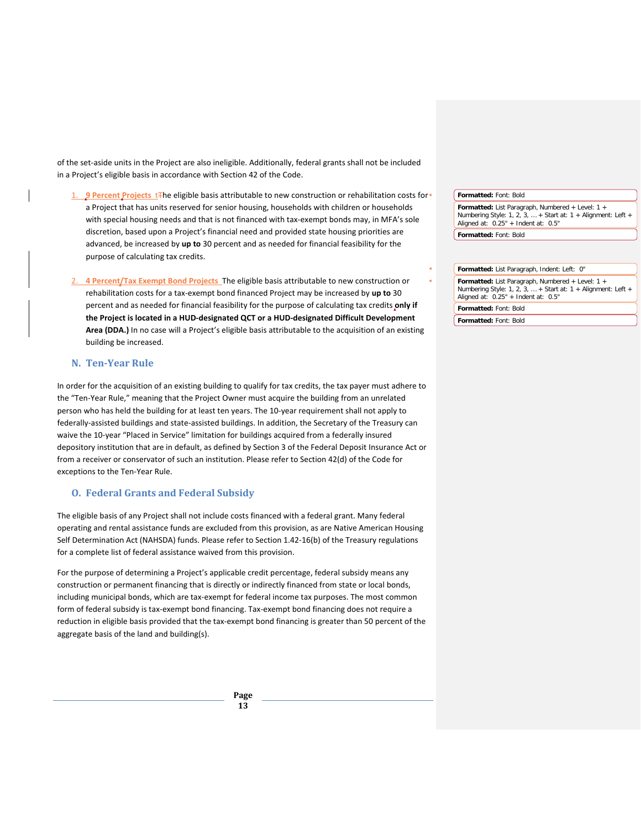of the set-aside units in the Project are also ineligible. Additionally, federal grants shall not be included in a Project's eligible basis in accordance with Section 42 of the Code.

- 1. **9 Percent Projects** tThe eligible basis attributable to new construction or rehabilitation costs for a Project that has units reserved for senior housing, households with children or households with special housing needs and that is not financed with tax-exempt bonds may, in MFA's sole discretion, based upon a Project's financial need and provided state housing priorities are advanced, be increased by **up to** 30 percent and as needed for financial feasibility for the purpose of calculating tax credits.
- 2. **4 Percent/Tax Exempt Bond Projects** The eligible basis attributable to new construction or rehabilitation costs for a tax-exempt bond financed Project may be increased by **up to** 30 percent and as needed for financial feasibility for the purpose of calculating tax credits **only if the Project is located in a HUD-designated QCT or a HUD-designated Difficult Development Area (DDA.)** In no case will a Project's eligible basis attributable to the acquisition of an existing building be increased.

# <span id="page-16-0"></span>**N. Ten-Year Rule**

In order for the acquisition of an existing building to qualify for tax credits, the tax payer must adhere to the "Ten-Year Rule," meaning that the Project Owner must acquire the building from an unrelated person who has held the building for at least ten years. The 10-year requirement shall not apply to federally-assisted buildings and state-assisted buildings. In addition, the Secretary of the Treasury can waive the 10-year "Placed in Service" limitation for buildings acquired from a federally insured depository institution that are in default, as defined by Section 3 of the Federal Deposit Insurance Act or from a receiver or conservator of such an institution. Please refer to Section 42(d) of the Code for exceptions to the Ten-Year Rule.

#### <span id="page-16-1"></span>**O. Federal Grants and Federal Subsidy**

The eligible basis of any Project shall not include costs financed with a federal grant. Many federal operating and rental assistance funds are excluded from this provision, as are Native American Housing Self Determination Act (NAHSDA) funds. Please refer to Section 1.42-16(b) of the Treasury regulations for a complete list of federal assistance waived from this provision.

For the purpose of determining a Project's applicable credit percentage, federal subsidy means any construction or permanent financing that is directly or indirectly financed from state or local bonds, including municipal bonds, which are tax-exempt for federal income tax purposes. The most common form of federal subsidy is tax-exempt bond financing. Tax-exempt bond financing does not require a reduction in eligible basis provided that the tax-exempt bond financing is greater than 50 percent of the aggregate basis of the land and building(s).

> **Page 13**

**Formatted:** Font: Bold

**Formatted:** List Paragraph, Numbered + Level: 1 + Numbering Style: 1, 2, 3, … + Start at: 1 + Alignment: Left + Aligned at: 0.25" + Indent at: 0.5" **Formatted:** Font: Bold

**Formatted:** List Paragraph, Indent: Left: 0" **Formatted:** List Paragraph, Numbered + Level: 1 + Numbering Style: 1, 2, 3, … + Start at: 1 + Alignment: Left + Aligned at: 0.25" + Indent at: 0.5" **Formatted:** Font: Bold **Formatted:** Font: Bold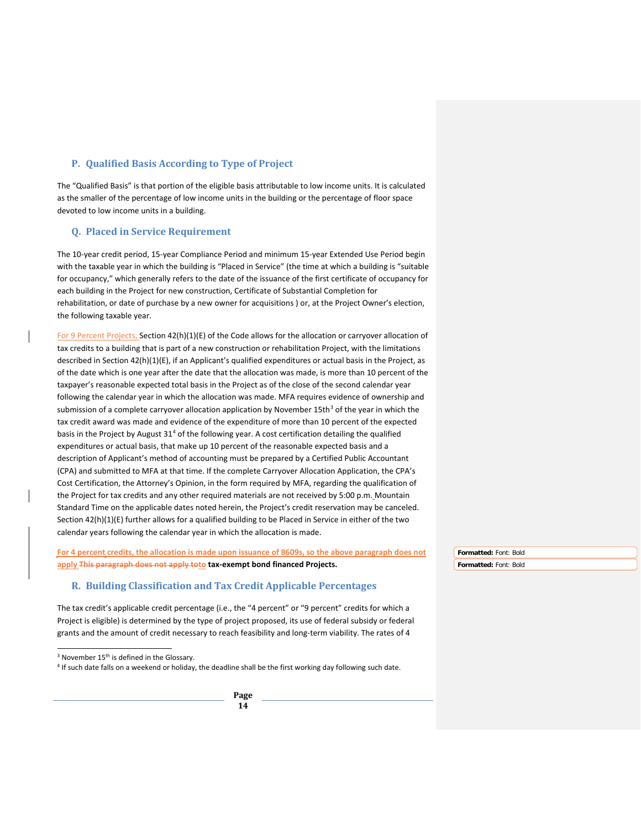## <span id="page-17-0"></span>**P. Qualified Basis According to Type of Project**

The "Qualified Basis" is that portion of the eligible basis attributable to low income units. It is calculated as the smaller of the percentage of low income units in the building or the percentage of floor space devoted to low income units in a building.

#### <span id="page-17-1"></span>**Q. Placed in Service Requirement**

The 10-year credit period, 15-year Compliance Period and minimum 15-year Extended Use Period begin with the taxable year in which the building is "Placed in Service" (the time at which a building is "suitable for occupancy," which generally refers to the date of the issuance of the first certificate of occupancy for each building in the Project for new construction, Certificate of Substantial Completion for rehabilitation, or date of purchase by a new owner for acquisitions ) or, at the Project Owner's election, the following taxable year.

For 9 Percent Projects, Section 42(h)(1)(E) of the Code allows for the allocation or carryover allocation of tax credits to a building that is part of a new construction or rehabilitation Project, with the limitations described in Section 42(h)(1)(E), if an Applicant's qualified expenditures or actual basis in the Project, as of the date which is one year after the date that the allocation was made, is more than 10 percent of the taxpayer's reasonable expected total basis in the Project as of the close of the second calendar year following the calendar year in which the allocation was made. MFA requires evidence of ownership and submission of a complete carryover allocation application by November 15th<sup>[3](#page-17-3)</sup> of the year in which the tax credit award was made and evidence of the expenditure of more than 10 percent of the expected basis in the Project by August  $31<sup>4</sup>$  $31<sup>4</sup>$  $31<sup>4</sup>$  of the following year. A cost certification detailing the qualified expenditures or actual basis, that make up 10 percent of the reasonable expected basis and a description of Applicant's method of accounting must be prepared by a Certified Public Accountant (CPA) and submitted to MFA at that time. If the complete Carryover Allocation Application, the CPA's Cost Certification, the Attorney's Opinion, in the form required by MFA, regarding the qualification of the Project for tax credits and any other required materials are not received by 5:00 p.m. Mountain Standard Time on the applicable dates noted herein, the Project's credit reservation may be canceled. Section 42(h)(1)(E) further allows for a qualified building to be Placed in Service in either of the two calendar years following the calendar year in which the allocation is made.

**For 4 percent credits, the allocation is made upon issuance of 8609s, so the above paragraph does not apply This paragraph does not apply toto tax-exempt bond financed Projects.**

#### <span id="page-17-2"></span>**R. Building Classification and Tax Credit Applicable Percentages**

The tax credit's applicable credit percentage (i.e., the "4 percent" or "9 percent" credits for which a Project is eligible) is determined by the type of project proposed, its use of federal subsidy or federal grants and the amount of credit necessary to reach feasibility and long-term viability. The rates of 4

**Formatted:** Font: Bold **Formatted:** Font: Bold

<sup>&</sup>lt;sup>3</sup> November 15<sup>th</sup> is defined in the Glossary.

<span id="page-17-4"></span><span id="page-17-3"></span><sup>4</sup> If such date falls on a weekend or holiday, the deadline shall be the first working day following such date.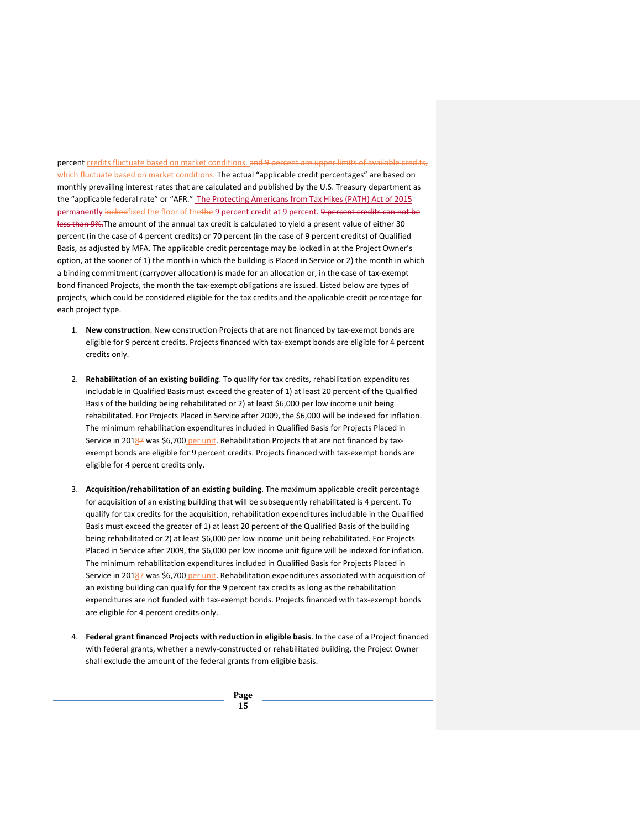percent credits fluctuate based on market conditions. and 9 percent are upper limits of available credits, which fluctuate based on market conditions. The actual "applicable credit percentages" are based on monthly prevailing interest rates that are calculated and published by the U.S. Treasury department as the "applicable federal rate" or "AFR." The Protecting Americans from Tax Hikes (PATH) Act of 2015 permanently lockedfixed the floor of thethe 9 percent credit at 9 percent. 9 percent credits can not be less than 9%.The amount of the annual tax credit is calculated to yield a present value of either 30 percent (in the case of 4 percent credits) or 70 percent (in the case of 9 percent credits) of Qualified Basis, as adjusted by MFA. The applicable credit percentage may be locked in at the Project Owner's option, at the sooner of 1) the month in which the building is Placed in Service or 2) the month in which a binding commitment (carryover allocation) is made for an allocation or, in the case of tax-exempt bond financed Projects, the month the tax-exempt obligations are issued. Listed below are types of projects, which could be considered eligible for the tax credits and the applicable credit percentage for each project type.

- 1. **New construction**. New construction Projects that are not financed by tax-exempt bonds are eligible for 9 percent credits. Projects financed with tax-exempt bonds are eligible for 4 percent credits only.
- 2. **Rehabilitation of an existing building**. To qualify for tax credits, rehabilitation expenditures includable in Qualified Basis must exceed the greater of 1) at least 20 percent of the Qualified Basis of the building being rehabilitated or 2) at least \$6,000 per low income unit being rehabilitated. For Projects Placed in Service after 2009, the \$6,000 will be indexed for inflation. The minimum rehabilitation expenditures included in Qualified Basis for Projects Placed in Service in 20187 was \$6,700 per unit. Rehabilitation Projects that are not financed by taxexempt bonds are eligible for 9 percent credits. Projects financed with tax-exempt bonds are eligible for 4 percent credits only.
- 3. **Acquisition/rehabilitation of an existing building**. The maximum applicable credit percentage for acquisition of an existing building that will be subsequently rehabilitated is 4 percent. To qualify for tax credits for the acquisition, rehabilitation expenditures includable in the Qualified Basis must exceed the greater of 1) at least 20 percent of the Qualified Basis of the building being rehabilitated or 2) at least \$6,000 per low income unit being rehabilitated. For Projects Placed in Service after 2009, the \$6,000 per low income unit figure will be indexed for inflation. The minimum rehabilitation expenditures included in Qualified Basis for Projects Placed in Service in 20187 was \$6,700 per unit. Rehabilitation expenditures associated with acquisition of an existing building can qualify for the 9 percent tax credits as long as the rehabilitation expenditures are not funded with tax-exempt bonds. Projects financed with tax-exempt bonds are eligible for 4 percent credits only.
- 4. **Federal grant financed Projects with reduction in eligible basis**. In the case of a Project financed with federal grants, whether a newly-constructed or rehabilitated building, the Project Owner shall exclude the amount of the federal grants from eligible basis.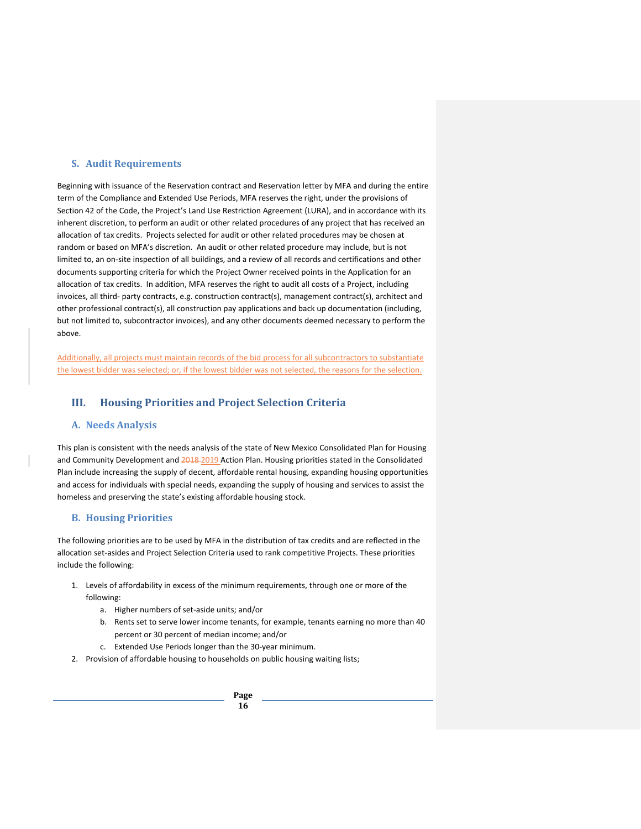### <span id="page-19-0"></span>**S. Audit Requirements**

Beginning with issuance of the Reservation contract and Reservation letter by MFA and during the entire term of the Compliance and Extended Use Periods, MFA reserves the right, under the provisions of Section 42 of the Code, the Project's Land Use Restriction Agreement (LURA), and in accordance with its inherent discretion, to perform an audit or other related procedures of any project that has received an allocation of tax credits. Projects selected for audit or other related procedures may be chosen at random or based on MFA's discretion. An audit or other related procedure may include, but is not limited to, an on-site inspection of all buildings, and a review of all records and certifications and other documents supporting criteria for which the Project Owner received points in the Application for an allocation of tax credits. In addition, MFA reserves the right to audit all costs of a Project, including invoices, all third- party contracts, e.g. construction contract(s), management contract(s), architect and other professional contract(s), all construction pay applications and back up documentation (including, but not limited to, subcontractor invoices), and any other documents deemed necessary to perform the above.

Additionally, all projects must maintain records of the bid process for all subcontractors to substantiate the lowest bidder was selected; or, if the lowest bidder was not selected, the reasons for the selection.

# <span id="page-19-1"></span>**III. Housing Priorities and Project Selection Criteria**

#### <span id="page-19-2"></span>**A. Needs Analysis**

This plan is consistent with the needs analysis of the state of New Mexico Consolidated Plan for Housing and Community Development and 2018-2019 Action Plan. Housing priorities stated in the Consolidated Plan include increasing the supply of decent, affordable rental housing, expanding housing opportunities and access for individuals with special needs, expanding the supply of housing and services to assist the homeless and preserving the state's existing affordable housing stock.

## <span id="page-19-3"></span>**B. Housing Priorities**

The following priorities are to be used by MFA in the distribution of tax credits and are reflected in the allocation set-asides and Project Selection Criteria used to rank competitive Projects. These priorities include the following:

- 1. Levels of affordability in excess of the minimum requirements, through one or more of the following:
	- a. Higher numbers of set-aside units; and/or
	- b. Rents set to serve lower income tenants, for example, tenants earning no more than 40 percent or 30 percent of median income; and/or
	- c. Extended Use Periods longer than the 30-year minimum.
- 2. Provision of affordable housing to households on public housing waiting lists;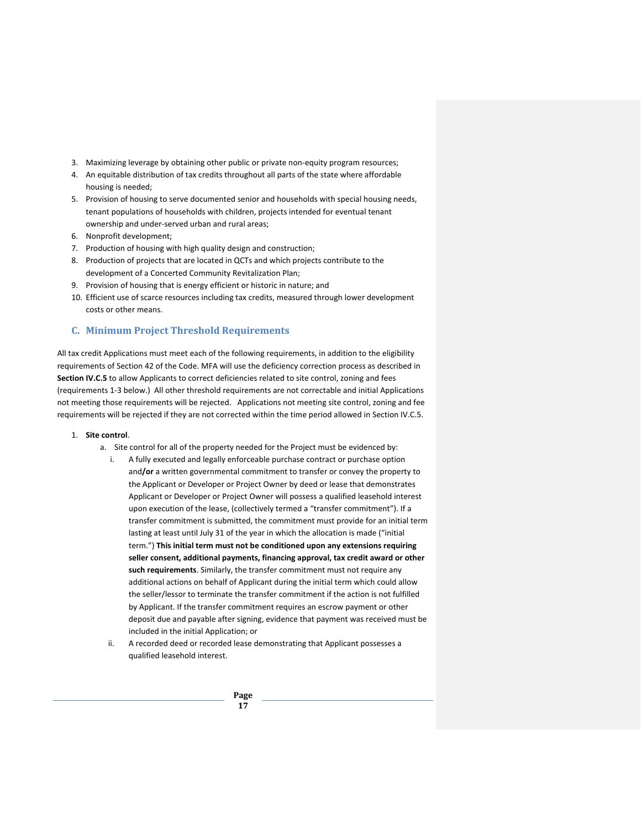- 3. Maximizing leverage by obtaining other public or private non-equity program resources;
- 4. An equitable distribution of tax credits throughout all parts of the state where affordable housing is needed;
- 5. Provision of housing to serve documented senior and households with special housing needs, tenant populations of households with children, projects intended for eventual tenant ownership and under-served urban and rural areas;
- 6. Nonprofit development;
- 7. Production of housing with high quality design and construction;
- 8. Production of projects that are located in QCTs and which projects contribute to the development of a Concerted Community Revitalization Plan;
- 9. Provision of housing that is energy efficient or historic in nature; and
- 10. Efficient use of scarce resources including tax credits, measured through lower development costs or other means.

## <span id="page-20-0"></span>**C. Minimum Project Threshold Requirements**

All tax credit Applications must meet each of the following requirements, in addition to the eligibility requirements of Section 42 of the Code. MFA will use the deficiency correction process as described in **Section IV.C.5** to allow Applicants to correct deficiencies related to site control, zoning and fees (requirements 1-3 below.) All other threshold requirements are not correctable and initial Applications not meeting those requirements will be rejected. Applications not meeting site control, zoning and fee requirements will be rejected if they are not corrected within the time period allowed in Section IV.C.5.

#### 1. **Site control**.

- a. Site control for all of the property needed for the Project must be evidenced by:
	- i. A fully executed and legally enforceable purchase contract or purchase option and**/or** a written governmental commitment to transfer or convey the property to the Applicant or Developer or Project Owner by deed or lease that demonstrates Applicant or Developer or Project Owner will possess a qualified leasehold interest upon execution of the lease, (collectively termed a "transfer commitment"). If a transfer commitment is submitted, the commitment must provide for an initial term lasting at least until July 31 of the year in which the allocation is made ("initial term.") **This initial term must not be conditioned upon any extensions requiring seller consent, additional payments, financing approval, tax credit award or other such requirements**. Similarly, the transfer commitment must not require any additional actions on behalf of Applicant during the initial term which could allow the seller/lessor to terminate the transfer commitment if the action is not fulfilled by Applicant. If the transfer commitment requires an escrow payment or other deposit due and payable after signing, evidence that payment was received must be included in the initial Application; or
	- ii. A recorded deed or recorded lease demonstrating that Applicant possesses a qualified leasehold interest.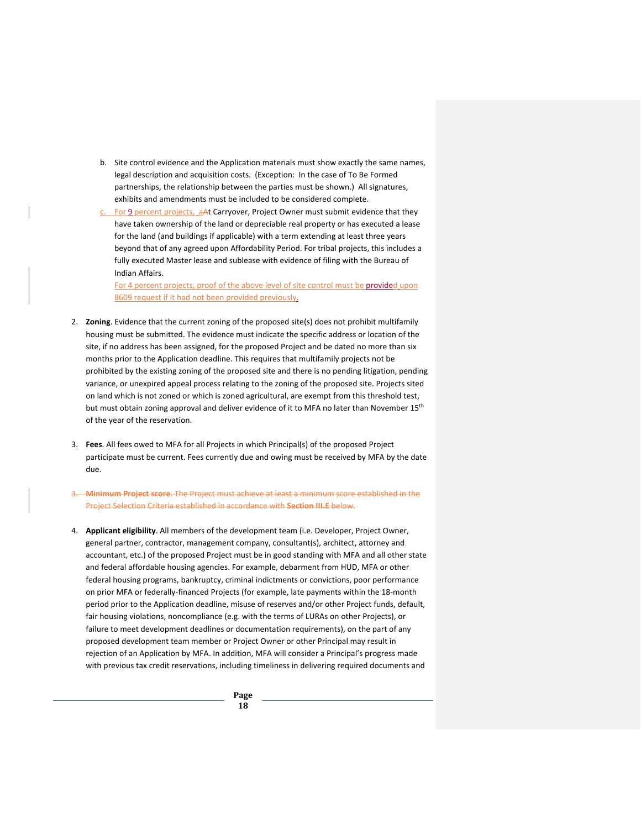- b. Site control evidence and the Application materials must show exactly the same names, legal description and acquisition costs. (Exception: In the case of To Be Formed partnerships, the relationship between the parties must be shown.) All signatures, exhibits and amendments must be included to be considered complete.
- For 9 percent projects, aAt Carryover, Project Owner must submit evidence that they have taken ownership of the land or depreciable real property or has executed a lease for the land (and buildings if applicable) with a term extending at least three years beyond that of any agreed upon Affordability Period. For tribal projects, this includes a fully executed Master lease and sublease with evidence of filing with the Bureau of Indian Affairs.

For 4 percent projects, proof of the above level of site control must be provided upon 8609 request if it had not been provided previously.

- 2. **Zoning**. Evidence that the current zoning of the proposed site(s) does not prohibit multifamily housing must be submitted. The evidence must indicate the specific address or location of the site, if no address has been assigned, for the proposed Project and be dated no more than six months prior to the Application deadline. This requires that multifamily projects not be prohibited by the existing zoning of the proposed site and there is no pending litigation, pending variance, or unexpired appeal process relating to the zoning of the proposed site. Projects sited on land which is not zoned or which is zoned agricultural, are exempt from this threshold test, but must obtain zoning approval and deliver evidence of it to MFA no later than November 15<sup>th</sup> of the year of the reservation.
- 3. **Fees**. All fees owed to MFA for all Projects in which Principal(s) of the proposed Project participate must be current. Fees currently due and owing must be received by MFA by the date due.
- **m Project score**. The Project must achieve at least a minimum score established in the Project Selection Criteria established in accordance with **Section III.E** below.
- 4. **Applicant eligibility**. All members of the development team (i.e. Developer, Project Owner, general partner, contractor, management company, consultant(s), architect, attorney and accountant, etc.) of the proposed Project must be in good standing with MFA and all other state and federal affordable housing agencies. For example, debarment from HUD, MFA or other federal housing programs, bankruptcy, criminal indictments or convictions, poor performance on prior MFA or federally-financed Projects (for example, late payments within the 18-month period prior to the Application deadline, misuse of reserves and/or other Project funds, default, fair housing violations, noncompliance (e.g. with the terms of LURAs on other Projects), or failure to meet development deadlines or documentation requirements), on the part of any proposed development team member or Project Owner or other Principal may result in rejection of an Application by MFA. In addition, MFA will consider a Principal's progress made with previous tax credit reservations, including timeliness in delivering required documents and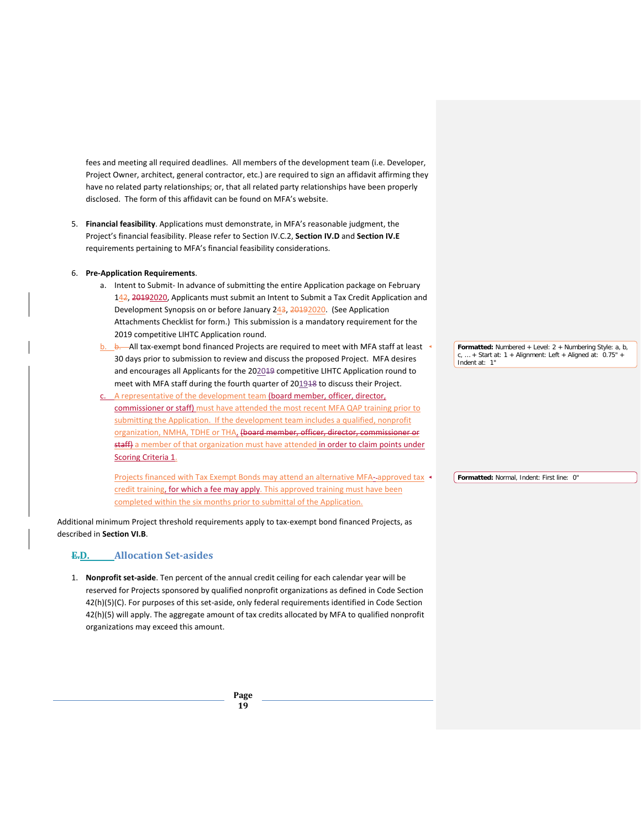fees and meeting all required deadlines. All members of the development team (i.e. Developer, Project Owner, architect, general contractor, etc.) are required to sign an affidavit affirming they have no related party relationships; or, that all related party relationships have been properly disclosed. The form of this affidavit can be found on MFA's website.

5. **Financial feasibility**. Applications must demonstrate, in MFA's reasonable judgment, the Project's financial feasibility. Please refer to Section IV.C.2, **Section IV.D** and **Section IV.E** requirements pertaining to MFA's financial feasibility considerations.

#### 6. **Pre-Application Requirements**.

- a. Intent to Submit- In advance of submitting the entire Application package on February 142, 20192020, Applicants must submit an Intent to Submit a Tax Credit Application and Development Synopsis on or before January 243, 20192020. (See Application Attachments Checklist for form.) This submission is a mandatory requirement for the 2019 competitive LIHTC Application round.
- b. b. All tax-exempt bond financed Projects are required to meet with MFA staff at least 30 days prior to submission to review and discuss the proposed Project. MFA desires and encourages all Applicants for the 202019 competitive LIHTC Application round to meet with MFA staff during the fourth quarter of 201948 to discuss their Project.
- A representative of the development team (board member, officer, director, commissioner or staff) must have attended the most recent MFA QAP training prior to submitting the Application. If the development team includes a qualified, nonprofit organization, NMHA, TDHE or THA, (board member, officer, director, commissioner or staff) a member of that organization must have attended in order to claim points under Scoring Criteria 1.

Projects financed with Tax Exempt Bonds may attend an alternative MFA- approved tax credit training, for which a fee may apply. This approved training must have been completed within the six months prior to submittal of the Application.

Additional minimum Project threshold requirements apply to tax-exempt bond financed Projects, as described in **Section VI.B**.

## <span id="page-22-0"></span>**E.D. Allocation Set-asides**

1. **Nonprofit set-aside**. Ten percent of the annual credit ceiling for each calendar year will be reserved for Projects sponsored by qualified nonprofit organizations as defined in Code Section 42(h)(5)(C). For purposes of this set-aside, only federal requirements identified in Code Section 42(h)(5) will apply. The aggregate amount of tax credits allocated by MFA to qualified nonprofit organizations may exceed this amount.

> **Page 19**

**Formatted:** Numbered + Level: 2 + Numbering Style: a, b,  $\ldots$  + Start at: 1 + Alignment: Left + Aligned at: 0.75" Indent at: 1"

**Formatted:** Normal, Indent: First line: 0"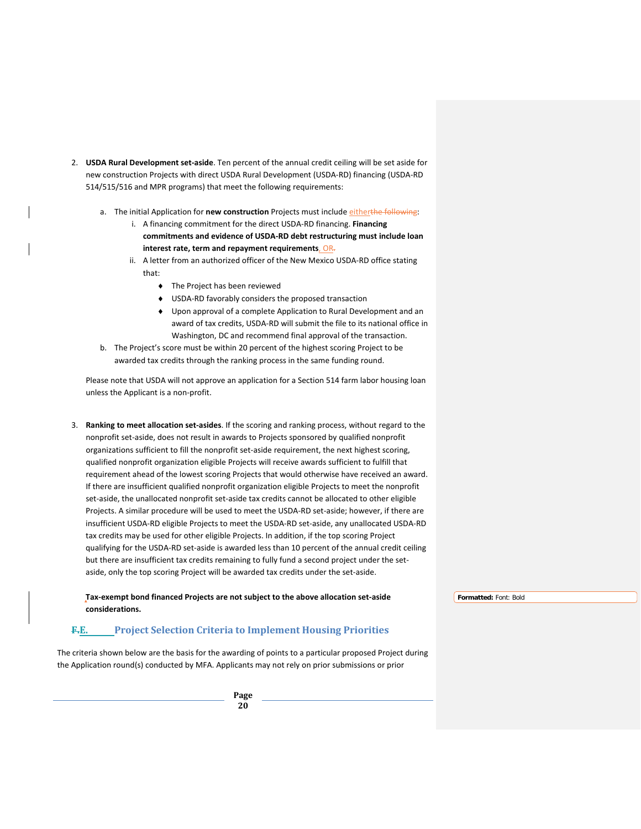- 2. **USDA Rural Development set-aside**. Ten percent of the annual credit ceiling will be set aside for new construction Projects with direct USDA Rural Development (USDA-RD) financing (USDA-RD 514/515/516 and MPR programs) that meet the following requirements:
	- a. The initial Application for **new construction** Projects must include eitherthe following:
		- i. A financing commitment for the direct USDA-RD financing. **Financing commitments and evidence of USDA-RD debt restructuring must include loan interest rate, term and repayment requirements**, OR.
		- ii. A letter from an authorized officer of the New Mexico USDA-RD office stating that:
			- ♦ The Project has been reviewed
			- ♦ USDA-RD favorably considers the proposed transaction
			- ♦ Upon approval of a complete Application to Rural Development and an award of tax credits, USDA-RD will submit the file to its national office in Washington, DC and recommend final approval of the transaction.
	- b. The Project's score must be within 20 percent of the highest scoring Project to be awarded tax credits through the ranking process in the same funding round.

Please note that USDA will not approve an application for a Section 514 farm labor housing loan unless the Applicant is a non-profit.

3. **Ranking to meet allocation set-asides**. If the scoring and ranking process, without regard to the nonprofit set-aside, does not result in awards to Projects sponsored by qualified nonprofit organizations sufficient to fill the nonprofit set-aside requirement, the next highest scoring, qualified nonprofit organization eligible Projects will receive awards sufficient to fulfill that requirement ahead of the lowest scoring Projects that would otherwise have received an award. If there are insufficient qualified nonprofit organization eligible Projects to meet the nonprofit set-aside, the unallocated nonprofit set-aside tax credits cannot be allocated to other eligible Projects. A similar procedure will be used to meet the USDA-RD set-aside; however, if there are insufficient USDA-RD eligible Projects to meet the USDA-RD set-aside, any unallocated USDA-RD tax credits may be used for other eligible Projects. In addition, if the top scoring Project qualifying for the USDA-RD set-aside is awarded less than 10 percent of the annual credit ceiling but there are insufficient tax credits remaining to fully fund a second project under the setaside, only the top scoring Project will be awarded tax credits under the set-aside.

<span id="page-23-0"></span>

| Tax-exempt bond financed Projects are not subject to the above allocation set-aside                                                                                                                           | Formatted: Font: Bold |
|---------------------------------------------------------------------------------------------------------------------------------------------------------------------------------------------------------------|-----------------------|
| considerations.                                                                                                                                                                                               |                       |
| <b>Project Selection Criteria to Implement Housing Priorities</b><br>F.E.                                                                                                                                     |                       |
| The criteria shown below are the basis for the awarding of points to a particular proposed Project during<br>the Application round(s) conducted by MFA. Applicants may not rely on prior submissions or prior |                       |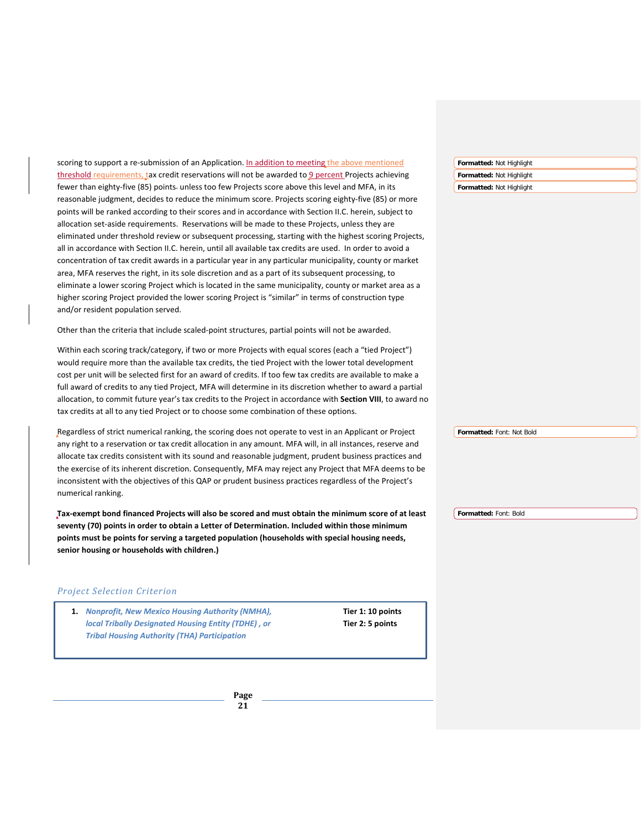scoring to support a re-submission of an Application. In addition to meeting the above mentioned threshold requirements, tax credit reservations will not be awarded to 9 percent Projects achieving fewer than eighty-five (85) points- unless too few Projects score above this level and MFA, in its reasonable judgment, decides to reduce the minimum score. Projects scoring eighty-five (85) or more points will be ranked according to their scores and in accordance with Section II.C. herein, subject to allocation set-aside requirements. Reservations will be made to these Projects, unless they are eliminated under threshold review or subsequent processing, starting with the highest scoring Projects, all in accordance with Section II.C. herein, until all available tax credits are used. In order to avoid a concentration of tax credit awards in a particular year in any particular municipality, county or market area, MFA reserves the right, in its sole discretion and as a part of its subsequent processing, to eliminate a lower scoring Project which is located in the same municipality, county or market area as a higher scoring Project provided the lower scoring Project is "similar" in terms of construction type and/or resident population served.

Other than the criteria that include scaled-point structures, partial points will not be awarded.

Within each scoring track/category, if two or more Projects with equal scores (each a "tied Project") would require more than the available tax credits, the tied Project with the lower total development cost per unit will be selected first for an award of credits. If too few tax credits are available to make a full award of credits to any tied Project, MFA will determine in its discretion whether to award a partial allocation, to commit future year's tax credits to the Project in accordance with **Section VIII**, to award no tax credits at all to any tied Project or to choose some combination of these options.

Regardless of strict numerical ranking, the scoring does not operate to vest in an Applicant or Project any right to a reservation or tax credit allocation in any amount. MFA will, in all instances, reserve and allocate tax credits consistent with its sound and reasonable judgment, prudent business practices and the exercise of its inherent discretion. Consequently, MFA may reject any Project that MFA deems to be inconsistent with the objectives of this QAP or prudent business practices regardless of the Project's numerical ranking.

**Tax-exempt bond financed Projects will also be scored and must obtain the minimum score of at least seventy (70) points in order to obtain a Letter of Determination. Included within those minimum points must be points for serving a targeted population (households with special housing needs, senior housing or households with children.)**

## *Project Selection Criterion*

**1.** *Nonprofit, New Mexico Housing Authority (NMHA),* **Tier 1: 10 points** *local Tribally Designated Housing Entity (TDHE) , or* **Tier 2: 5 points** *Tribal Housing Authority (THA) Participation*

**Formatted:** Not Highlight **Formatted:** Not Highlight **Formatted:** Not Highlight

**Formatted:** Font: Not Bold

**Formatted:** Font: Bold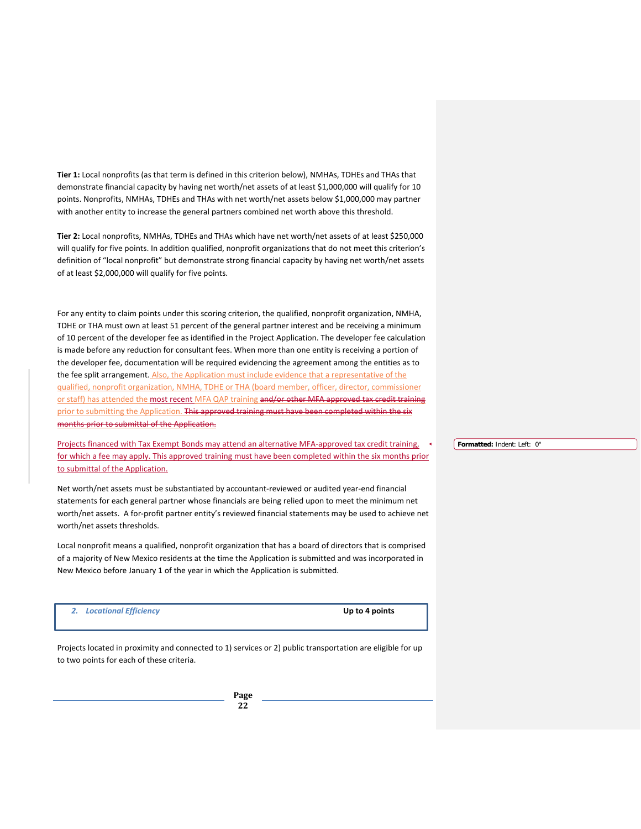**Tier 1:** Local nonprofits (as that term is defined in this criterion below), NMHAs, TDHEs and THAs that demonstrate financial capacity by having net worth/net assets of at least \$1,000,000 will qualify for 10 points. Nonprofits, NMHAs, TDHEs and THAs with net worth/net assets below \$1,000,000 may partner with another entity to increase the general partners combined net worth above this threshold.

**Tier 2:** Local nonprofits, NMHAs, TDHEs and THAs which have net worth/net assets of at least \$250,000 will qualify for five points. In addition qualified, nonprofit organizations that do not meet this criterion's definition of "local nonprofit" but demonstrate strong financial capacity by having net worth/net assets of at least \$2,000,000 will qualify for five points.

For any entity to claim points under this scoring criterion, the qualified, nonprofit organization, NMHA, TDHE or THA must own at least 51 percent of the general partner interest and be receiving a minimum of 10 percent of the developer fee as identified in the Project Application. The developer fee calculation is made before any reduction for consultant fees. When more than one entity is receiving a portion of the developer fee, documentation will be required evidencing the agreement among the entities as to the fee split arrangement. Also, the Application must include evidence that a representative of the qualified, nonprofit organization, NMHA, TDHE or THA (board member, officer, director, commissioner or staff) has attended the most recent MFA QAP training and/or other MFA approved tax credit training prior to submitting the Application. This approved training must have been completed within the six months prior to submittal of the Application.

Projects financed with Tax Exempt Bonds may attend an alternative MFA-approved tax credit training, for which a fee may apply. This approved training must have been completed within the six months prior to submittal of the Application.

Net worth/net assets must be substantiated by accountant-reviewed or audited year-end financial statements for each general partner whose financials are being relied upon to meet the minimum net worth/net assets. A for-profit partner entity's reviewed financial statements may be used to achieve net worth/net assets thresholds.

Local nonprofit means a qualified, nonprofit organization that has a board of directors that is comprised of a majority of New Mexico residents at the time the Application is submitted and was incorporated in New Mexico before January 1 of the year in which the Application is submitted.

*2. Locational Efficiency* **Up to 4 points**

Projects located in proximity and connected to 1) services or 2) public transportation are eligible for up to two points for each of these criteria.

**Formatted:** Indent: Left: 0"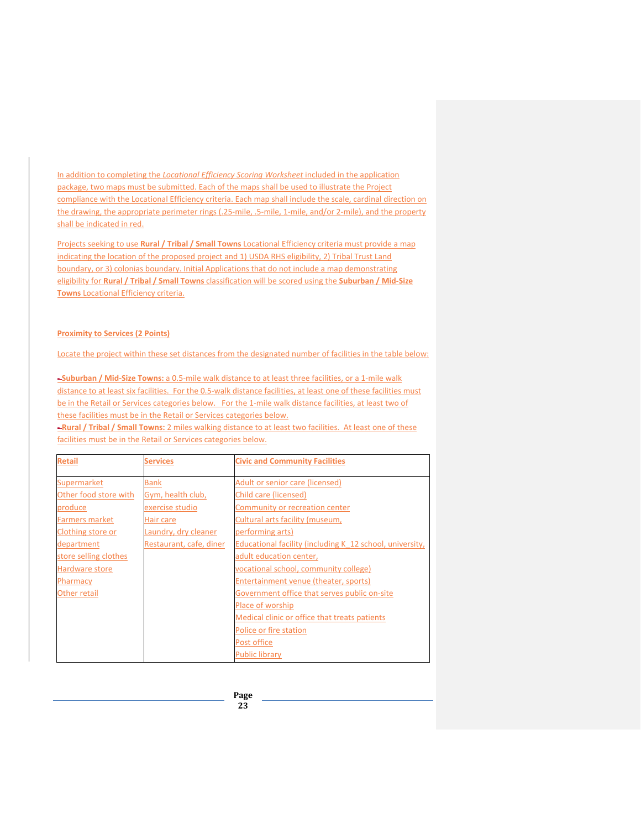In addition to completing the *Locational Efficiency Scoring Worksheet* included in the application package, two maps must be submitted. Each of the maps shall be used to illustrate the Project compliance with the Locational Efficiency criteria. Each map shall include the scale, cardinal direction on the drawing, the appropriate perimeter rings (.25-mile, .5-mile, 1-mile, and/or 2-mile), and the property shall be indicated in red.

Projects seeking to use **Rural / Tribal / Small Towns** Locational Efficiency criteria must provide a map indicating the location of the proposed project and 1) USDA RHS eligibility, 2) Tribal Trust Land boundary, or 3) colonias boundary. Initial Applications that do not include a map demonstrating eligibility for **Rural / Tribal / Small Towns** classification will be scored using the **Suburban / Mid-Size Towns** Locational Efficiency criteria.

#### **Proximity to Services (2 Points)**

Locate the project within these set distances from the designated number of facilities in the table below:

**- Suburban / Mid-Size Towns:** a 0.5-mile walk distance to at least three facilities, or a 1-mile walk distance to at least six facilities. For the 0.5-walk distance facilities, at least one of these facilities must be in the Retail or Services categories below. For the 1-mile walk distance facilities, at least two of these facilities must be in the Retail or Services categories below.

|  | -Rural / Tribal / Small Towns: 2 miles walking distance to at least two facilities. At least one of these |  |
|--|-----------------------------------------------------------------------------------------------------------|--|
|  | facilities must be in the Retail or Services categories below.                                            |  |

| <b>Retail</b>         | <b>Services</b>         | <b>Civic and Community Facilities</b>                    |
|-----------------------|-------------------------|----------------------------------------------------------|
| Supermarket           | <b>Bank</b>             | Adult or senior care (licensed)                          |
| Other food store with | Gym, health club,       | Child care (licensed)                                    |
| produce               | exercise studio         | Community or recreation center                           |
| <b>Farmers market</b> | Hair care               | Cultural arts facility (museum,                          |
| Clothing store or     | Laundry, dry cleaner    | performing arts)                                         |
| department            | Restaurant, cafe, diner | Educational facility (including K 12 school, university, |
| store selling clothes |                         | adult education center,                                  |
| Hardware store        |                         | vocational school, community college)                    |
| Pharmacy              |                         | Entertainment venue (theater, sports)                    |
| Other retail          |                         | Government office that serves public on-site             |
|                       |                         | Place of worship                                         |
|                       |                         | Medical clinic or office that treats patients            |
|                       |                         | Police or fire station                                   |
|                       |                         | Post office                                              |
|                       |                         | <b>Public library</b>                                    |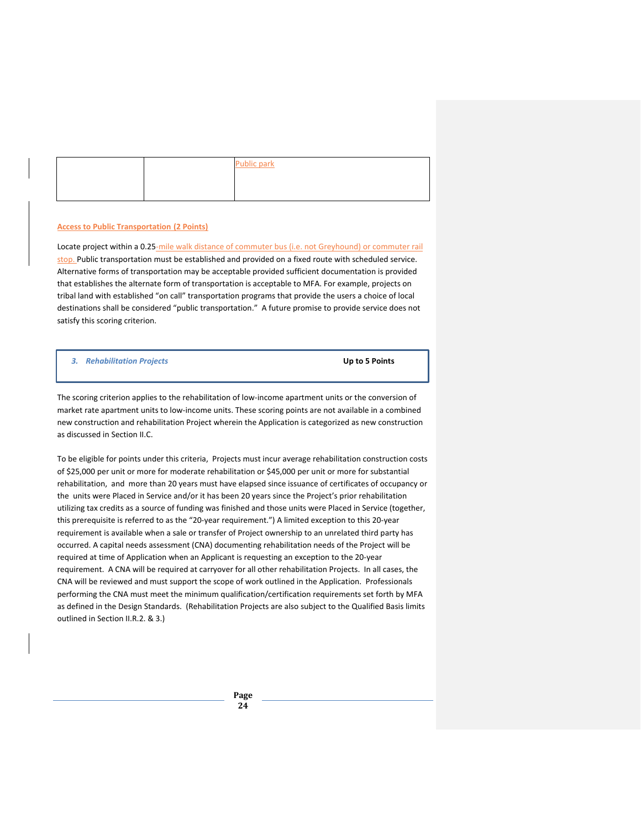|  | <b>Public park</b><br>the contract of the contract of the |
|--|-----------------------------------------------------------|
|  |                                                           |
|  |                                                           |

#### **Access to Public Transportation (2 Points)**

Locate project within a 0.25-mile walk distance of commuter bus (i.e. not Greyhound) or commuter rail stop. Public transportation must be established and provided on a fixed route with scheduled service. Alternative forms of transportation may be acceptable provided sufficient documentation is provided that establishes the alternate form of transportation is acceptable to MFA. For example, projects on tribal land with established "on call" transportation programs that provide the users a choice of local destinations shall be considered "public transportation." A future promise to provide service does not satisfy this scoring criterion.

*3. Rehabilitation Projects* **Up to 5 Points**

The scoring criterion applies to the rehabilitation of low-income apartment units or the conversion of market rate apartment units to low-income units. These scoring points are not available in a combined new construction and rehabilitation Project wherein the Application is categorized as new construction as discussed in Section II.C.

To be eligible for points under this criteria, Projects must incur average rehabilitation construction costs of \$25,000 per unit or more for moderate rehabilitation or \$45,000 per unit or more for substantial rehabilitation, and more than 20 years must have elapsed since issuance of certificates of occupancy or the units were Placed in Service and/or it has been 20 years since the Project's prior rehabilitation utilizing tax credits as a source of funding was finished and those units were Placed in Service (together, this prerequisite is referred to as the "20-year requirement.") A limited exception to this 20-year requirement is available when a sale or transfer of Project ownership to an unrelated third party has occurred. A capital needs assessment (CNA) documenting rehabilitation needs of the Project will be required at time of Application when an Applicant is requesting an exception to the 20-year requirement. A CNA will be required at carryover for all other rehabilitation Projects. In all cases, the CNA will be reviewed and must support the scope of work outlined in the Application. Professionals performing the CNA must meet the minimum qualification/certification requirements set forth by MFA as defined in the Design Standards. (Rehabilitation Projects are also subject to the Qualified Basis limits outlined in Section II.R.2. & 3.)

> **Page 24**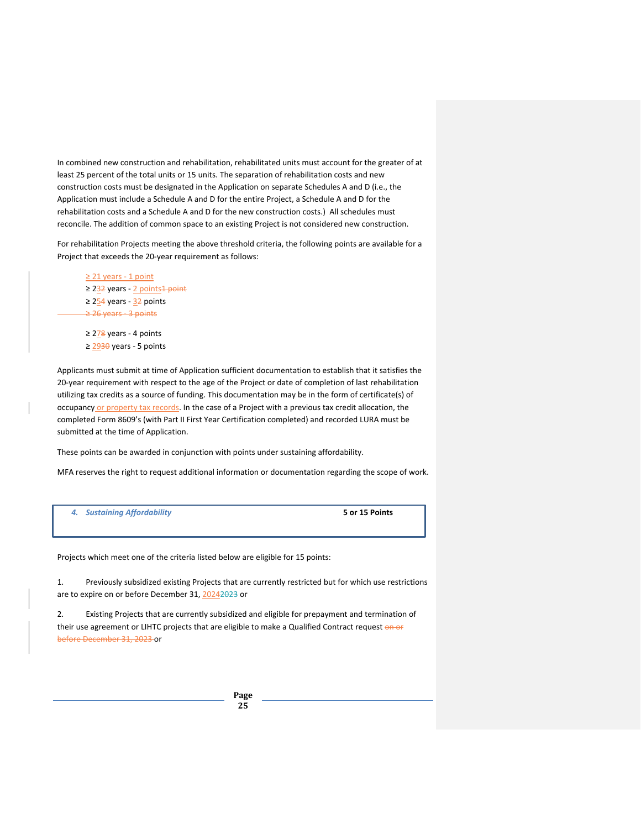In combined new construction and rehabilitation, rehabilitated units must account for the greater of at least 25 percent of the total units or 15 units. The separation of rehabilitation costs and new construction costs must be designated in the Application on separate Schedules A and D (i.e., the Application must include a Schedule A and D for the entire Project, a Schedule A and D for the rehabilitation costs and a Schedule A and D for the new construction costs.) All schedules must reconcile. The addition of common space to an existing Project is not considered new construction.

For rehabilitation Projects meeting the above threshold criteria, the following points are available for a Project that exceeds the 20-year requirement as follows:

- ≥ 21 years 1 point ≥ 232 years - 2 points<sup>1</sup> point ≥ 254 years - 32 points ≥ 26 years - 3 points
- ≥ 278 years 4 points ≥ 2930 years - 5 points

Applicants must submit at time of Application sufficient documentation to establish that it satisfies the 20-year requirement with respect to the age of the Project or date of completion of last rehabilitation utilizing tax credits as a source of funding. This documentation may be in the form of certificate(s) of occupancy or property tax records. In the case of a Project with a previous tax credit allocation, the completed Form 8609's (with Part II First Year Certification completed) and recorded LURA must be submitted at the time of Application.

These points can be awarded in conjunction with points under sustaining affordability.

MFA reserves the right to request additional information or documentation regarding the scope of work.

| 4. |  |  | <b>Sustaining Affordability</b> |  |
|----|--|--|---------------------------------|--|
|----|--|--|---------------------------------|--|

*4. Sustaining Affordability* **5 or 15 Points**

Projects which meet one of the criteria listed below are eligible for 15 points:

1. Previously subsidized existing Projects that are currently restricted but for which use restrictions are to expire on or before December 31, 20242023 or

2. Existing Projects that are currently subsidized and eligible for prepayment and termination of their use agreement or LIHTC projects that are eligible to make a Qualified Contract request on or before December 31, 2023 or

> **Page 25**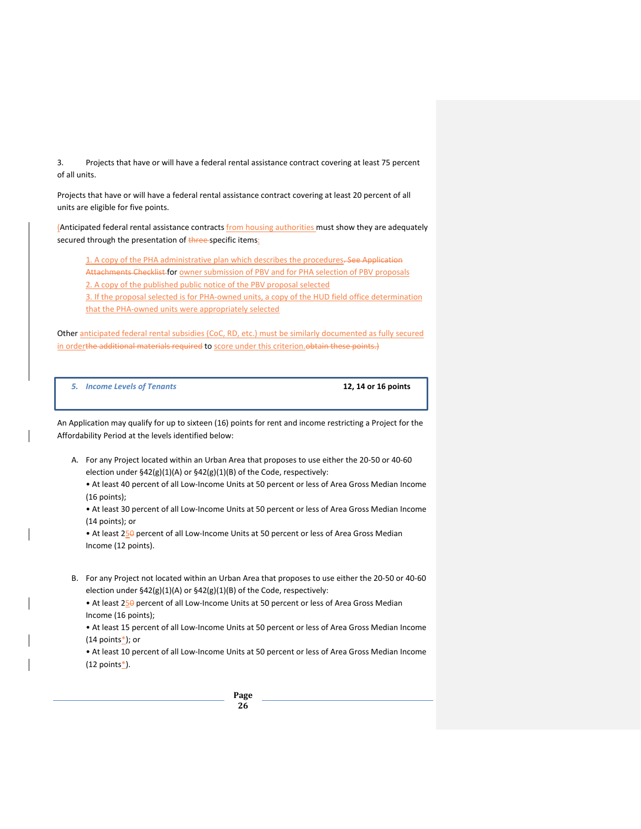3. Projects that have or will have a federal rental assistance contract covering at least 75 percent of all units.

Projects that have or will have a federal rental assistance contract covering at least 20 percent of all units are eligible for five points.

(Anticipated federal rental assistance contracts *from housing authorities* must show they are adequately secured through the presentation of three-specific items:

1. A copy of the PHA administrative plan which describes the procedures-See Application Attachments Checklist for owner submission of PBV and for PHA selection of PBV proposals 2. A copy of the published public notice of the PBV proposal selected

3. If the proposal selected is for PHA-owned units, a copy of the HUD field office determination that the PHA-owned units were appropriately selected

Other anticipated federal rental subsidies (CoC, RD, etc.) must be similarly documented as fully secured in orderthe additional materials required to score under this criterion. obtain these points.)

*5. Income Levels of Tenants* **12, 14 or 16 points**

An Application may qualify for up to sixteen (16) points for rent and income restricting a Project for the Affordability Period at the levels identified below:

A. For any Project located within an Urban Area that proposes to use either the 20-50 or 40-60 election under §42(g)(1)(A) or §42(g)(1)(B) of the Code, respectively:

• At least 40 percent of all Low-Income Units at 50 percent or less of Area Gross Median Income (16 points);

• At least 30 percent of all Low-Income Units at 50 percent or less of Area Gross Median Income (14 points); or

• At least 250 percent of all Low-Income Units at 50 percent or less of Area Gross Median Income (12 points).

B. For any Project not located within an Urban Area that proposes to use either the 20-50 or 40-60 election under §42(g)(1)(A) or §42(g)(1)(B) of the Code, respectively:

• At least 250 percent of all Low-Income Units at 50 percent or less of Area Gross Median Income (16 points);

• At least 15 percent of all Low-Income Units at 50 percent or less of Area Gross Median Income  $(14$  points $*$ ); or

• At least 10 percent of all Low-Income Units at 50 percent or less of Area Gross Median Income  $(12$  points $*$ ).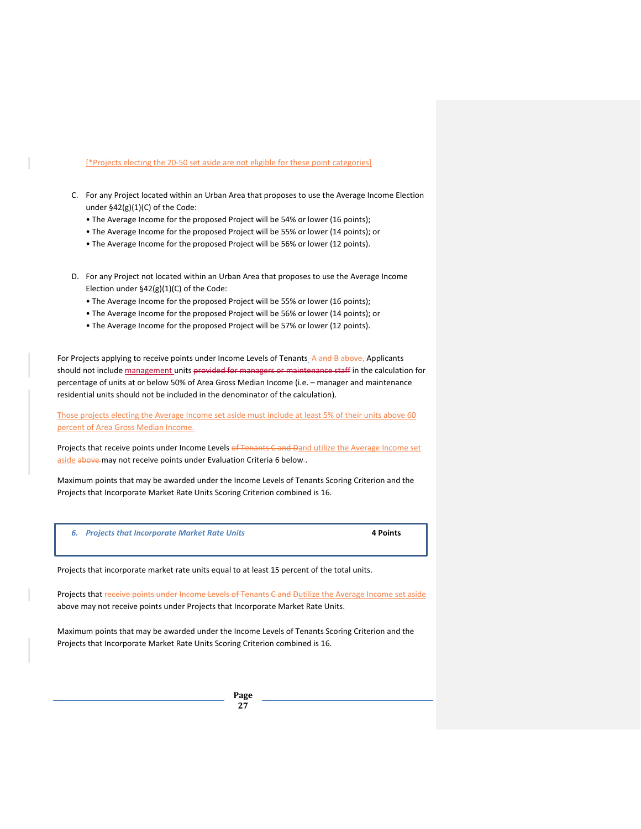#### [\*Projects electing the 20-50 set aside are not eligible for these point categories]

- C. For any Project located within an Urban Area that proposes to use the Average Income Election under §42(g)(1)(C) of the Code:
	- The Average Income for the proposed Project will be 54% or lower (16 points);
	- The Average Income for the proposed Project will be 55% or lower (14 points); or
	- The Average Income for the proposed Project will be 56% or lower (12 points).
- D. For any Project not located within an Urban Area that proposes to use the Average Income Election under §42(g)(1)(C) of the Code:
	- The Average Income for the proposed Project will be 55% or lower (16 points);
	- The Average Income for the proposed Project will be 56% or lower (14 points); or
	- The Average Income for the proposed Project will be 57% or lower (12 points).

For Projects applying to receive points under Income Levels of Tenants A and B above, Applicants should not include management units provided for managers or maintenance staff in the calculation for percentage of units at or below 50% of Area Gross Median Income (i.e. – manager and maintenance residential units should not be included in the denominator of the calculation).

Those projects electing the Average Income set aside must include at least 5% of their units above 60 percent of Area Gross Median Income.

Projects that receive points under Income Levels of Tenants C and Dand utilize the Average Income set aside above may not receive points under Evaluation Criteria 6 below-.

Maximum points that may be awarded under the Income Levels of Tenants Scoring Criterion and the Projects that Incorporate Market Rate Units Scoring Criterion combined is 16.

*6. Projects that Incorporate Market Rate Units* **4 Points**

Projects that incorporate market rate units equal to at least 15 percent of the total units.

Projects that receive points under Income Levels of Tenants C and Dutilize the Average Income set aside above may not receive points under Projects that Incorporate Market Rate Units.

Maximum points that may be awarded under the Income Levels of Tenants Scoring Criterion and the Projects that Incorporate Market Rate Units Scoring Criterion combined is 16.

> **Page 27**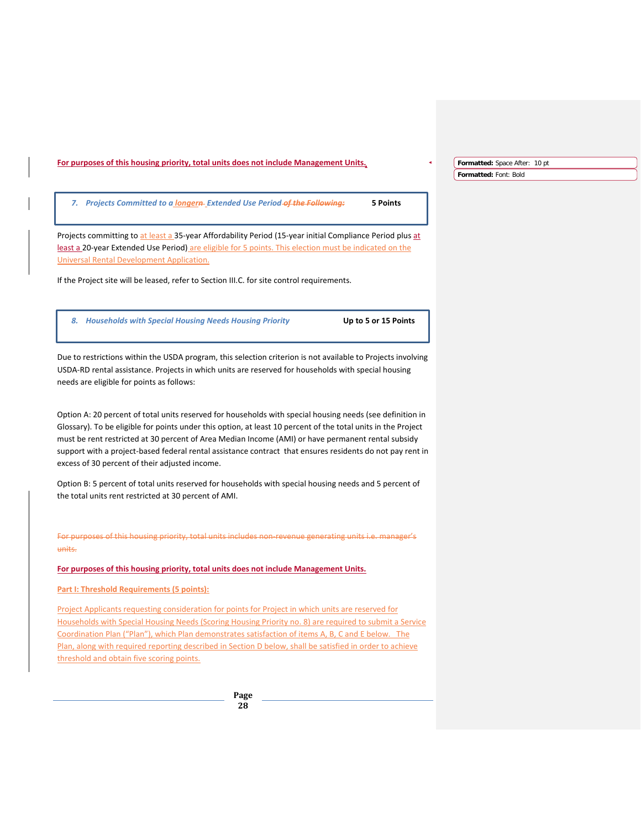|                                                                                                                                                                 | Formatted: Space After: 10 pt |  |
|-----------------------------------------------------------------------------------------------------------------------------------------------------------------|-------------------------------|--|
|                                                                                                                                                                 | Formatted: Font: Bold         |  |
|                                                                                                                                                                 |                               |  |
| 7. Projects Committed to a longern-Extended Use Period-of the Following:<br>5 Points                                                                            |                               |  |
|                                                                                                                                                                 |                               |  |
| Projects committing to at least a 35-year Affordability Period (15-year initial Compliance Period plus at                                                       |                               |  |
| least a 20-year Extended Use Period) are eligible for 5 points. This election must be indicated on the                                                          |                               |  |
| Universal Rental Development Application.                                                                                                                       |                               |  |
| If the Project site will be leased, refer to Section III.C. for site control requirements.                                                                      |                               |  |
|                                                                                                                                                                 |                               |  |
| 8. Households with Special Housing Needs Housing Priority<br>Up to 5 or 15 Points                                                                               |                               |  |
|                                                                                                                                                                 |                               |  |
| Due to restrictions within the USDA program, this selection criterion is not available to Projects involving                                                    |                               |  |
| USDA-RD rental assistance. Projects in which units are reserved for households with special housing                                                             |                               |  |
| needs are eligible for points as follows:                                                                                                                       |                               |  |
|                                                                                                                                                                 |                               |  |
| Option A: 20 percent of total units reserved for households with special housing needs (see definition in                                                       |                               |  |
| Glossary). To be eligible for points under this option, at least 10 percent of the total units in the Project                                                   |                               |  |
| must be rent restricted at 30 percent of Area Median Income (AMI) or have permanent rental subsidy                                                              |                               |  |
| support with a project-based federal rental assistance contract that ensures residents do not pay rent in                                                       |                               |  |
| excess of 30 percent of their adjusted income.                                                                                                                  |                               |  |
|                                                                                                                                                                 |                               |  |
| Option B: 5 percent of total units reserved for households with special housing needs and 5 percent of<br>the total units rent restricted at 30 percent of AMI. |                               |  |
|                                                                                                                                                                 |                               |  |
|                                                                                                                                                                 |                               |  |
| For purposes of this housing priority, total units includes non-revenue generating units i.e. manager's                                                         |                               |  |
| units.                                                                                                                                                          |                               |  |
| For purposes of this housing priority, total units does not include Management Units.                                                                           |                               |  |
| Part I: Threshold Requirements (5 points):                                                                                                                      |                               |  |
| <u>Project Applicants requesting consideration for points for Project in which units are reserved for</u>                                                       |                               |  |
| Households with Special Housing Needs (Scoring Housing Priority no. 8) are required to submit a Service                                                         |                               |  |
| Coordination Plan ("Plan"), which Plan demonstrates satisfaction of items A, B, C and E below. The                                                              |                               |  |
| Plan, along with required reporting described in Section D below, shall be satisfied in order to achieve                                                        |                               |  |
| threshold and obtain five scoring points.                                                                                                                       |                               |  |
|                                                                                                                                                                 |                               |  |
| Page                                                                                                                                                            |                               |  |
| 28                                                                                                                                                              |                               |  |
|                                                                                                                                                                 |                               |  |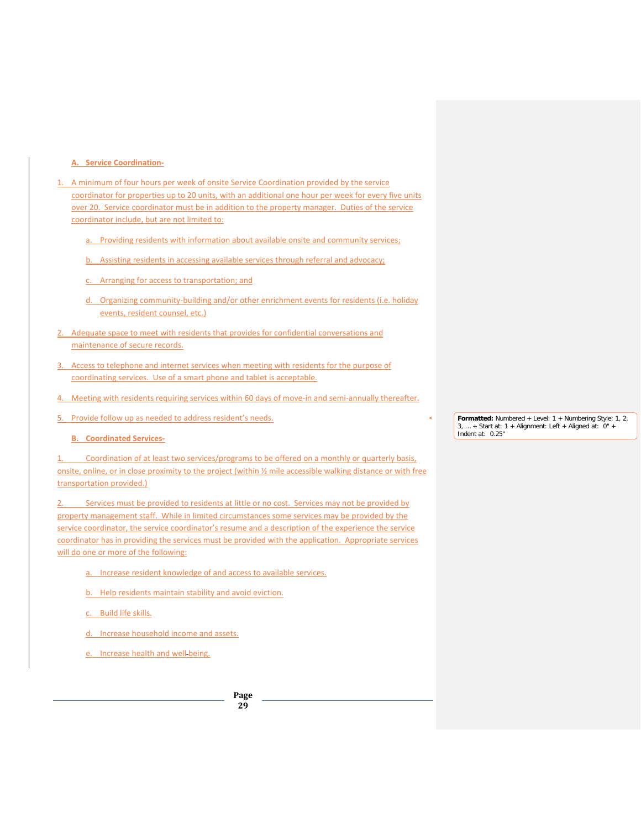#### **A. Service Coordination-**

- 1. A minimum of four hours per week of onsite Service Coordination provided by the service coordinator for properties up to 20 units, with an additional one hour per week for every five units over 20. Service coordinator must be in addition to the property manager. Duties of the service coordinator include, but are not limited to:
	- a. Providing residents with information about available onsite and community services;
	- b. Assisting residents in accessing available services through referral and advocacy;
	- c. Arranging for access to transportation; and
	- d. Organizing community-building and/or other enrichment events for residents (i.e. holiday events, resident counsel, etc.)
- 2. Adequate space to meet with residents that provides for confidential conversations and maintenance of secure records.
- 3. Access to telephone and internet services when meeting with residents for the purpose of coordinating services. Use of a smart phone and tablet is acceptable.
- 4. Meeting with residents requiring services within 60 days of move-in and semi-annually thereafter.
- 5. Provide follow up as needed to address resident's needs.

#### **B. Coordinated Services-**

1. Coordination of at least two services/programs to be offered on a monthly or quarterly basis, onsite, online, or in close proximity to the project (within ½ mile accessible walking distance or with free transportation provided.)

Services must be provided to residents at little or no cost. Services may not be provided by property management staff. While in limited circumstances some services may be provided by the service coordinator, the service coordinator's resume and a description of the experience the service coordinator has in providing the services must be provided with the application. Appropriate services will do one or more of the following:

- Increase resident knowledge of and access to available services.
- b. Help residents maintain stability and avoid eviction.
- c. Build life skills.
- d. Increase household income and assets.
- e. Increase health and well being.

**Page 29**

**Formatted:** Numbered + Level: 1 + Numbering Style: 1, 2, 3, … + Start at: 1 + Alignment: Left + Aligned at: 0" + Indent at: 0.25"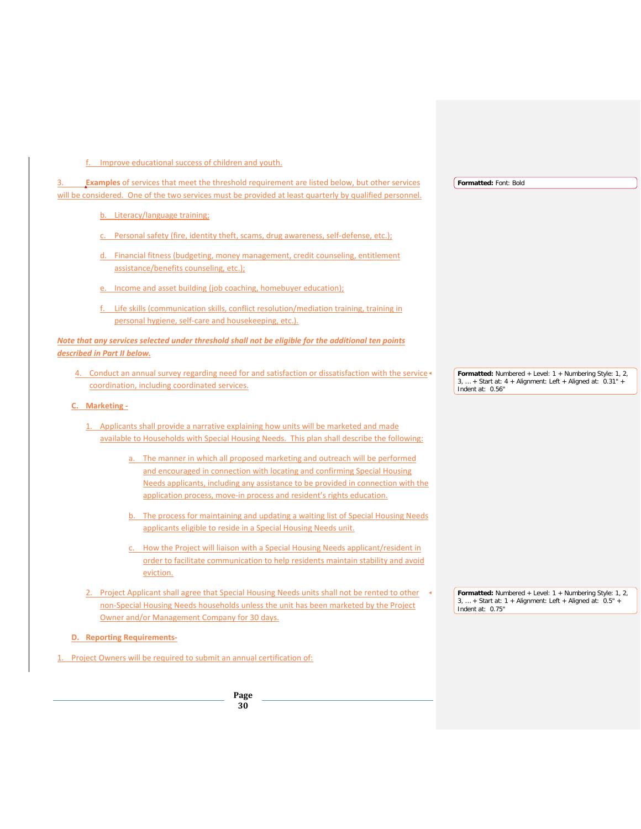f. Improve educational success of children and youth.

| <b>Examples</b> of services that meet the threshold requirement are listed below, but other services                                                                                                                                          | Formatted: Font: Bold                                                                                                                            |
|-----------------------------------------------------------------------------------------------------------------------------------------------------------------------------------------------------------------------------------------------|--------------------------------------------------------------------------------------------------------------------------------------------------|
| will be considered. One of the two services must be provided at least quarterly by qualified personnel.                                                                                                                                       |                                                                                                                                                  |
| b. Literacy/language training;                                                                                                                                                                                                                |                                                                                                                                                  |
| Personal safety (fire, identity theft, scams, drug awareness, self-defense, etc.);                                                                                                                                                            |                                                                                                                                                  |
| d. Financial fitness (budgeting, money management, credit counseling, entitlement<br>assistance/benefits counseling, etc.);                                                                                                                   |                                                                                                                                                  |
| e. Income and asset building (job coaching, homebuyer education);                                                                                                                                                                             |                                                                                                                                                  |
| f. Life skills (communication skills, conflict resolution/mediation training, training in<br>personal hygiene, self-care and housekeeping, etc.).                                                                                             |                                                                                                                                                  |
| Note that any services selected under threshold shall not be eligible for the additional ten points<br>described in Part II below.                                                                                                            |                                                                                                                                                  |
| 4. Conduct an annual survey regarding need for and satisfaction or dissatisfaction with the service +<br>coordination, including coordinated services.                                                                                        | Formatted: Numbered + Level: $1 +$ Numbering Style: 1, 2,<br>$3, $ + Start at: $4 +$ Alignment: Left + Aligned at: $0.31"$ +<br>Indent at: 0.56" |
| C. Marketing -                                                                                                                                                                                                                                |                                                                                                                                                  |
| Applicants shall provide a narrative explaining how units will be marketed and made<br>available to Households with Special Housing Needs. This plan shall describe the following:                                                            |                                                                                                                                                  |
| a. The manner in which all proposed marketing and outreach will be performed<br>and encouraged in connection with locating and confirming Special Housing<br>Needs applicants, including any assistance to be provided in connection with the |                                                                                                                                                  |
| application process, move-in process and resident's rights education.<br>b. The process for maintaining and updating a waiting list of Special Housing Needs<br>applicants eligible to reside in a Special Housing Needs unit.                |                                                                                                                                                  |
| How the Project will liaison with a Special Housing Needs applicant/resident in<br>order to facilitate communication to help residents maintain stability and avoid<br>eviction.                                                              |                                                                                                                                                  |
| Project Applicant shall agree that Special Housing Needs units shall not be rented to other<br>non-Special Housing Needs households unless the unit has been marketed by the Project                                                          | Formatted: Numbered + Level: 1 + Numbering Style: 1, 2,<br>$3,  +$ Start at: 1 + Alignment: Left + Aligned at: 0.5" +<br>Indent at: 0.75"        |
| Owner and/or Management Company for 30 days.                                                                                                                                                                                                  |                                                                                                                                                  |
| <b>D.</b> Reporting Requirements-                                                                                                                                                                                                             |                                                                                                                                                  |
| Project Owners will be required to submit an annual certification of:                                                                                                                                                                         |                                                                                                                                                  |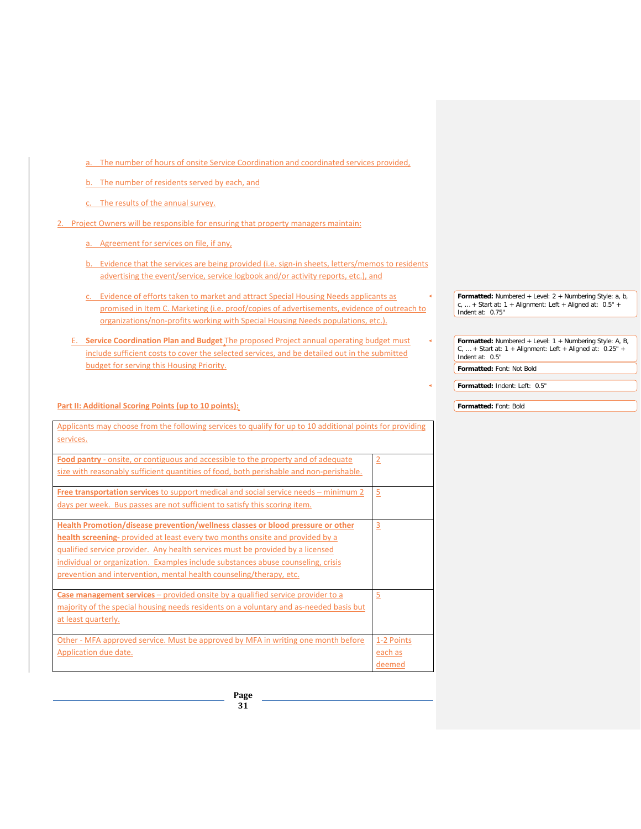- a. The number of hours of onsite Service Coordination and coordinated services provided,
- b. The number of residents served by each, and
- c. The results of the annual survey.
- 2. Project Owners will be responsible for ensuring that property managers maintain:
	- a. Agreement for services on file, if any,
	- b. Evidence that the services are being provided (i.e. sign-in sheets, letters/memos to residents advertising the event/service, service logbook and/or activity reports, etc.), and
	- c. Evidence of efforts taken to market and attract Special Housing Needs applicants as promised in Item C. Marketing (i.e. proof/copies of advertisements, evidence of outreach to organizations/non-profits working with Special Housing Needs populations, etc.).
	- E. **Service Coordination Plan and Budget** The proposed Project annual operating budget must include sufficient costs to cover the selected services, and be detailed out in the submitted budget for serving this Housing Priority.

#### **Part II: Additional Scoring Points (up to 10 points):**

| Applicants may choose from the following services to qualify for up to 10 additional points for providing |                |
|-----------------------------------------------------------------------------------------------------------|----------------|
| services.                                                                                                 |                |
|                                                                                                           |                |
| Food pantry - onsite, or contiguous and accessible to the property and of adequate                        | $\overline{2}$ |
| size with reasonably sufficient quantities of food, both perishable and non-perishable.                   |                |
| Free transportation services to support medical and social service needs – minimum 2                      | $\overline{5}$ |
| days per week. Bus passes are not sufficient to satisfy this scoring item.                                |                |
| Health Promotion/disease prevention/wellness classes or blood pressure or other                           | $\overline{3}$ |
| health screening- provided at least every two months onsite and provided by a                             |                |
| qualified service provider. Any health services must be provided by a licensed                            |                |
| individual or organization. Examples include substances abuse counseling, crisis                          |                |
| prevention and intervention, mental health counseling/therapy, etc.                                       |                |
| <b>Case management services</b> – provided onsite by a qualified service provider to a                    | $\overline{5}$ |
| majority of the special housing needs residents on a voluntary and as-needed basis but                    |                |
| at least quarterly.                                                                                       |                |
|                                                                                                           |                |
| Other - MFA approved service. Must be approved by MFA in writing one month before                         | 1-2 Points     |
| Application due date.                                                                                     | each as        |
|                                                                                                           | deemed         |

**Formatted:** Numbered + Level: 2 + Numbering Style: a, b, c, … + Start at: 1 + Alignment: Left + Aligned at: 0.5" + Indent at: 0.75"

**Formatted:** Numbered + Level: 1 + Numbering Style: A, B,<br>C, ... + Start at: 1 + Alignment: Left + Aligned at: 0.25" +<br>Indent at: 0.5" **Formatted:** Font: Not Bold

**Formatted:** Indent: Left: 0.5"

**Formatted:** Font: Bold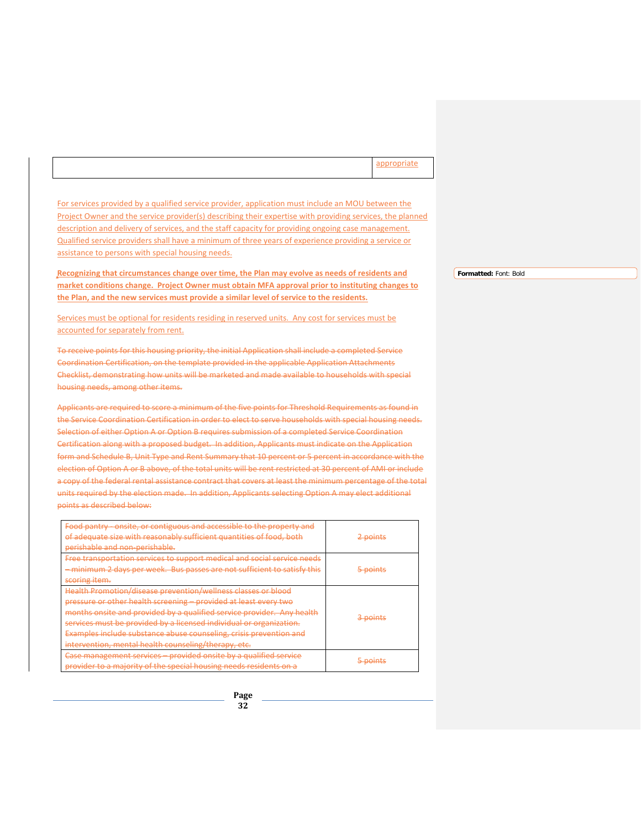appropriate

For services provided by a qualified service provider, application must include an MOU between the Project Owner and the service provider(s) describing their expertise with providing services, the planned description and delivery of services, and the staff capacity for providing ongoing case management. Qualified service providers shall have a minimum of three years of experience providing a service or assistance to persons with special housing needs.

**Recognizing that circumstances change over time, the Plan may evolve as needs of residents and market conditions change. Project Owner must obtain MFA approval prior to instituting changes to the Plan, and the new services must provide a similar level of service to the residents.** 

Services must be optional for residents residing in reserved units. Any cost for services must be accounted for separately from rent.

To receive points for this housing priority, the initial Application shall include a completed Service Coordination Certification, on the template provided in the applicable Application Attachments Checklist, demonstrating how units will be marketed and made available to households with special housing needs, among other items.

Applicants are required to score a minimum of the five points for Threshold Requirements as found in the Service Coordination Certification in order to elect to serve households with special housing needs. Selection of either Option A or Option B requires submission of a completed Service Coordination Certification along with a proposed budget. In addition, Applicants must indicate on the Application form and Schedule B, Unit Type and Rent Summary that 10 percent or 5 percent in accordance with the election of Option A or B above, of the total units will be rent restricted at 30 percent of AMI or include a copy of the federal rental assistance contract that covers at least the minimum percentage of the total units required by the election made. In addition, Applicants selecting Option A may elect additional points as described below:

| Food pantry - onsite, or contiguous and accessible to the property and<br>of adequate size with reasonably sufficient quantities of food, both | <del>2 points</del> |
|------------------------------------------------------------------------------------------------------------------------------------------------|---------------------|
| perishable and non-perishable.                                                                                                                 |                     |
| Free transportation services to support medical and social service needs                                                                       |                     |
| - minimum 2 days per week. Bus passes are not sufficient to satisfy this                                                                       | <del>5 points</del> |
| scoring item.                                                                                                                                  |                     |
| Health Promotion/disease prevention/wellness classes or blood                                                                                  |                     |
| pressure or other health screening - provided at least every two                                                                               |                     |
| months onsite and provided by a qualified service provider. Any health                                                                         |                     |
| services must be provided by a licensed individual or organization.                                                                            | 3 points            |
| Examples include substance abuse counseling, crisis prevention and                                                                             |                     |
| intervention, mental health counseling/therapy, etc.                                                                                           |                     |
| Case management services – provided onsite by a qualified service                                                                              |                     |
| provider to a majority of the special housing needs residents on a                                                                             | <del>5 points</del> |

**Formatted:** Font: Bold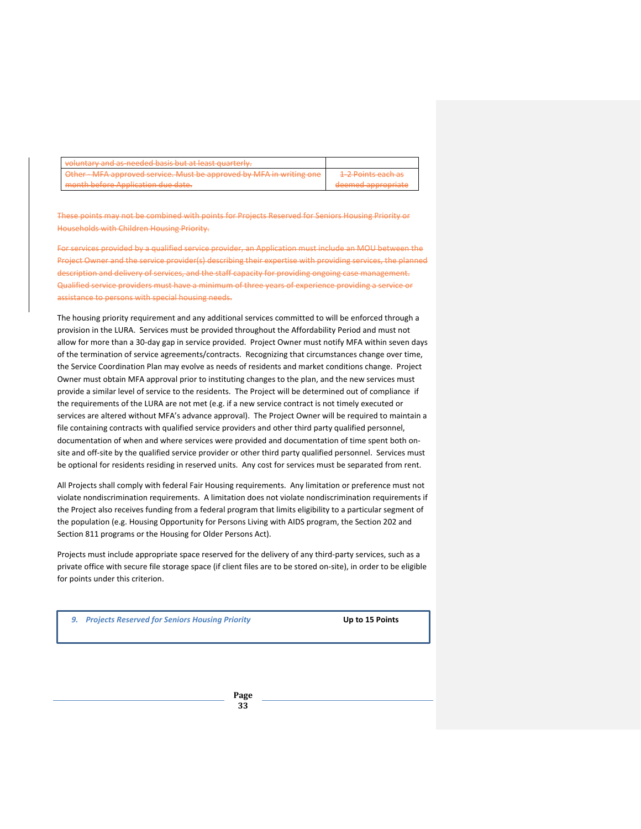| voluntary and as-needed basis but at least quarterly.              |                                                     |
|--------------------------------------------------------------------|-----------------------------------------------------|
| Other MFA approved service. Must be approved by MFA in writing one | 1.7 Doints agsh as<br><del>the POINts caun as</del> |
| month before Application due date.                                 | deemed appropriate                                  |

These points may not be combined with points for Projects Reserved for Seniors Housing Priority or Households with Children Housing Priority.

For services provided by a qualified service provider, an Application must include an MOU between the Project Owner and the service provider(s) describing their expertise with providing services, the planned description and delivery of services, and the staff capacity for providing ongoing case management. Qualified service providers must have a minimum of three years of experience providing a service or assistance to persons with special housing needs.

The housing priority requirement and any additional services committed to will be enforced through a provision in the LURA. Services must be provided throughout the Affordability Period and must not allow for more than a 30-day gap in service provided. Project Owner must notify MFA within seven days of the termination of service agreements/contracts. Recognizing that circumstances change over time, the Service Coordination Plan may evolve as needs of residents and market conditions change. Project Owner must obtain MFA approval prior to instituting changes to the plan, and the new services must provide a similar level of service to the residents. The Project will be determined out of compliance if the requirements of the LURA are not met (e.g. if a new service contract is not timely executed or services are altered without MFA's advance approval). The Project Owner will be required to maintain a file containing contracts with qualified service providers and other third party qualified personnel, documentation of when and where services were provided and documentation of time spent both onsite and off-site by the qualified service provider or other third party qualified personnel. Services must be optional for residents residing in reserved units. Any cost for services must be separated from rent.

All Projects shall comply with federal Fair Housing requirements. Any limitation or preference must not violate nondiscrimination requirements. A limitation does not violate nondiscrimination requirements if the Project also receives funding from a federal program that limits eligibility to a particular segment of the population (e.g. Housing Opportunity for Persons Living with AIDS program, the Section 202 and Section 811 programs or the Housing for Older Persons Act).

Projects must include appropriate space reserved for the delivery of any third-party services, such as a private office with secure file storage space (if client files are to be stored on-site), in order to be eligible for points under this criterion.

*9. Projects Reserved for Seniors Housing Priority* **Up to 15 Points**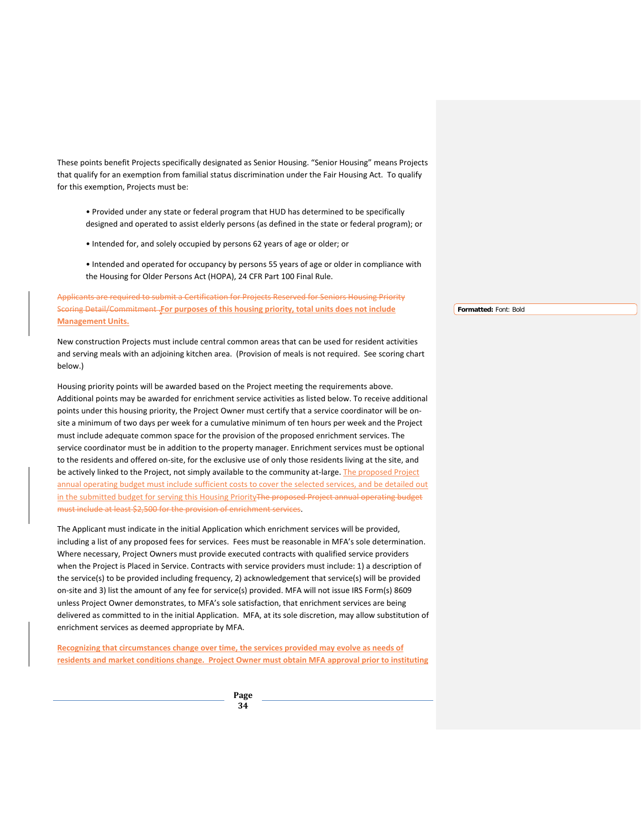These points benefit Projects specifically designated as Senior Housing. "Senior Housing" means Projects that qualify for an exemption from familial status discrimination under the Fair Housing Act. To qualify for this exemption, Projects must be:

- Provided under any state or federal program that HUD has determined to be specifically designed and operated to assist elderly persons (as defined in the state or federal program); or
- Intended for, and solely occupied by persons 62 years of age or older; or
- Intended and operated for occupancy by persons 55 years of age or older in compliance with the Housing for Older Persons Act (HOPA), 24 CFR Part 100 Final Rule.

Applicants are required to submit a Certification for Projects Reserved for Seniors Housing Priority Scoring Detail/Commitment .**For purposes of this housing priority, total units does not include Management Units.**

New construction Projects must include central common areas that can be used for resident activities and serving meals with an adjoining kitchen area. (Provision of meals is not required. See scoring chart below.)

Housing priority points will be awarded based on the Project meeting the requirements above. Additional points may be awarded for enrichment service activities as listed below. To receive additional points under this housing priority, the Project Owner must certify that a service coordinator will be onsite a minimum of two days per week for a cumulative minimum of ten hours per week and the Project must include adequate common space for the provision of the proposed enrichment services. The service coordinator must be in addition to the property manager. Enrichment services must be optional to the residents and offered on-site, for the exclusive use of only those residents living at the site, and be actively linked to the Project, not simply available to the community at-large. The proposed Project annual operating budget must include sufficient costs to cover the selected services, and be detailed out in the submitted budget for serving this Housing PriorityThe proposed Project annual operating budget must include at least \$2,500 for the provision of enrichment services.

The Applicant must indicate in the initial Application which enrichment services will be provided, including a list of any proposed fees for services. Fees must be reasonable in MFA's sole determination. Where necessary, Project Owners must provide executed contracts with qualified service providers when the Project is Placed in Service. Contracts with service providers must include: 1) a description of the service(s) to be provided including frequency, 2) acknowledgement that service(s) will be provided on-site and 3) list the amount of any fee for service(s) provided. MFA will not issue IRS Form(s) 8609 unless Project Owner demonstrates, to MFA's sole satisfaction, that enrichment services are being delivered as committed to in the initial Application. MFA, at its sole discretion, may allow substitution of enrichment services as deemed appropriate by MFA.

**Recognizing that circumstances change over time, the services provided may evolve as needs of residents and market conditions change. Project Owner must obtain MFA approval prior to instituting** 

> **Page 34**

**Formatted:** Font: Bold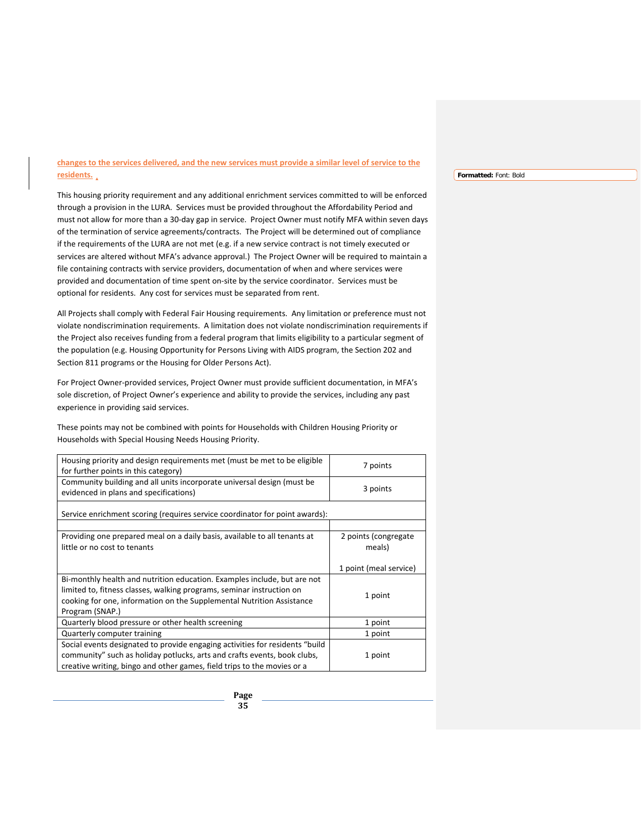# **changes to the services delivered, and the new services must provide a similar level of service to the residents.**

This housing priority requirement and any additional enrichment services committed to will be enforced through a provision in the LURA. Services must be provided throughout the Affordability Period and must not allow for more than a 30-day gap in service. Project Owner must notify MFA within seven days of the termination of service agreements/contracts. The Project will be determined out of compliance if the requirements of the LURA are not met (e.g. if a new service contract is not timely executed or services are altered without MFA's advance approval.) The Project Owner will be required to maintain a file containing contracts with service providers, documentation of when and where services were provided and documentation of time spent on-site by the service coordinator. Services must be optional for residents. Any cost for services must be separated from rent.

All Projects shall comply with Federal Fair Housing requirements. Any limitation or preference must not violate nondiscrimination requirements. A limitation does not violate nondiscrimination requirements if the Project also receives funding from a federal program that limits eligibility to a particular segment of the population (e.g. Housing Opportunity for Persons Living with AIDS program, the Section 202 and Section 811 programs or the Housing for Older Persons Act).

For Project Owner-provided services, Project Owner must provide sufficient documentation, in MFA's sole discretion, of Project Owner's experience and ability to provide the services, including any past experience in providing said services.

These points may not be combined with points for Households with Children Housing Priority or Households with Special Housing Needs Housing Priority.

| Housing priority and design requirements met (must be met to be eligible<br>for further points in this category)                                                                                                                              | 7 points                       |
|-----------------------------------------------------------------------------------------------------------------------------------------------------------------------------------------------------------------------------------------------|--------------------------------|
| Community building and all units incorporate universal design (must be<br>evidenced in plans and specifications)                                                                                                                              | 3 points                       |
| Service enrichment scoring (requires service coordinator for point awards):                                                                                                                                                                   |                                |
| Providing one prepared meal on a daily basis, available to all tenants at<br>little or no cost to tenants                                                                                                                                     | 2 points (congregate<br>meals) |
|                                                                                                                                                                                                                                               | 1 point (meal service)         |
| Bi-monthly health and nutrition education. Examples include, but are not<br>limited to, fitness classes, walking programs, seminar instruction on<br>cooking for one, information on the Supplemental Nutrition Assistance<br>Program (SNAP.) | 1 point                        |
| Quarterly blood pressure or other health screening                                                                                                                                                                                            | 1 point                        |
| Quarterly computer training                                                                                                                                                                                                                   | 1 point                        |
| Social events designated to provide engaging activities for residents "build"<br>community" such as holiday potlucks, arts and crafts events, book clubs,<br>creative writing, bingo and other games, field trips to the movies or a          | 1 point                        |

# **Formatted:** Font: Bold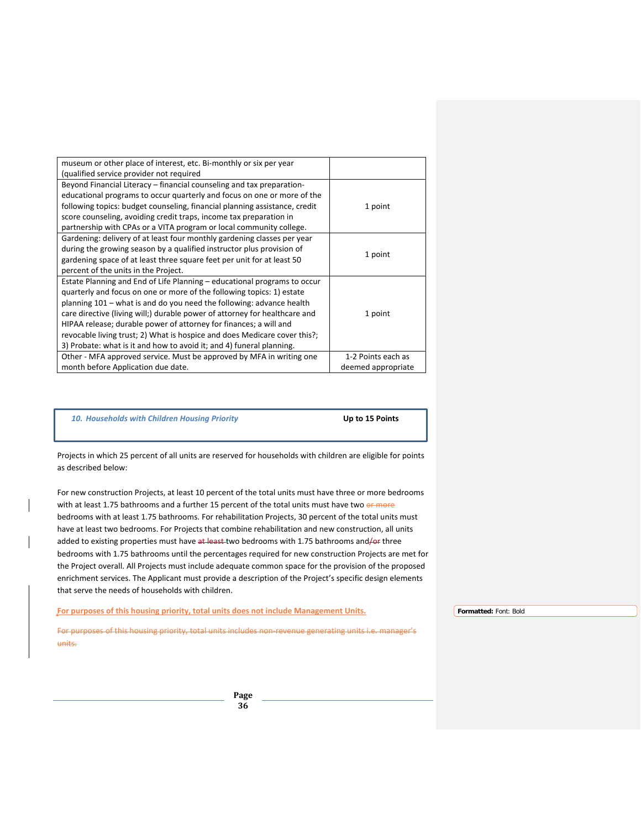| museum or other place of interest, etc. Bi-monthly or six per year<br>(qualified service provider not required                                   |                    |
|--------------------------------------------------------------------------------------------------------------------------------------------------|--------------------|
| Beyond Financial Literacy – financial counseling and tax preparation-                                                                            |                    |
| educational programs to occur quarterly and focus on one or more of the                                                                          |                    |
| following topics: budget counseling, financial planning assistance, credit<br>score counseling, avoiding credit traps, income tax preparation in | 1 point            |
| partnership with CPAs or a VITA program or local community college.                                                                              |                    |
| Gardening: delivery of at least four monthly gardening classes per year                                                                          |                    |
| during the growing season by a qualified instructor plus provision of<br>gardening space of at least three square feet per unit for at least 50  | 1 point            |
| percent of the units in the Project.                                                                                                             |                    |
| Estate Planning and End of Life Planning – educational programs to occur                                                                         |                    |
| quarterly and focus on one or more of the following topics: 1) estate<br>planning 101 – what is and do you need the following: advance health    |                    |
| care directive (living will;) durable power of attorney for healthcare and                                                                       | 1 point            |
| HIPAA release; durable power of attorney for finances; a will and                                                                                |                    |
| revocable living trust; 2) What is hospice and does Medicare cover this?;                                                                        |                    |
| 3) Probate: what is it and how to avoid it; and 4) funeral planning.                                                                             |                    |
| Other - MFA approved service. Must be approved by MFA in writing one                                                                             | 1-2 Points each as |
| month before Application due date.                                                                                                               | deemed appropriate |

#### *10. Households with Children Housing Priority* **Up to 15 Points**

Projects in which 25 percent of all units are reserved for households with children are eligible for points as described below:

For new construction Projects, at least 10 percent of the total units must have three or more bedrooms with at least 1.75 bathrooms and a further 15 percent of the total units must have two or more bedrooms with at least 1.75 bathrooms. For rehabilitation Projects, 30 percent of the total units must have at least two bedrooms. For Projects that combine rehabilitation and new construction, all units added to existing properties must have at least two bedrooms with 1.75 bathrooms and/or three bedrooms with 1.75 bathrooms until the percentages required for new construction Projects are met for the Project overall. All Projects must include adequate common space for the provision of the proposed enrichment services. The Applicant must provide a description of the Project's specific design elements that serve the needs of households with children.

**For purposes of this housing priority, total units does not include Management Units.**

For purposes of this housing priority, total units includes non-revenue generating units i.e. manager's units.

**Formatted:** Font: Bold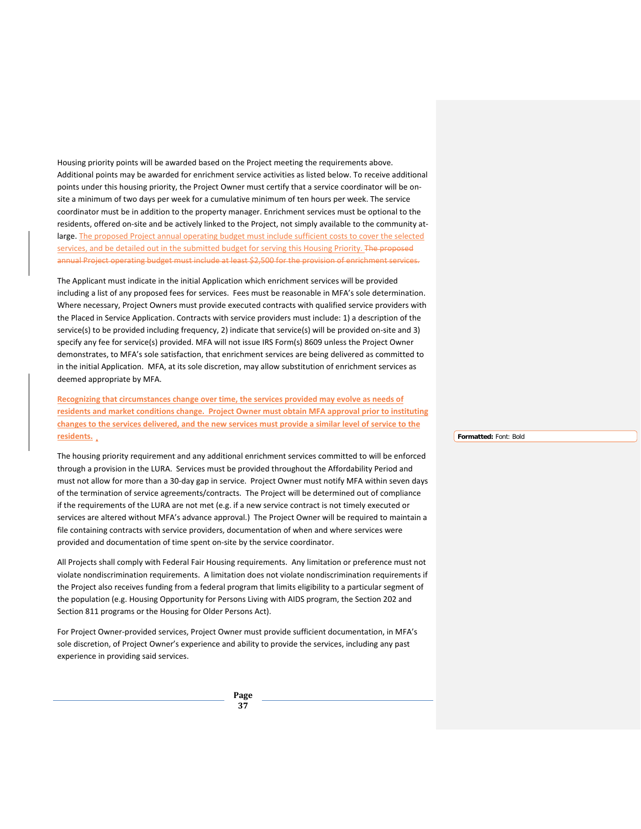Housing priority points will be awarded based on the Project meeting the requirements above. Additional points may be awarded for enrichment service activities as listed below. To receive additional points under this housing priority, the Project Owner must certify that a service coordinator will be onsite a minimum of two days per week for a cumulative minimum of ten hours per week. The service coordinator must be in addition to the property manager. Enrichment services must be optional to the residents, offered on-site and be actively linked to the Project, not simply available to the community atlarge. The proposed Project annual operating budget must include sufficient costs to cover the selected services, and be detailed out in the submitted budget for serving this Housing Priority. The proposed annual Project operating budget must include at least \$2,500 for the provision of enrichment services.

The Applicant must indicate in the initial Application which enrichment services will be provided including a list of any proposed fees for services. Fees must be reasonable in MFA's sole determination. Where necessary, Project Owners must provide executed contracts with qualified service providers with the Placed in Service Application. Contracts with service providers must include: 1) a description of the service(s) to be provided including frequency, 2) indicate that service(s) will be provided on-site and 3) specify any fee for service(s) provided. MFA will not issue IRS Form(s) 8609 unless the Project Owner demonstrates, to MFA's sole satisfaction, that enrichment services are being delivered as committed to in the initial Application. MFA, at its sole discretion, may allow substitution of enrichment services as deemed appropriate by MFA.

**Recognizing that circumstances change over time, the services provided may evolve as needs of residents and market conditions change. Project Owner must obtain MFA approval prior to instituting changes to the services delivered, and the new services must provide a similar level of service to the residents.** 

The housing priority requirement and any additional enrichment services committed to will be enforced through a provision in the LURA. Services must be provided throughout the Affordability Period and must not allow for more than a 30-day gap in service. Project Owner must notify MFA within seven days of the termination of service agreements/contracts. The Project will be determined out of compliance if the requirements of the LURA are not met (e.g. if a new service contract is not timely executed or services are altered without MFA's advance approval.) The Project Owner will be required to maintain a file containing contracts with service providers, documentation of when and where services were provided and documentation of time spent on-site by the service coordinator.

All Projects shall comply with Federal Fair Housing requirements. Any limitation or preference must not violate nondiscrimination requirements. A limitation does not violate nondiscrimination requirements if the Project also receives funding from a federal program that limits eligibility to a particular segment of the population (e.g. Housing Opportunity for Persons Living with AIDS program, the Section 202 and Section 811 programs or the Housing for Older Persons Act).

For Project Owner-provided services, Project Owner must provide sufficient documentation, in MFA's sole discretion, of Project Owner's experience and ability to provide the services, including any past experience in providing said services.

> **Page 37**

**Formatted:** Font: Bold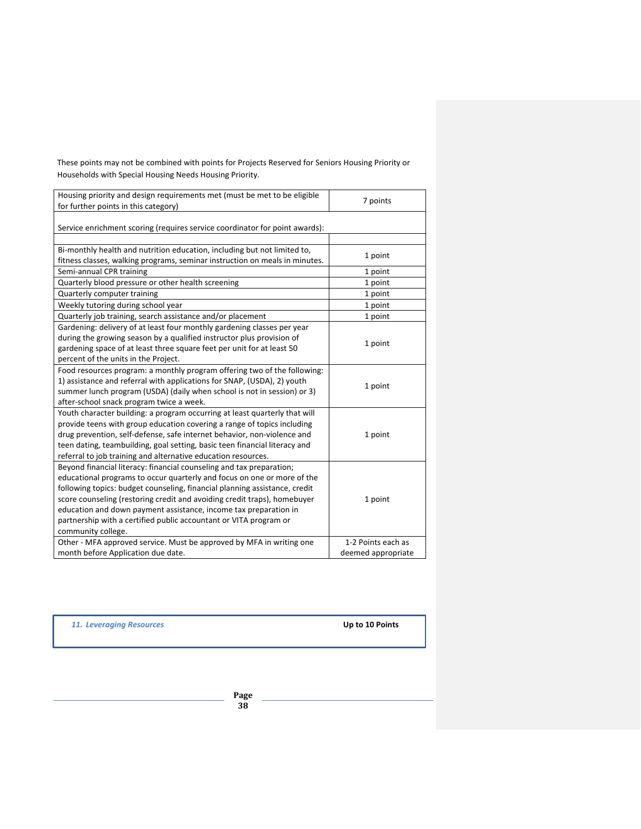These points may not be combined with points for Projects Reserved for Seniors Housing Priority or Households with Special Housing Needs Housing Priority.

| Housing priority and design requirements met (must be met to be eligible<br>for further points in this category) | 7 points           |  |
|------------------------------------------------------------------------------------------------------------------|--------------------|--|
|                                                                                                                  |                    |  |
|                                                                                                                  |                    |  |
| Service enrichment scoring (requires service coordinator for point awards):                                      |                    |  |
|                                                                                                                  |                    |  |
| Bi-monthly health and nutrition education, including but not limited to,                                         | 1 point            |  |
| fitness classes, walking programs, seminar instruction on meals in minutes.                                      |                    |  |
| Semi-annual CPR training                                                                                         | 1 point            |  |
| Quarterly blood pressure or other health screening                                                               | 1 point            |  |
| Quarterly computer training                                                                                      | 1 point            |  |
| Weekly tutoring during school year                                                                               | 1 point            |  |
| Quarterly job training, search assistance and/or placement                                                       | 1 point            |  |
| Gardening: delivery of at least four monthly gardening classes per year                                          |                    |  |
| during the growing season by a qualified instructor plus provision of                                            |                    |  |
| gardening space of at least three square feet per unit for at least 50                                           | 1 point            |  |
| percent of the units in the Project.                                                                             |                    |  |
| Food resources program: a monthly program offering two of the following:                                         |                    |  |
| 1) assistance and referral with applications for SNAP, (USDA), 2) youth                                          | 1 point            |  |
| summer lunch program (USDA) (daily when school is not in session) or 3)                                          |                    |  |
| after-school snack program twice a week.                                                                         |                    |  |
| Youth character building: a program occurring at least quarterly that will                                       |                    |  |
| provide teens with group education covering a range of topics including                                          |                    |  |
| drug prevention, self-defense, safe internet behavior, non-violence and                                          | 1 point            |  |
| teen dating, teambuilding, goal setting, basic teen financial literacy and                                       |                    |  |
| referral to job training and alternative education resources.                                                    |                    |  |
| Beyond financial literacy: financial counseling and tax preparation;                                             |                    |  |
| educational programs to occur quarterly and focus on one or more of the                                          |                    |  |
| following topics: budget counseling, financial planning assistance, credit                                       |                    |  |
| score counseling (restoring credit and avoiding credit traps), homebuyer                                         | 1 point            |  |
| education and down payment assistance, income tax preparation in                                                 |                    |  |
| partnership with a certified public accountant or VITA program or                                                |                    |  |
| community college.                                                                                               |                    |  |
| Other - MFA approved service. Must be approved by MFA in writing one                                             | 1-2 Points each as |  |
| month before Application due date.                                                                               | deemed appropriate |  |

*11. Leveraging Resources* **Up to 10 Points**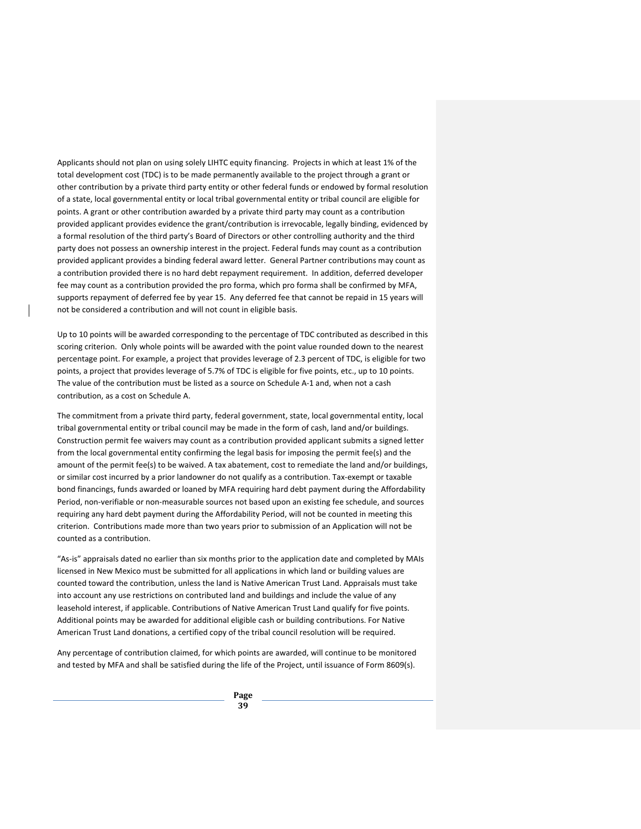Applicants should not plan on using solely LIHTC equity financing. Projects in which at least 1% of the total development cost (TDC) is to be made permanently available to the project through a grant or other contribution by a private third party entity or other federal funds or endowed by formal resolution of a state, local governmental entity or local tribal governmental entity or tribal council are eligible for points. A grant or other contribution awarded by a private third party may count as a contribution provided applicant provides evidence the grant/contribution is irrevocable, legally binding, evidenced by a formal resolution of the third party's Board of Directors or other controlling authority and the third party does not possess an ownership interest in the project. Federal funds may count as a contribution provided applicant provides a binding federal award letter. General Partner contributions may count as a contribution provided there is no hard debt repayment requirement. In addition, deferred developer fee may count as a contribution provided the pro forma, which pro forma shall be confirmed by MFA, supports repayment of deferred fee by year 15. Any deferred fee that cannot be repaid in 15 years will not be considered a contribution and will not count in eligible basis.

Up to 10 points will be awarded corresponding to the percentage of TDC contributed as described in this scoring criterion. Only whole points will be awarded with the point value rounded down to the nearest percentage point. For example, a project that provides leverage of 2.3 percent of TDC, is eligible for two points, a project that provides leverage of 5.7% of TDC is eligible for five points, etc., up to 10 points. The value of the contribution must be listed as a source on Schedule A-1 and, when not a cash contribution, as a cost on Schedule A.

The commitment from a private third party, federal government, state, local governmental entity, local tribal governmental entity or tribal council may be made in the form of cash, land and/or buildings. Construction permit fee waivers may count as a contribution provided applicant submits a signed letter from the local governmental entity confirming the legal basis for imposing the permit fee(s) and the amount of the permit fee(s) to be waived. A tax abatement, cost to remediate the land and/or buildings, or similar cost incurred by a prior landowner do not qualify as a contribution. Tax-exempt or taxable bond financings, funds awarded or loaned by MFA requiring hard debt payment during the Affordability Period, non-verifiable or non-measurable sources not based upon an existing fee schedule, and sources requiring any hard debt payment during the Affordability Period, will not be counted in meeting this criterion. Contributions made more than two years prior to submission of an Application will not be counted as a contribution.

"As-is" appraisals dated no earlier than six months prior to the application date and completed by MAIs licensed in New Mexico must be submitted for all applications in which land or building values are counted toward the contribution, unless the land is Native American Trust Land. Appraisals must take into account any use restrictions on contributed land and buildings and include the value of any leasehold interest, if applicable. Contributions of Native American Trust Land qualify for five points. Additional points may be awarded for additional eligible cash or building contributions. For Native American Trust Land donations, a certified copy of the tribal council resolution will be required.

Any percentage of contribution claimed, for which points are awarded, will continue to be monitored and tested by MFA and shall be satisfied during the life of the Project, until issuance of Form 8609(s).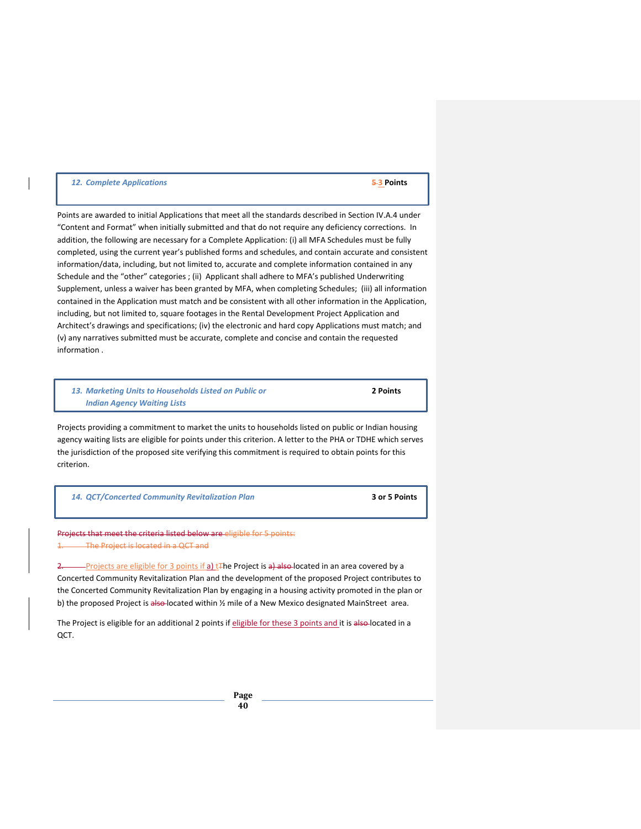# *12. Complete Applications* **5 3 Points**

Points are awarded to initial Applications that meet all the standards described in Section IV.A.4 under "Content and Format" when initially submitted and that do not require any deficiency corrections. In addition, the following are necessary for a Complete Application: (i) all MFA Schedules must be fully completed, using the current year's published forms and schedules, and contain accurate and consistent information/data, including, but not limited to, accurate and complete information contained in any Schedule and the "other" categories ; (ii) Applicant shall adhere to MFA's published Underwriting Supplement, unless a waiver has been granted by MFA, when completing Schedules; (iii) all information contained in the Application must match and be consistent with all other information in the Application, including, but not limited to, square footages in the Rental Development Project Application and Architect's drawings and specifications; (iv) the electronic and hard copy Applications must match; and (v) any narratives submitted must be accurate, complete and concise and contain the requested information .

*13. Marketing Units to Households Listed on Public or* **2 Points** *Indian Agency Waiting Lists*

Projects providing a commitment to market the units to households listed on public or Indian housing agency waiting lists are eligible for points under this criterion. A letter to the PHA or TDHE which serves the jurisdiction of the proposed site verifying this commitment is required to obtain points for this criterion.

|  | 14. QCT/Concerted Community Revitalization Plan |
|--|-------------------------------------------------|
|  |                                                 |

*14. QCT/Concerted Community Revitalization Plan* **3 or 5 Points**

Projects that meet the criteria listed below are eligible for 5 points: The Project is located in a QCT and

Projects are eligible for 3 points if a) t<sub>The Project is a) also located in an area covered by a</sub> Concerted Community Revitalization Plan and the development of the proposed Project contributes to the Concerted Community Revitalization Plan by engaging in a housing activity promoted in the plan or b) the proposed Project is also-located within 1/2 mile of a New Mexico designated MainStreet area.

The Project is eligible for an additional 2 points if eligible for these 3 points and it is also-located in a QCT.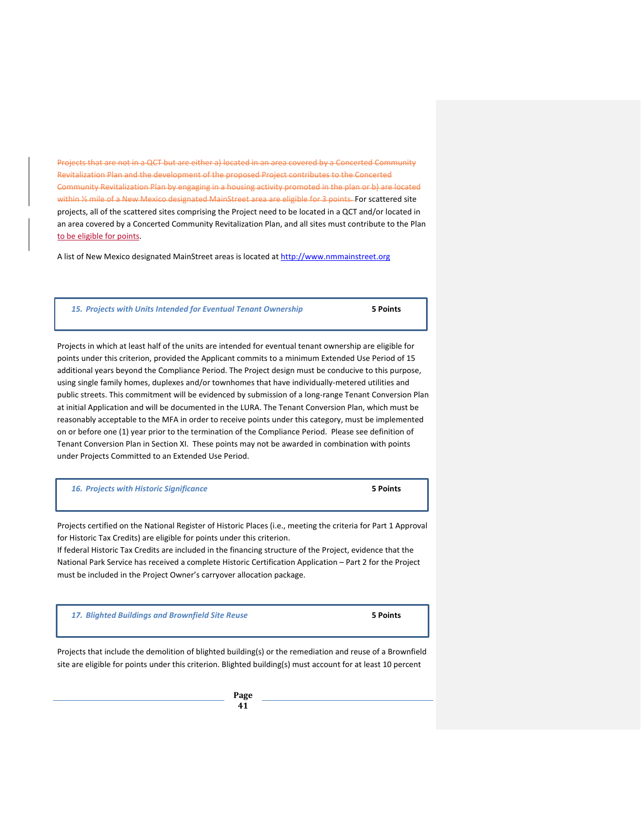Projects that are not in a QCT but are either a) located in an area covered by a Concerted Community Revitalization Plan and the development of the proposed Project contributes to the Concerted Community Revitalization Plan by engaging in a housing activity promoted in the plan or b) are located within 1/2 mile of a New Mexico designated MainStreet area are eligible for 3 points. For scattered site projects, all of the scattered sites comprising the Project need to be located in a QCT and/or located in an area covered by a Concerted Community Revitalization Plan, and all sites must contribute to the Plan to be eligible for points.

A list of New Mexico designated MainStreet areas is located at [http://www.nmmainstreet.org](http://www.nmmainstreet.org/)

*15. Projects with Units Intended for Eventual Tenant Ownership* **5 Points**

Projects in which at least half of the units are intended for eventual tenant ownership are eligible for points under this criterion, provided the Applicant commits to a minimum Extended Use Period of 15 additional years beyond the Compliance Period. The Project design must be conducive to this purpose, using single family homes, duplexes and/or townhomes that have individually-metered utilities and public streets. This commitment will be evidenced by submission of a long-range Tenant Conversion Plan at initial Application and will be documented in the LURA. The Tenant Conversion Plan, which must be reasonably acceptable to the MFA in order to receive points under this category, must be implemented on or before one (1) year prior to the termination of the Compliance Period. Please see definition of Tenant Conversion Plan in Section XI. These points may not be awarded in combination with points under Projects Committed to an Extended Use Period.

*16. Projects with Historic Significance* **5 Points**

Projects certified on the National Register of Historic Places (i.e., meeting the criteria for Part 1 Approval for Historic Tax Credits) are eligible for points under this criterion.

If federal Historic Tax Credits are included in the financing structure of the Project, evidence that the National Park Service has received a complete Historic Certification Application – Part 2 for the Project must be included in the Project Owner's carryover allocation package.

*17. Blighted Buildings and Brownfield Site Reuse* **5 Points**

Projects that include the demolition of blighted building(s) or the remediation and reuse of a Brownfield site are eligible for points under this criterion. Blighted building(s) must account for at least 10 percent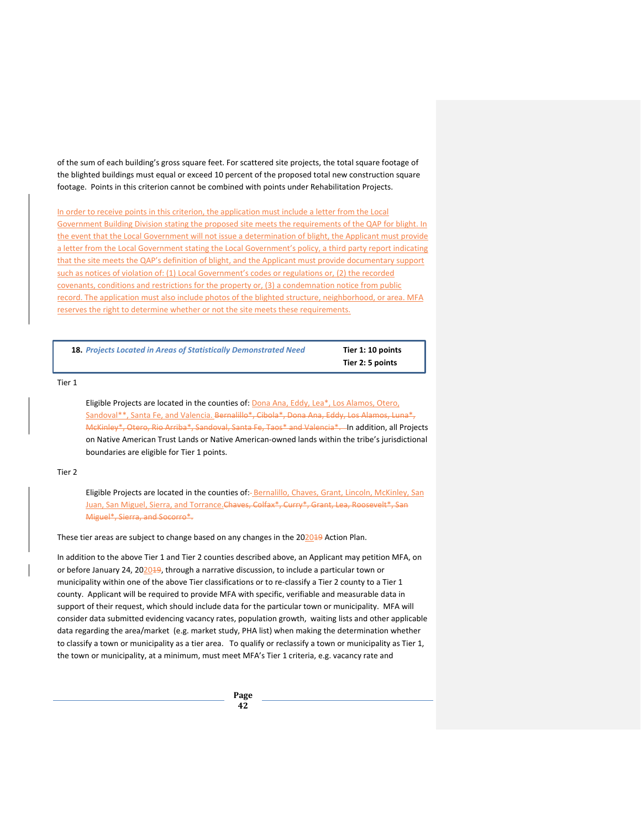of the sum of each building's gross square feet. For scattered site projects, the total square footage of the blighted buildings must equal or exceed 10 percent of the proposed total new construction square footage. Points in this criterion cannot be combined with points under Rehabilitation Projects.

In order to receive points in this criterion, the application must include a letter from the Local Government Building Division stating the proposed site meets the requirements of the QAP for blight. In the event that the Local Government will not issue a determination of blight, the Applicant must provide a letter from the Local Government stating the Local Government's policy, a third party report indicating that the site meets the QAP's definition of blight, and the Applicant must provide documentary support such as notices of violation of: (1) Local Government's codes or regulations or, (2) the recorded covenants, conditions and restrictions for the property or, (3) a condemnation notice from public record. The application must also include photos of the blighted structure, neighborhood, or area. MFA reserves the right to determine whether or not the site meets these requirements.

**18.** *Projects Located in Areas of Statistically Demonstrated Need* **Tier 1: 10 points** 

**Tier 2: 5 points**

#### Tier 1

Eligible Projects are located in the counties of: Dona Ana, Eddy, Lea\*, Los Alamos, Otero, Sandoval\*\*, Santa Fe, and Valencia. Bernalillo\*, Cibola\*, Dona Ana, Eddy, Los Alamos, Luna\*, McKinley\*, Otero, Rio Arriba\*, Sandoval, Santa Fe, Taos\* and Valencia\*. In addition, all Projects on Native American Trust Lands or Native American-owned lands within the tribe's jurisdictional boundaries are eligible for Tier 1 points.

#### Tier 2

Eligible Projects are located in the counties of:- Bernalillo, Chaves, Grant, Lincoln, McKinley, San Juan, San Miguel, Sierra, and Torrance. Chaves, Colfax\*, Curry\*, Grant, Lea, Roosevelt\*, San Miguel\*, Sierra, and Socorro\*.

These tier areas are subject to change based on any changes in the 202049 Action Plan.

In addition to the above Tier 1 and Tier 2 counties described above, an Applicant may petition MFA, on or before January 24, 202019, through a narrative discussion, to include a particular town or municipality within one of the above Tier classifications or to re-classify a Tier 2 county to a Tier 1 county. Applicant will be required to provide MFA with specific, verifiable and measurable data in support of their request, which should include data for the particular town or municipality. MFA will consider data submitted evidencing vacancy rates, population growth, waiting lists and other applicable data regarding the area/market (e.g. market study, PHA list) when making the determination whether to classify a town or municipality as a tier area. To qualify or reclassify a town or municipality as Tier 1, the town or municipality, at a minimum, must meet MFA's Tier 1 criteria, e.g. vacancy rate and

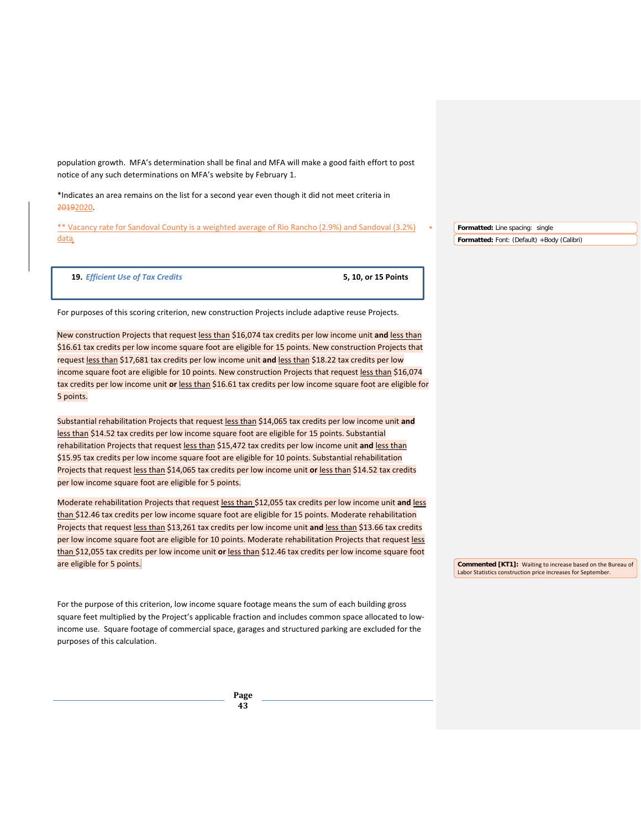population growth. MFA's determination shall be final and MFA will make a good faith effort to post notice of any such determinations on MFA's website by February 1.

\*Indicates an area remains on the list for a second year even though it did not meet criteria in 20192020.

\*\* Vacancy rate for Sandoval County is a weighted average of Rio Rancho (2.9%) and Sandoval (3.2%) data

**Formatted:** Line spacing: single **Formatted:** Font: (Default) +Body (Calibri)

**19.** *Efficient Use of Tax Credits* **5, 10, or 15 Points**

For purposes of this scoring criterion, new construction Projects include adaptive reuse Projects.

New construction Projects that request less than \$16,074 tax credits per low income unit **and** less than \$16.61 tax credits per low income square foot are eligible for 15 points. New construction Projects that request less than \$17,681 tax credits per low income unit **and** less than \$18.22 tax credits per low income square foot are eligible for 10 points. New construction Projects that request less than \$16,074 tax credits per low income unit **or** less than \$16.61 tax credits per low income square foot are eligible for 5 points.

Substantial rehabilitation Projects that request less than \$14,065 tax credits per low income unit **and** less than \$14.52 tax credits per low income square foot are eligible for 15 points. Substantial rehabilitation Projects that request less than \$15,472 tax credits per low income unit **and** less than \$15.95 tax credits per low income square foot are eligible for 10 points. Substantial rehabilitation Projects that request less than \$14,065 tax credits per low income unit **or** less than \$14.52 tax credits per low income square foot are eligible for 5 points.

Moderate rehabilitation Projects that request less than \$12,055 tax credits per low income unit **and** less than \$12.46 tax credits per low income square foot are eligible for 15 points. Moderate rehabilitation Projects that request less than \$13,261 tax credits per low income unit **and** less than \$13.66 tax credits per low income square foot are eligible for 10 points. Moderate rehabilitation Projects that request less than \$12,055 tax credits per low income unit **or** less than \$12.46 tax credits per low income square foot are eligible for 5 points.

For the purpose of this criterion, low income square footage means the sum of each building gross square feet multiplied by the Project's applicable fraction and includes common space allocated to lowincome use. Square footage of commercial space, garages and structured parking are excluded for the purposes of this calculation.

> **Page 43**

**Commented [KT1]:** Waiting to increase based on the Bureau of Labor Statistics construction price increases for September.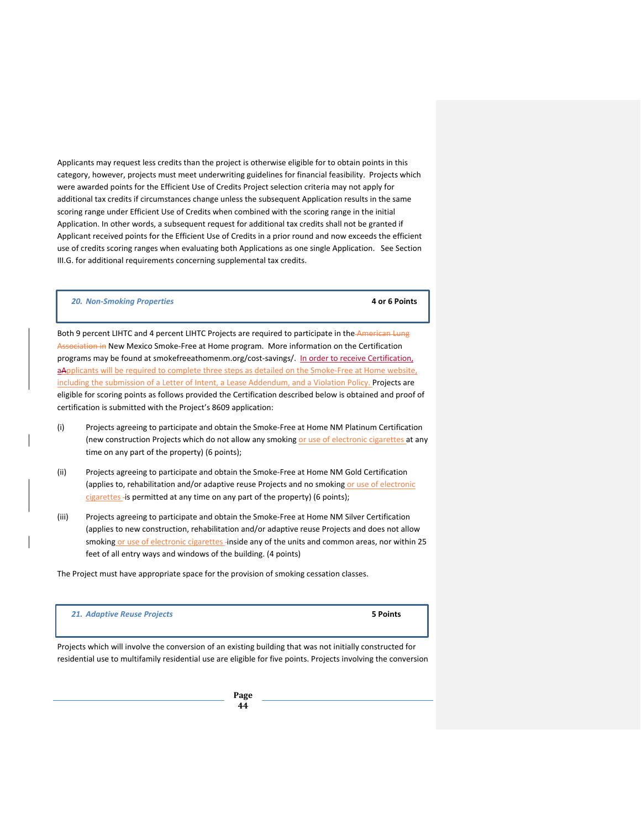Applicants may request less credits than the project is otherwise eligible for to obtain points in this category, however, projects must meet underwriting guidelines for financial feasibility. Projects which were awarded points for the Efficient Use of Credits Project selection criteria may not apply for additional tax credits if circumstances change unless the subsequent Application results in the same scoring range under Efficient Use of Credits when combined with the scoring range in the initial Application. In other words, a subsequent request for additional tax credits shall not be granted if Applicant received points for the Efficient Use of Credits in a prior round and now exceeds the efficient use of credits scoring ranges when evaluating both Applications as one single Application. See Section III.G. for additional requirements concerning supplemental tax credits.

#### *20. Non-Smoking Properties* **4 or 6 Points**

Both 9 percent LIHTC and 4 percent LIHTC Projects are required to participate in the American Lung Association in New Mexico Smoke-Free at Home program. More information on the Certification programs may be found at smokefreeathomenm.org/cost-savings/. In order to receive Certification, aApplicants will be required to complete three steps as detailed on the Smoke-Free at Home website, including the submission of a Letter of Intent, a Lease Addendum, and a Violation Policy. Projects are eligible for scoring points as follows provided the Certification described below is obtained and proof of certification is submitted with the Project's 8609 application:

- (i) Projects agreeing to participate and obtain the Smoke-Free at Home NM Platinum Certification (new construction Projects which do not allow any smoking or use of electronic cigarettes at any time on any part of the property) (6 points);
- (ii) Projects agreeing to participate and obtain the Smoke-Free at Home NM Gold Certification (applies to, rehabilitation and/or adaptive reuse Projects and no smoking or use of electronic cigarettes - is permitted at any time on any part of the property) (6 points);
- (iii) Projects agreeing to participate and obtain the Smoke-Free at Home NM Silver Certification (applies to new construction, rehabilitation and/or adaptive reuse Projects and does not allow smoking or use of electronic cigarettes -inside any of the units and common areas, nor within 25 feet of all entry ways and windows of the building. (4 points)

The Project must have appropriate space for the provision of smoking cessation classes.

*21. Adaptive Reuse Projects* **5 Points**

Projects which will involve the conversion of an existing building that was not initially constructed for residential use to multifamily residential use are eligible for five points. Projects involving the conversion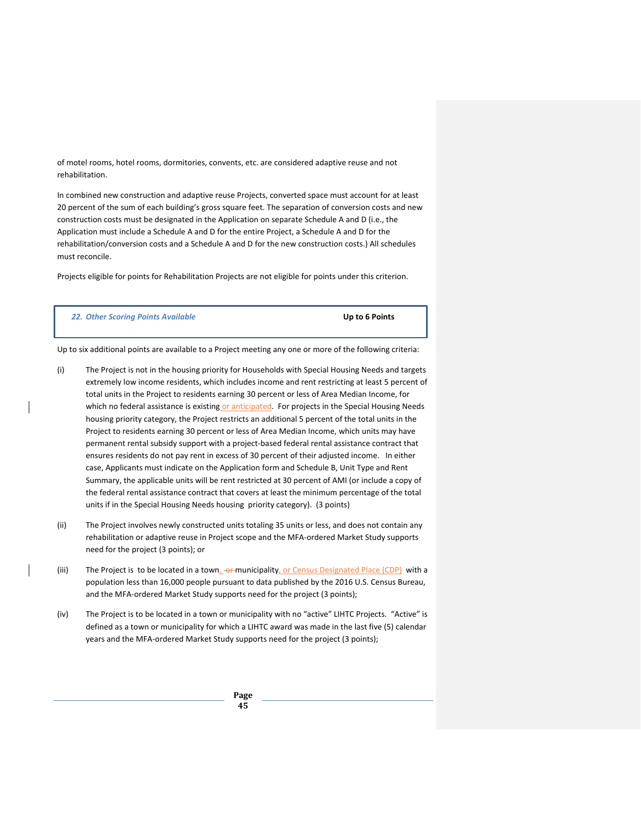of motel rooms, hotel rooms, dormitories, convents, etc. are considered adaptive reuse and not rehabilitation.

In combined new construction and adaptive reuse Projects, converted space must account for at least 20 percent of the sum of each building's gross square feet. The separation of conversion costs and new construction costs must be designated in the Application on separate Schedule A and D (i.e., the Application must include a Schedule A and D for the entire Project, a Schedule A and D for the rehabilitation/conversion costs and a Schedule A and D for the new construction costs.) All schedules must reconcile.

Projects eligible for points for Rehabilitation Projects are not eligible for points under this criterion.

*22. Other Scoring Points Available* **Up to 6 Points**

Up to six additional points are available to a Project meeting any one or more of the following criteria:

- (i) The Project is not in the housing priority for Households with Special Housing Needs and targets extremely low income residents, which includes income and rent restricting at least 5 percent of total units in the Project to residents earning 30 percent or less of Area Median Income, for which no federal assistance is existing or anticipated. For projects in the Special Housing Needs housing priority category, the Project restricts an additional 5 percent of the total units in the Project to residents earning 30 percent or less of Area Median Income, which units may have permanent rental subsidy support with a project-based federal rental assistance contract that ensures residents do not pay rent in excess of 30 percent of their adjusted income. In either case, Applicants must indicate on the Application form and Schedule B, Unit Type and Rent Summary, the applicable units will be rent restricted at 30 percent of AMI (or include a copy of the federal rental assistance contract that covers at least the minimum percentage of the total units if in the Special Housing Needs housing priority category). (3 points)
- (ii) The Project involves newly constructed units totaling 35 units or less, and does not contain any rehabilitation or adaptive reuse in Project scope and the MFA-ordered Market Study supports need for the project (3 points); or
- (iii) The Project is to be located in a town, or municipality, or Census Designated Place (CDP) with a population less than 16,000 people pursuant to data published by the 2016 U.S. Census Bureau, and the MFA-ordered Market Study supports need for the project (3 points);
- (iv) The Project is to be located in a town or municipality with no "active" LIHTC Projects. "Active" is defined as a town or municipality for which a LIHTC award was made in the last five (5) calendar years and the MFA-ordered Market Study supports need for the project (3 points);

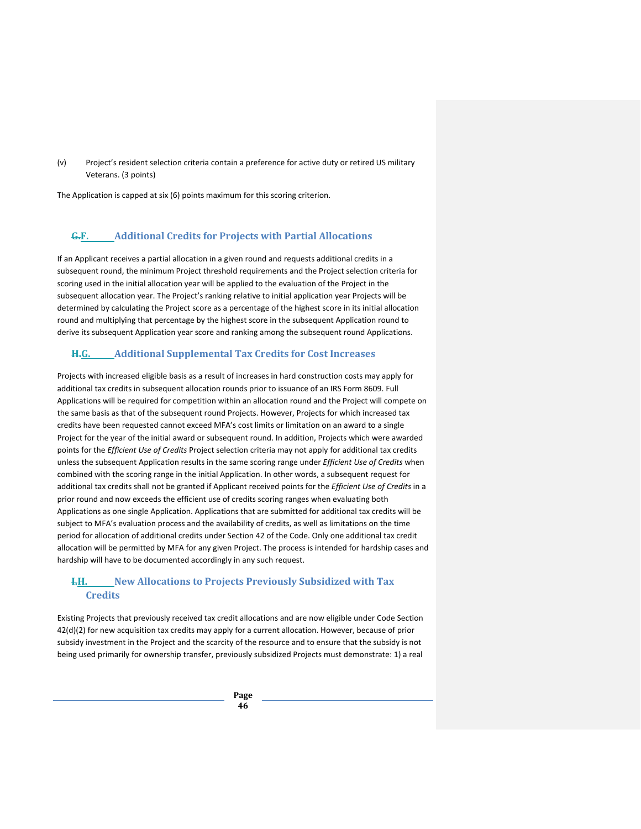(v) Project's resident selection criteria contain a preference for active duty or retired US military Veterans. (3 points)

The Application is capped at six (6) points maximum for this scoring criterion.

# **G.F. Additional Credits for Projects with Partial Allocations**

If an Applicant receives a partial allocation in a given round and requests additional credits in a subsequent round, the minimum Project threshold requirements and the Project selection criteria for scoring used in the initial allocation year will be applied to the evaluation of the Project in the subsequent allocation year. The Project's ranking relative to initial application year Projects will be determined by calculating the Project score as a percentage of the highest score in its initial allocation round and multiplying that percentage by the highest score in the subsequent Application round to derive its subsequent Application year score and ranking among the subsequent round Applications.

# **H.G. Additional Supplemental Tax Credits for Cost Increases**

Projects with increased eligible basis as a result of increases in hard construction costs may apply for additional tax credits in subsequent allocation rounds prior to issuance of an IRS Form 8609. Full Applications will be required for competition within an allocation round and the Project will compete on the same basis as that of the subsequent round Projects. However, Projects for which increased tax credits have been requested cannot exceed MFA's cost limits or limitation on an award to a single Project for the year of the initial award or subsequent round. In addition, Projects which were awarded points for the *Efficient Use of Credits* Project selection criteria may not apply for additional tax credits unless the subsequent Application results in the same scoring range under *Efficient Use of Credits* when combined with the scoring range in the initial Application. In other words, a subsequent request for additional tax credits shall not be granted if Applicant received points for the *Efficient Use of Credits* in a prior round and now exceeds the efficient use of credits scoring ranges when evaluating both Applications as one single Application. Applications that are submitted for additional tax credits will be subject to MFA's evaluation process and the availability of credits, as well as limitations on the time period for allocation of additional credits under Section 42 of the Code. Only one additional tax credit allocation will be permitted by MFA for any given Project. The process is intended for hardship cases and hardship will have to be documented accordingly in any such request.

# **I.H. New Allocations to Projects Previously Subsidized with Tax Credits**

Existing Projects that previously received tax credit allocations and are now eligible under Code Section 42(d)(2) for new acquisition tax credits may apply for a current allocation. However, because of prior subsidy investment in the Project and the scarcity of the resource and to ensure that the subsidy is not being used primarily for ownership transfer, previously subsidized Projects must demonstrate: 1) a real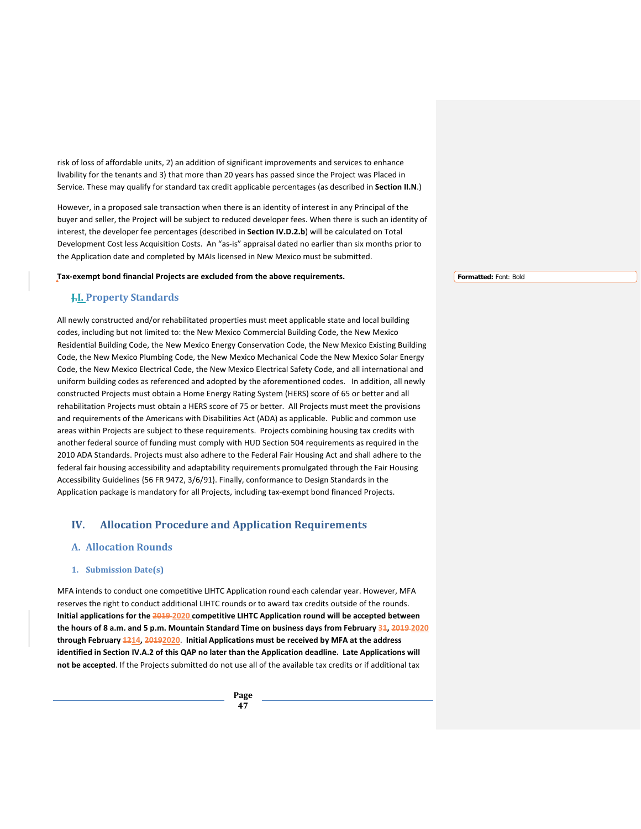risk of loss of affordable units, 2) an addition of significant improvements and services to enhance livability for the tenants and 3) that more than 20 years has passed since the Project was Placed in Service. These may qualify for standard tax credit applicable percentages (as described in **Section II.N**.)

However, in a proposed sale transaction when there is an identity of interest in any Principal of the buyer and seller, the Project will be subject to reduced developer fees. When there is such an identity of interest, the developer fee percentages (described in **Section IV.D.2.b**) will be calculated on Total Development Cost less Acquisition Costs. An "as-is" appraisal dated no earlier than six months prior to the Application date and completed by MAIs licensed in New Mexico must be submitted.

#### **Tax-exempt bond financial Projects are excluded from the above requirements.**

**Formatted:** Font: Bold

# **J.I. Property Standards**

All newly constructed and/or rehabilitated properties must meet applicable state and local building codes, including but not limited to: the New Mexico Commercial Building Code, the New Mexico Residential Building Code, the New Mexico Energy Conservation Code, the New Mexico Existing Building Code, the New Mexico Plumbing Code, the New Mexico Mechanical Code the New Mexico Solar Energy Code, the New Mexico Electrical Code, the New Mexico Electrical Safety Code, and all international and uniform building codes as referenced and adopted by the aforementioned codes. In addition, all newly constructed Projects must obtain a Home Energy Rating System (HERS) score of 65 or better and all rehabilitation Projects must obtain a HERS score of 75 or better. All Projects must meet the provisions and requirements of the Americans with Disabilities Act (ADA) as applicable. Public and common use areas within Projects are subject to these requirements. Projects combining housing tax credits with another federal source of funding must comply with HUD Section 504 requirements as required in the 2010 ADA Standards. Projects must also adhere to the Federal Fair Housing Act and shall adhere to the federal fair housing accessibility and adaptability requirements promulgated through the Fair Housing Accessibility Guidelines {56 FR 9472, 3/6/91}. Finally, conformance to Design Standards in the Application package is mandatory for all Projects, including tax-exempt bond financed Projects.

# **IV. Allocation Procedure and Application Requirements**

# **A. Allocation Rounds**

### **1. Submission Date(s)**

MFA intends to conduct one competitive LIHTC Application round each calendar year. However, MFA reserves the right to conduct additional LIHTC rounds or to award tax credits outside of the rounds. **Initial applications for the 2019 2020 competitive LIHTC Application round will be accepted between**  the hours of 8 a.m. and 5 p.m. Mountain Standard Time on business days from February 34, 2019-2020 **through February 1214, 20192020**. **Initial Applications must be received by MFA at the address identified in Section IV.A.2 of this QAP no later than the Application deadline. Late Applications will not be accepted**. If the Projects submitted do not use all of the available tax credits or if additional tax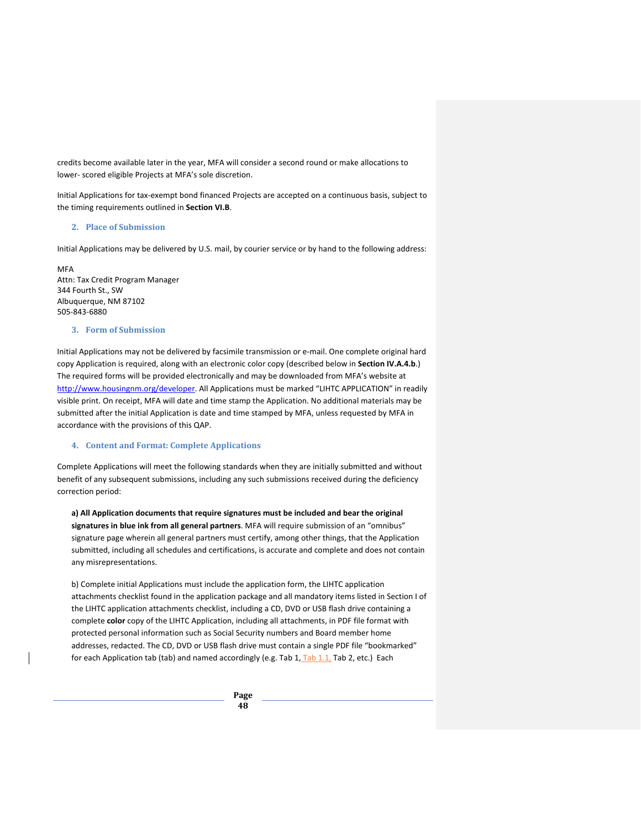credits become available later in the year, MFA will consider a second round or make allocations to lower- scored eligible Projects at MFA's sole discretion.

Initial Applications for tax-exempt bond financed Projects are accepted on a continuous basis, subject to the timing requirements outlined in **Section VI.B**.

### **2. Place of Submission**

Initial Applications may be delivered by U.S. mail, by courier service or by hand to the following address:

**MFA** Attn: Tax Credit Program Manager 344 Fourth St., SW Albuquerque, NM 87102 505-843-6880

#### **3. Form of Submission**

Initial Applications may not be delivered by facsimile transmission or e-mail. One complete original hard copy Application is required, along with an electronic color copy (described below in **Section IV.A.4.b**.) The required forms will be provided electronically and may be downloaded from MFA's website at [http://www.housingnm.org/developer.](http://www.housingnm.org/developer) All Applications must be marked "LIHTC APPLICATION" in readily visible print. On receipt, MFA will date and time stamp the Application. No additional materials may be submitted after the initial Application is date and time stamped by MFA, unless requested by MFA in accordance with the provisions of this QAP.

#### **4. Content and Format: Complete Applications**

Complete Applications will meet the following standards when they are initially submitted and without benefit of any subsequent submissions, including any such submissions received during the deficiency correction period:

**a) All Application documents that require signatures must be included and bear the original signatures in blue ink from all general partners**. MFA will require submission of an "omnibus" signature page wherein all general partners must certify, among other things, that the Application submitted, including all schedules and certifications, is accurate and complete and does not contain any misrepresentations.

b) Complete initial Applications must include the application form, the LIHTC application attachments checklist found in the application package and all mandatory items listed in Section I of the LIHTC application attachments checklist, including a CD, DVD or USB flash drive containing a complete **color** copy of the LIHTC Application, including all attachments, in PDF file format with protected personal information such as Social Security numbers and Board member home addresses, redacted. The CD, DVD or USB flash drive must contain a single PDF file "bookmarked" for each Application tab (tab) and named accordingly (e.g. Tab 1, Tab 1.1, Tab 2, etc.) Each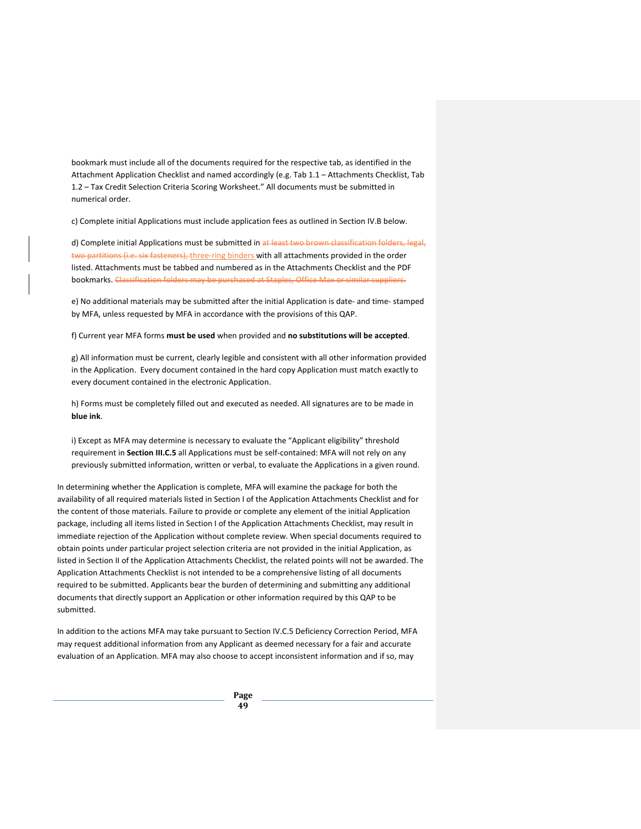bookmark must include all of the documents required for the respective tab, as identified in the Attachment Application Checklist and named accordingly (e.g. Tab 1.1 – Attachments Checklist, Tab 1.2 – Tax Credit Selection Criteria Scoring Worksheet." All documents must be submitted in numerical order.

c) Complete initial Applications must include application fees as outlined in Section IV.B below.

d) Complete initial Applications must be submitted in at least two brown classification folders, legal, two partitions (i.e. six fasteners), three-ring binders with all attachments provided in the order listed. Attachments must be tabbed and numbered as in the Attachments Checklist and the PDF bookmarks. Classification folders may be purchased at Staples, Office Max or similar suppliers.

e) No additional materials may be submitted after the initial Application is date- and time- stamped by MFA, unless requested by MFA in accordance with the provisions of this QAP.

f) Current year MFA forms **must be used** when provided and **no substitutions will be accepted**.

g) All information must be current, clearly legible and consistent with all other information provided in the Application. Every document contained in the hard copy Application must match exactly to every document contained in the electronic Application.

h) Forms must be completely filled out and executed as needed. All signatures are to be made in **blue ink**.

i) Except as MFA may determine is necessary to evaluate the "Applicant eligibility" threshold requirement in **Section III.C.5** all Applications must be self-contained: MFA will not rely on any previously submitted information, written or verbal, to evaluate the Applications in a given round.

In determining whether the Application is complete, MFA will examine the package for both the availability of all required materials listed in Section I of the Application Attachments Checklist and for the content of those materials. Failure to provide or complete any element of the initial Application package, including all items listed in Section I of the Application Attachments Checklist, may result in immediate rejection of the Application without complete review. When special documents required to obtain points under particular project selection criteria are not provided in the initial Application, as listed in Section II of the Application Attachments Checklist, the related points will not be awarded. The Application Attachments Checklist is not intended to be a comprehensive listing of all documents required to be submitted. Applicants bear the burden of determining and submitting any additional documents that directly support an Application or other information required by this QAP to be submitted.

In addition to the actions MFA may take pursuant to Section IV.C.5 Deficiency Correction Period, MFA may request additional information from any Applicant as deemed necessary for a fair and accurate evaluation of an Application. MFA may also choose to accept inconsistent information and if so, may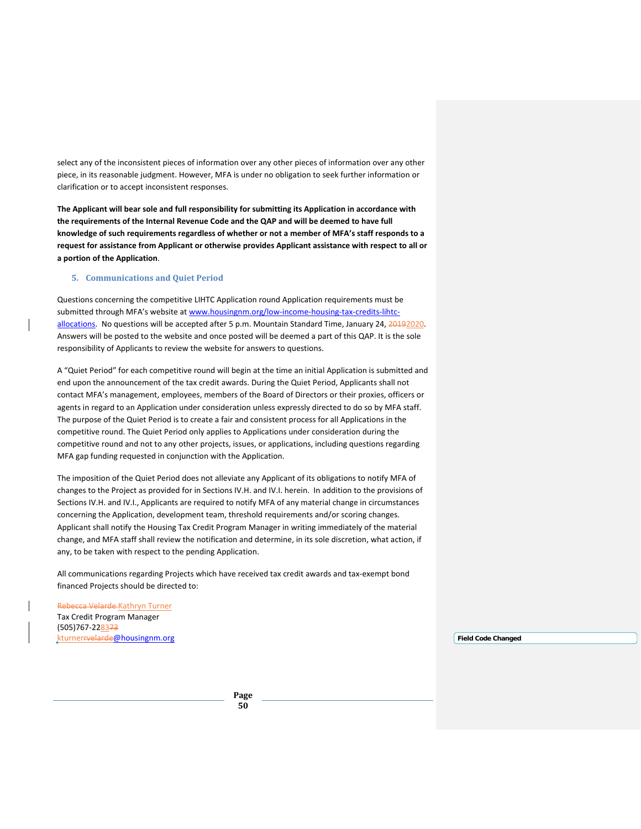select any of the inconsistent pieces of information over any other pieces of information over any other piece, in its reasonable judgment. However, MFA is under no obligation to seek further information or clarification or to accept inconsistent responses.

**The Applicant will bear sole and full responsibility for submitting its Application in accordance with the requirements of the Internal Revenue Code and the QAP and will be deemed to have full knowledge of such requirements regardless of whether or not a member of MFA's staff responds to a request for assistance from Applicant or otherwise provides Applicant assistance with respect to all or a portion of the Application**.

### **5. Communications and Quiet Period**

Questions concerning the competitive LIHTC Application round Application requirements must be submitted through MFA's website at [www.housingnm.org/low-income-housing-tax-credits-lihtc](http://www.housingnm.org/low-income-housing-tax-credits-lihtc-allocations)[allocations.](http://www.housingnm.org/low-income-housing-tax-credits-lihtc-allocations) No questions will be accepted after 5 p.m. Mountain Standard Time, January 24, 20192020. Answers will be posted to the website and once posted will be deemed a part of this QAP. It is the sole responsibility of Applicants to review the website for answers to questions.

A "Quiet Period" for each competitive round will begin at the time an initial Application is submitted and end upon the announcement of the tax credit awards. During the Quiet Period, Applicants shall not contact MFA's management, employees, members of the Board of Directors or their proxies, officers or agents in regard to an Application under consideration unless expressly directed to do so by MFA staff. The purpose of the Quiet Period is to create a fair and consistent process for all Applications in the competitive round. The Quiet Period only applies to Applications under consideration during the competitive round and not to any other projects, issues, or applications, including questions regarding MFA gap funding requested in conjunction with the Application.

The imposition of the Quiet Period does not alleviate any Applicant of its obligations to notify MFA of changes to the Project as provided for in Sections IV.H. and IV.I. herein. In addition to the provisions of Sections IV.H. and IV.I., Applicants are required to notify MFA of any material change in circumstances concerning the Application, development team, threshold requirements and/or scoring changes. Applicant shall notify the Housing Tax Credit Program Manager in writing immediately of the material change, and MFA staff shall review the notification and determine, in its sole discretion, what action, if any, to be taken with respect to the pending Application.

All communications regarding Projects which have received tax credit awards and tax-exempt bond financed Projects should be directed to:

Rebecca Velarde Kathryn Turner Tax Credit Program Manager (505)767-228373 [kturnerrvelarde@housingnm.org](mailto:kturner@housingnm.org) **Field Code Changed**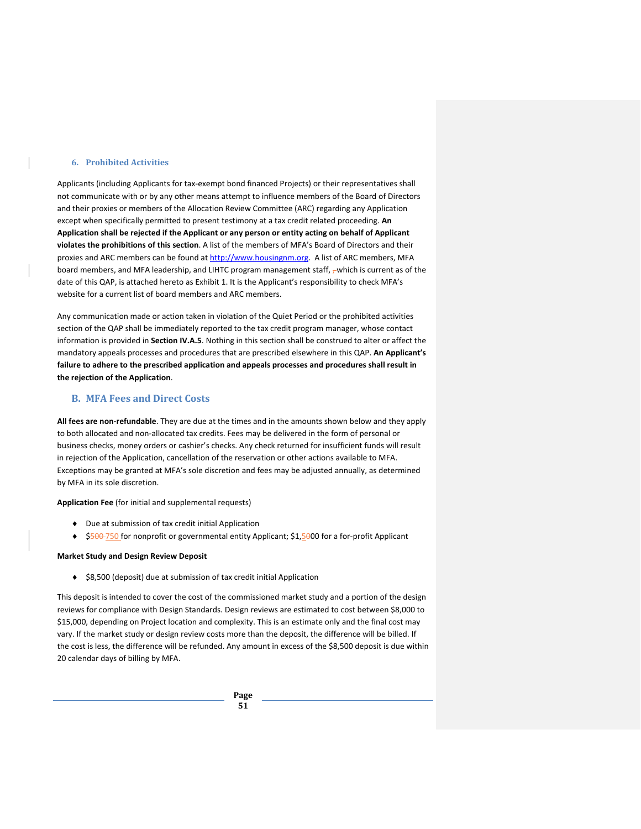#### **6. Prohibited Activities**

Applicants (including Applicants for tax-exempt bond financed Projects) or their representatives shall not communicate with or by any other means attempt to influence members of the Board of Directors and their proxies or members of the Allocation Review Committee (ARC) regarding any Application except when specifically permitted to present testimony at a tax credit related proceeding. **An Application shall be rejected if the Applicant or any person or entity acting on behalf of Applicant violates the prohibitions of this section**. A list of the members of MFA's Board of Directors and their proxies and ARC members can be found at [http://www.housingnm.org.](http://www.housingnm.org/) A list of ARC members, MFA board members, and MFA leadership, and LIHTC program management staff,  $\tau$  which is current as of the date of this QAP, is attached hereto as Exhibit 1. It is the Applicant's responsibility to check MFA's website for a current list of board members and ARC members.

Any communication made or action taken in violation of the Quiet Period or the prohibited activities section of the QAP shall be immediately reported to the tax credit program manager, whose contact information is provided in **Section IV.A.5**. Nothing in this section shall be construed to alter or affect the mandatory appeals processes and procedures that are prescribed elsewhere in this QAP. **An Applicant's failure to adhere to the prescribed application and appeals processes and procedures shall result in the rejection of the Application**.

# **B. MFA Fees and Direct Costs**

**All fees are non-refundable**. They are due at the times and in the amounts shown below and they apply to both allocated and non-allocated tax credits. Fees may be delivered in the form of personal or business checks, money orders or cashier's checks. Any check returned for insufficient funds will result in rejection of the Application, cancellation of the reservation or other actions available to MFA. Exceptions may be granted at MFA's sole discretion and fees may be adjusted annually, as determined by MFA in its sole discretion.

**Application Fee** (for initial and supplemental requests)

- ♦ Due at submission of tax credit initial Application
- ◆ \$500-750 for nonprofit or governmental entity Applicant; \$1,5000 for a for-profit Applicant

#### **Market Study and Design Review Deposit**

♦ \$8,500 (deposit) due at submission of tax credit initial Application

This deposit is intended to cover the cost of the commissioned market study and a portion of the design reviews for compliance with Design Standards. Design reviews are estimated to cost between \$8,000 to \$15,000, depending on Project location and complexity. This is an estimate only and the final cost may vary. If the market study or design review costs more than the deposit, the difference will be billed. If the cost is less, the difference will be refunded. Any amount in excess of the \$8,500 deposit is due within 20 calendar days of billing by MFA.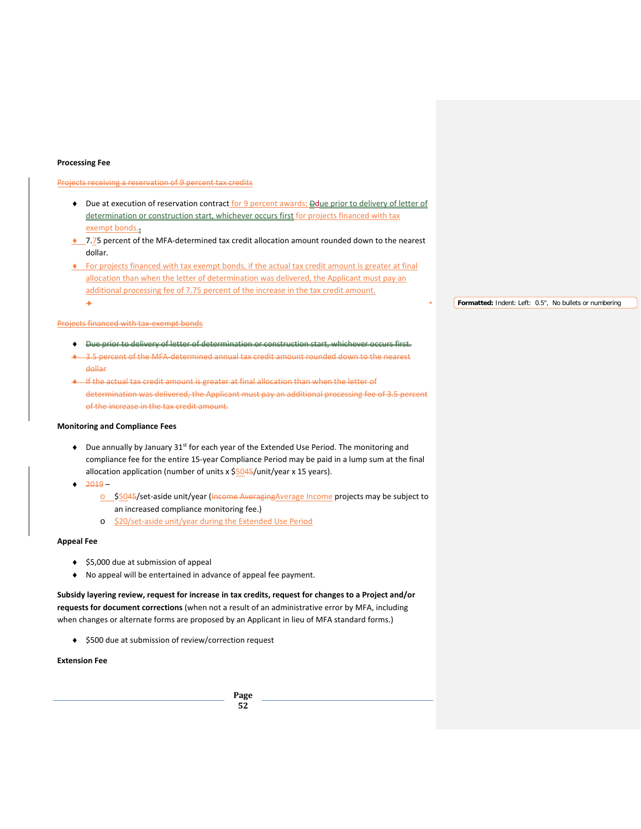#### **Processing Fee**

#### Projects receiving a reservation of 9 percent tax credits

- Due at execution of reservation contract for 9 percent awards; **Dedue prior to delivery of letter of** determination or construction start, whichever occurs first for projects financed with tax exempt bonds..
- ♦ 7.75 percent of the MFA-determined tax credit allocation amount rounded down to the nearest dollar.
- ♦ For projects financed with tax exempt bonds, if the actual tax credit amount is greater at final allocation than when the letter of determination was delivered, the Applicant must pay an additional processing fee of 7.75 percent of the increase in the tax credit amount. ♦

#### Projects financed with tax-exempt bonds

- ♦ Due prior to delivery of letter of determination or construction start, whichever occurs first.
- 3.5 percent of the MFA-determined annual tax credit amount rounded down to the nearest dollar
- ♦ If the actual tax credit amount is greater at final allocation than when the letter of determination was delivered, the Applicant must pay an additional processing fee of 3.5 percent of the increase in the tax credit amount.

## **Monitoring and Compliance Fees**

- $\blacklozenge$  Due annually by January 31<sup>st</sup> for each year of the Extended Use Period. The monitoring and compliance fee for the entire 15-year Compliance Period may be paid in a lump sum at the final allocation application (number of units x \$5045/unit/year x 15 years).
- $-2019$ 
	- o \$5045/set-aside unit/year (Income Averaging Average Income projects may be subject to an increased compliance monitoring fee.)
	- o \$20/set-aside unit/year during the Extended Use Period

### **Appeal Fee**

- ♦ \$5,000 due at submission of appeal
- ♦ No appeal will be entertained in advance of appeal fee payment.

**Subsidy layering review, request for increase in tax credits, request for changes to a Project and/or requests for document corrections** (when not a result of an administrative error by MFA, including when changes or alternate forms are proposed by an Applicant in lieu of MFA standard forms.)

♦ \$500 due at submission of review/correction request

### **Extension Fee**

**Formatted:** Indent: Left: 0.5", No bullets or numbering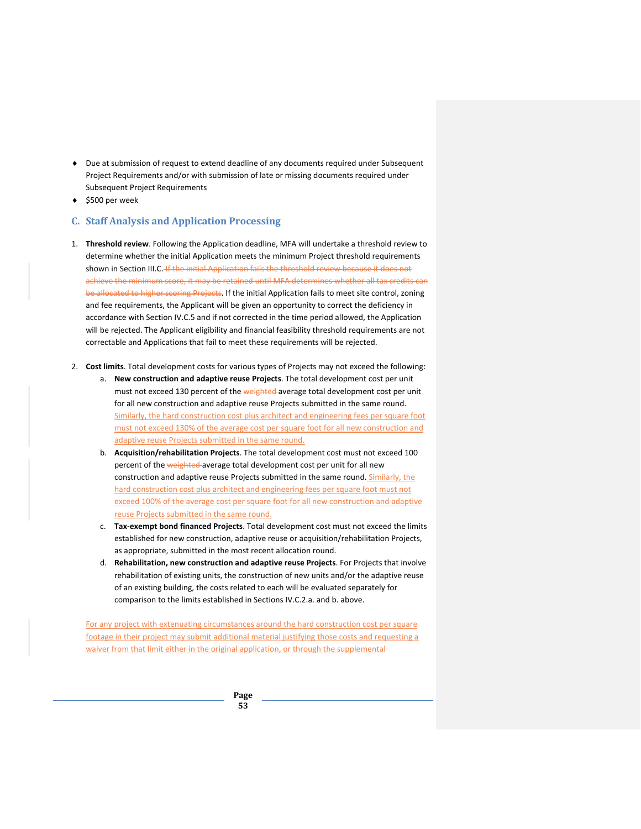- ♦ Due at submission of request to extend deadline of any documents required under Subsequent Project Requirements and/or with submission of late or missing documents required under Subsequent Project Requirements
- ♦ \$500 per week

# **C. Staff Analysis and Application Processing**

- 1. **Threshold review**. Following the Application deadline, MFA will undertake a threshold review to determine whether the initial Application meets the minimum Project threshold requirements shown in Section III.C. If the initial Application fails the threshold review because it does not achieve the minimum score, it may be retained until MFA determines whether all tax credits can be allocated to higher scoring Projects. If the initial Application fails to meet site control, zoning and fee requirements, the Applicant will be given an opportunity to correct the deficiency in accordance with Section IV.C.5 and if not corrected in the time period allowed, the Application will be rejected. The Applicant eligibility and financial feasibility threshold requirements are not correctable and Applications that fail to meet these requirements will be rejected.
- 2. **Cost limits**. Total development costs for various types of Projects may not exceed the following:
	- a. **New construction and adaptive reuse Projects**. The total development cost per unit must not exceed 130 percent of the weighted average total development cost per unit for all new construction and adaptive reuse Projects submitted in the same round. Similarly, the hard construction cost plus architect and engineering fees per square foot must not exceed 130% of the average cost per square foot for all new construction and adaptive reuse Projects submitted in the same round.
	- b. **Acquisition/rehabilitation Projects**. The total development cost must not exceed 100 percent of the weighted average total development cost per unit for all new construction and adaptive reuse Projects submitted in the same round. Similarly, the hard construction cost plus architect and engineering fees per square foot must not exceed 100% of the average cost per square foot for all new construction and adaptive reuse Projects submitted in the same round.
	- c. **Tax-exempt bond financed Projects**. Total development cost must not exceed the limits established for new construction, adaptive reuse or acquisition/rehabilitation Projects, as appropriate, submitted in the most recent allocation round.
	- d. **Rehabilitation, new construction and adaptive reuse Projects**. For Projects that involve rehabilitation of existing units, the construction of new units and/or the adaptive reuse of an existing building, the costs related to each will be evaluated separately for comparison to the limits established in Sections IV.C.2.a. and b. above.

For any project with extenuating circumstances around the hard construction cost per square footage in their project may submit additional material justifying those costs and requesting a waiver from that limit either in the original application, or through the supplemental

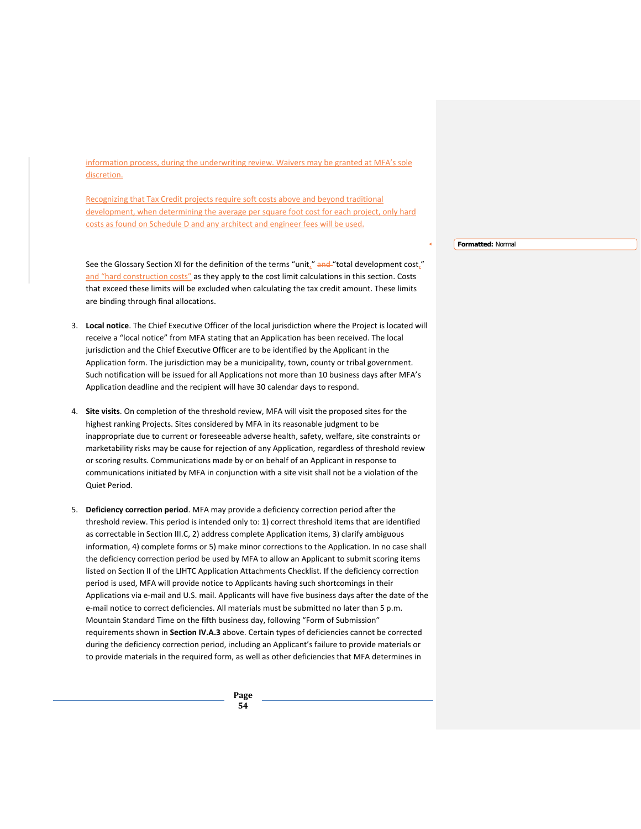information process, during the underwriting review. Waivers may be granted at MFA's sole discretion.

Recognizing that Tax Credit projects require soft costs above and beyond traditional development, when determining the average per square foot cost for each project, only hard costs as found on Schedule D and any architect and engineer fees will be used.

See the Glossary Section XI for the definition of the terms "unit," and "total development cost," and "hard construction costs" as they apply to the cost limit calculations in this section. Costs that exceed these limits will be excluded when calculating the tax credit amount. These limits are binding through final allocations.

- 3. **Local notice**. The Chief Executive Officer of the local jurisdiction where the Project is located will receive a "local notice" from MFA stating that an Application has been received. The local jurisdiction and the Chief Executive Officer are to be identified by the Applicant in the Application form. The jurisdiction may be a municipality, town, county or tribal government. Such notification will be issued for all Applications not more than 10 business days after MFA's Application deadline and the recipient will have 30 calendar days to respond.
- 4. **Site visits**. On completion of the threshold review, MFA will visit the proposed sites for the highest ranking Projects. Sites considered by MFA in its reasonable judgment to be inappropriate due to current or foreseeable adverse health, safety, welfare, site constraints or marketability risks may be cause for rejection of any Application, regardless of threshold review or scoring results. Communications made by or on behalf of an Applicant in response to communications initiated by MFA in conjunction with a site visit shall not be a violation of the Quiet Period.
- 5. **Deficiency correction period**. MFA may provide a deficiency correction period after the threshold review. This period is intended only to: 1) correct threshold items that are identified as correctable in Section III.C, 2) address complete Application items, 3) clarify ambiguous information, 4) complete forms or 5) make minor corrections to the Application. In no case shall the deficiency correction period be used by MFA to allow an Applicant to submit scoring items listed on Section II of the LIHTC Application Attachments Checklist. If the deficiency correction period is used, MFA will provide notice to Applicants having such shortcomings in their Applications via e-mail and U.S. mail. Applicants will have five business days after the date of the e-mail notice to correct deficiencies. All materials must be submitted no later than 5 p.m. Mountain Standard Time on the fifth business day, following "Form of Submission" requirements shown in **Section IV.A.3** above. Certain types of deficiencies cannot be corrected during the deficiency correction period, including an Applicant's failure to provide materials or to provide materials in the required form, as well as other deficiencies that MFA determines in

**Formatted:** Normal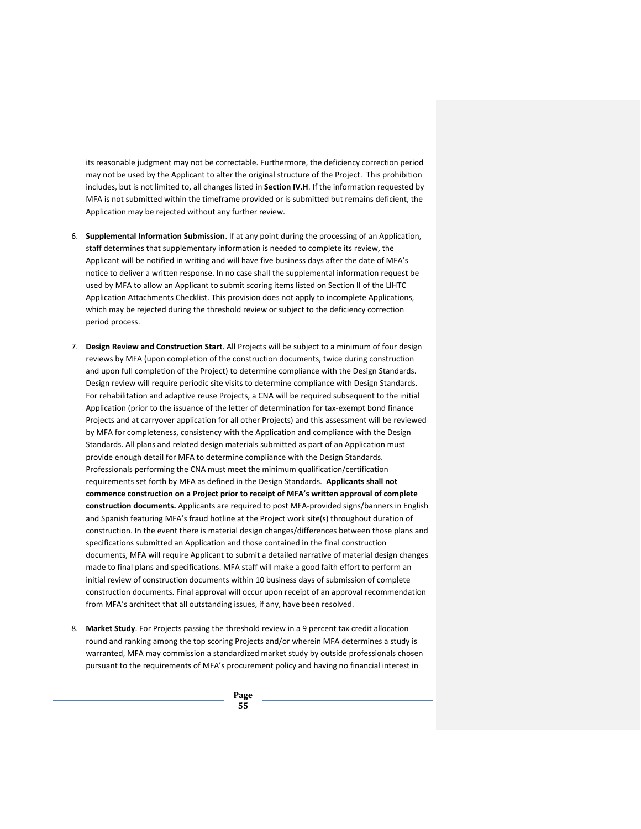its reasonable judgment may not be correctable. Furthermore, the deficiency correction period may not be used by the Applicant to alter the original structure of the Project. This prohibition includes, but is not limited to, all changes listed in **Section IV.H**. If the information requested by MFA is not submitted within the timeframe provided or is submitted but remains deficient, the Application may be rejected without any further review.

- 6. **Supplemental Information Submission**. If at any point during the processing of an Application, staff determines that supplementary information is needed to complete its review, the Applicant will be notified in writing and will have five business days after the date of MFA's notice to deliver a written response. In no case shall the supplemental information request be used by MFA to allow an Applicant to submit scoring items listed on Section II of the LIHTC Application Attachments Checklist. This provision does not apply to incomplete Applications, which may be rejected during the threshold review or subject to the deficiency correction period process.
- 7. **Design Review and Construction Start**. All Projects will be subject to a minimum of four design reviews by MFA (upon completion of the construction documents, twice during construction and upon full completion of the Project) to determine compliance with the Design Standards. Design review will require periodic site visits to determine compliance with Design Standards. For rehabilitation and adaptive reuse Projects, a CNA will be required subsequent to the initial Application (prior to the issuance of the letter of determination for tax-exempt bond finance Projects and at carryover application for all other Projects) and this assessment will be reviewed by MFA for completeness, consistency with the Application and compliance with the Design Standards. All plans and related design materials submitted as part of an Application must provide enough detail for MFA to determine compliance with the Design Standards. Professionals performing the CNA must meet the minimum qualification/certification requirements set forth by MFA as defined in the Design Standards. **Applicants shall not commence construction on a Project prior to receipt of MFA's written approval of complete construction documents.** Applicants are required to post MFA-provided signs/banners in English and Spanish featuring MFA's fraud hotline at the Project work site(s) throughout duration of construction. In the event there is material design changes/differences between those plans and specifications submitted an Application and those contained in the final construction documents, MFA will require Applicant to submit a detailed narrative of material design changes made to final plans and specifications. MFA staff will make a good faith effort to perform an initial review of construction documents within 10 business days of submission of complete construction documents. Final approval will occur upon receipt of an approval recommendation from MFA's architect that all outstanding issues, if any, have been resolved.
- 8. **Market Study**. For Projects passing the threshold review in a 9 percent tax credit allocation round and ranking among the top scoring Projects and/or wherein MFA determines a study is warranted, MFA may commission a standardized market study by outside professionals chosen pursuant to the requirements of MFA's procurement policy and having no financial interest in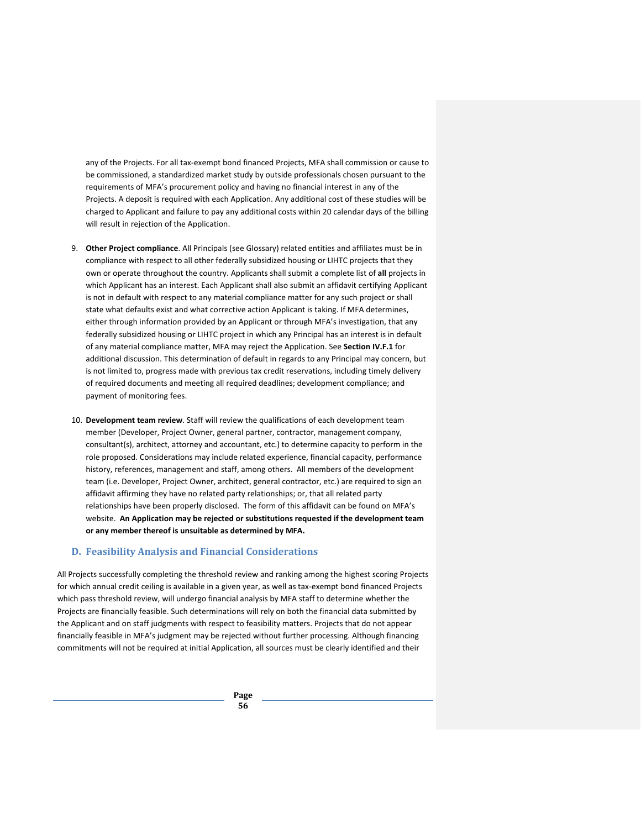any of the Projects. For all tax-exempt bond financed Projects, MFA shall commission or cause to be commissioned, a standardized market study by outside professionals chosen pursuant to the requirements of MFA's procurement policy and having no financial interest in any of the Projects. A deposit is required with each Application. Any additional cost of these studies will be charged to Applicant and failure to pay any additional costs within 20 calendar days of the billing will result in rejection of the Application.

- 9. **Other Project compliance**. All Principals (see Glossary) related entities and affiliates must be in compliance with respect to all other federally subsidized housing or LIHTC projects that they own or operate throughout the country. Applicants shall submit a complete list of **all** projects in which Applicant has an interest. Each Applicant shall also submit an affidavit certifying Applicant is not in default with respect to any material compliance matter for any such project or shall state what defaults exist and what corrective action Applicant is taking. If MFA determines, either through information provided by an Applicant or through MFA's investigation, that any federally subsidized housing or LIHTC project in which any Principal has an interest is in default of any material compliance matter, MFA may reject the Application. See **Section IV.F.1** for additional discussion. This determination of default in regards to any Principal may concern, but is not limited to, progress made with previous tax credit reservations, including timely delivery of required documents and meeting all required deadlines; development compliance; and payment of monitoring fees.
- 10. **Development team review**. Staff will review the qualifications of each development team member (Developer, Project Owner, general partner, contractor, management company, consultant(s), architect, attorney and accountant, etc.) to determine capacity to perform in the role proposed. Considerations may include related experience, financial capacity, performance history, references, management and staff, among others. All members of the development team (i.e. Developer, Project Owner, architect, general contractor, etc.) are required to sign an affidavit affirming they have no related party relationships; or, that all related party relationships have been properly disclosed. The form of this affidavit can be found on MFA's website. **An Application may be rejected or substitutions requested if the development team or any member thereof is unsuitable as determined by MFA.**

# **D. Feasibility Analysis and Financial Considerations**

All Projects successfully completing the threshold review and ranking among the highest scoring Projects for which annual credit ceiling is available in a given year, as well as tax-exempt bond financed Projects which pass threshold review, will undergo financial analysis by MFA staff to determine whether the Projects are financially feasible. Such determinations will rely on both the financial data submitted by the Applicant and on staff judgments with respect to feasibility matters. Projects that do not appear financially feasible in MFA's judgment may be rejected without further processing. Although financing commitments will not be required at initial Application, all sources must be clearly identified and their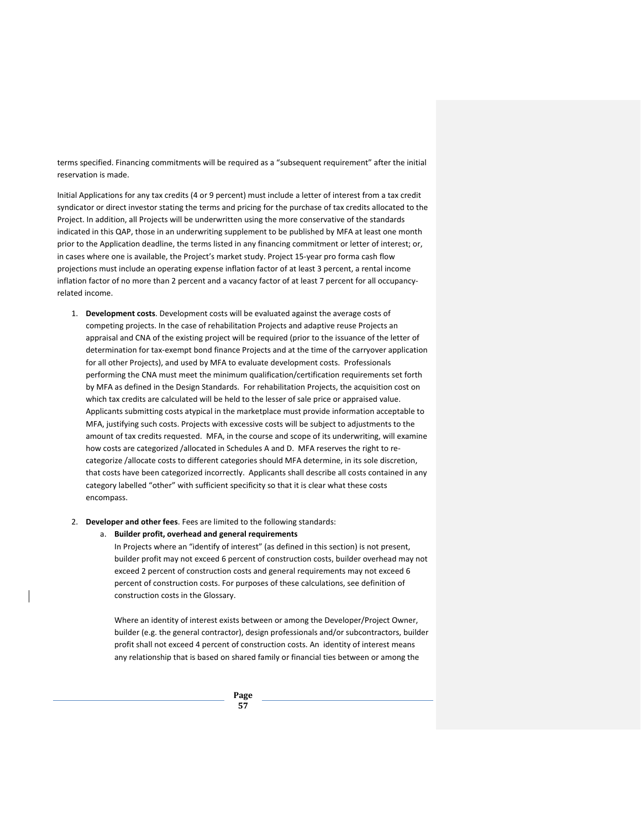terms specified. Financing commitments will be required as a "subsequent requirement" after the initial reservation is made.

Initial Applications for any tax credits (4 or 9 percent) must include a letter of interest from a tax credit syndicator or direct investor stating the terms and pricing for the purchase of tax credits allocated to the Project. In addition, all Projects will be underwritten using the more conservative of the standards indicated in this QAP, those in an underwriting supplement to be published by MFA at least one month prior to the Application deadline, the terms listed in any financing commitment or letter of interest; or, in cases where one is available, the Project's market study. Project 15-year pro forma cash flow projections must include an operating expense inflation factor of at least 3 percent, a rental income inflation factor of no more than 2 percent and a vacancy factor of at least 7 percent for all occupancyrelated income.

- 1. **Development costs**. Development costs will be evaluated against the average costs of competing projects. In the case of rehabilitation Projects and adaptive reuse Projects an appraisal and CNA of the existing project will be required (prior to the issuance of the letter of determination for tax-exempt bond finance Projects and at the time of the carryover application for all other Projects), and used by MFA to evaluate development costs. Professionals performing the CNA must meet the minimum qualification/certification requirements set forth by MFA as defined in the Design Standards. For rehabilitation Projects, the acquisition cost on which tax credits are calculated will be held to the lesser of sale price or appraised value. Applicants submitting costs atypical in the marketplace must provide information acceptable to MFA, justifying such costs. Projects with excessive costs will be subject to adjustments to the amount of tax credits requested. MFA, in the course and scope of its underwriting, will examine how costs are categorized /allocated in Schedules A and D. MFA reserves the right to recategorize /allocate costs to different categories should MFA determine, in its sole discretion, that costs have been categorized incorrectly. Applicants shall describe all costs contained in any category labelled "other" with sufficient specificity so that it is clear what these costs encompass.
- 2. **Developer and other fees**. Fees are limited to the following standards:
	- a. **Builder profit, overhead and general requirements**

In Projects where an "identify of interest" (as defined in this section) is not present, builder profit may not exceed 6 percent of construction costs, builder overhead may not exceed 2 percent of construction costs and general requirements may not exceed 6 percent of construction costs. For purposes of these calculations, see definition of construction costs in the Glossary.

Where an identity of interest exists between or among the Developer/Project Owner, builder (e.g. the general contractor), design professionals and/or subcontractors, builder profit shall not exceed 4 percent of construction costs. An identity of interest means any relationship that is based on shared family or financial ties between or among the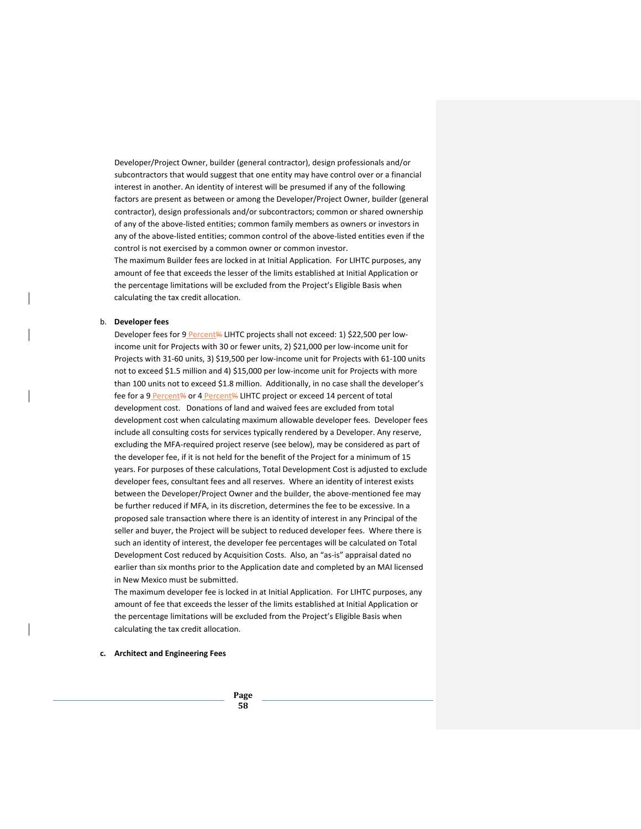Developer/Project Owner, builder (general contractor), design professionals and/or subcontractors that would suggest that one entity may have control over or a financial interest in another. An identity of interest will be presumed if any of the following factors are present as between or among the Developer/Project Owner, builder (general contractor), design professionals and/or subcontractors; common or shared ownership of any of the above-listed entities; common family members as owners or investors in any of the above-listed entities; common control of the above-listed entities even if the control is not exercised by a common owner or common investor.

The maximum Builder fees are locked in at Initial Application. For LIHTC purposes, any amount of fee that exceeds the lesser of the limits established at Initial Application or the percentage limitations will be excluded from the Project's Eligible Basis when calculating the tax credit allocation.

#### b. **Developer fees**

Developer fees for 9 Percent% LIHTC projects shall not exceed: 1) \$22,500 per lowincome unit for Projects with 30 or fewer units, 2) \$21,000 per low-income unit for Projects with 31-60 units, 3) \$19,500 per low-income unit for Projects with 61-100 units not to exceed \$1.5 million and 4) \$15,000 per low-income unit for Projects with more than 100 units not to exceed \$1.8 million. Additionally, in no case shall the developer's fee for a 9 Percent% or 4 Percent% LIHTC project or exceed 14 percent of total development cost. Donations of land and waived fees are excluded from total development cost when calculating maximum allowable developer fees. Developer fees include all consulting costs for services typically rendered by a Developer. Any reserve, excluding the MFA-required project reserve (see below), may be considered as part of the developer fee, if it is not held for the benefit of the Project for a minimum of 15 years. For purposes of these calculations, Total Development Cost is adjusted to exclude developer fees, consultant fees and all reserves. Where an identity of interest exists between the Developer/Project Owner and the builder, the above-mentioned fee may be further reduced if MFA, in its discretion, determines the fee to be excessive. In a proposed sale transaction where there is an identity of interest in any Principal of the seller and buyer, the Project will be subject to reduced developer fees. Where there is such an identity of interest, the developer fee percentages will be calculated on Total Development Cost reduced by Acquisition Costs. Also, an "as-is" appraisal dated no earlier than six months prior to the Application date and completed by an MAI licensed in New Mexico must be submitted.

The maximum developer fee is locked in at Initial Application. For LIHTC purposes, any amount of fee that exceeds the lesser of the limits established at Initial Application or the percentage limitations will be excluded from the Project's Eligible Basis when calculating the tax credit allocation.

#### **c. Architect and Engineering Fees**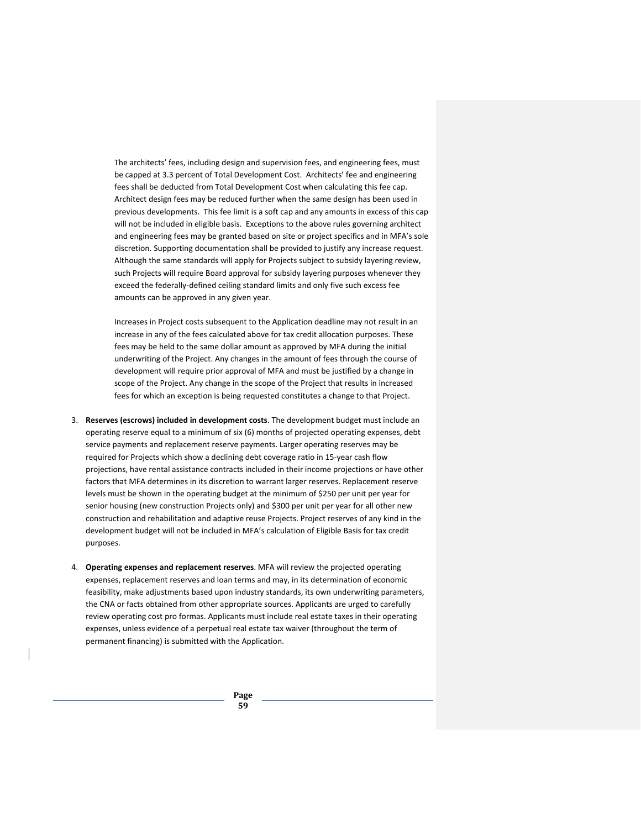The architects' fees, including design and supervision fees, and engineering fees, must be capped at 3.3 percent of Total Development Cost. Architects' fee and engineering fees shall be deducted from Total Development Cost when calculating this fee cap. Architect design fees may be reduced further when the same design has been used in previous developments. This fee limit is a soft cap and any amounts in excess of this cap will not be included in eligible basis. Exceptions to the above rules governing architect and engineering fees may be granted based on site or project specifics and in MFA's sole discretion. Supporting documentation shall be provided to justify any increase request. Although the same standards will apply for Projects subject to subsidy layering review, such Projects will require Board approval for subsidy layering purposes whenever they exceed the federally-defined ceiling standard limits and only five such excess fee amounts can be approved in any given year.

Increases in Project costs subsequent to the Application deadline may not result in an increase in any of the fees calculated above for tax credit allocation purposes. These fees may be held to the same dollar amount as approved by MFA during the initial underwriting of the Project. Any changes in the amount of fees through the course of development will require prior approval of MFA and must be justified by a change in scope of the Project. Any change in the scope of the Project that results in increased fees for which an exception is being requested constitutes a change to that Project.

- 3. **Reserves (escrows) included in development costs**. The development budget must include an operating reserve equal to a minimum of six (6) months of projected operating expenses, debt service payments and replacement reserve payments. Larger operating reserves may be required for Projects which show a declining debt coverage ratio in 15-year cash flow projections, have rental assistance contracts included in their income projections or have other factors that MFA determines in its discretion to warrant larger reserves. Replacement reserve levels must be shown in the operating budget at the minimum of \$250 per unit per year for senior housing (new construction Projects only) and \$300 per unit per year for all other new construction and rehabilitation and adaptive reuse Projects. Project reserves of any kind in the development budget will not be included in MFA's calculation of Eligible Basis for tax credit purposes.
- 4. **Operating expenses and replacement reserves**. MFA will review the projected operating expenses, replacement reserves and loan terms and may, in its determination of economic feasibility, make adjustments based upon industry standards, its own underwriting parameters, the CNA or facts obtained from other appropriate sources. Applicants are urged to carefully review operating cost pro formas. Applicants must include real estate taxes in their operating expenses, unless evidence of a perpetual real estate tax waiver (throughout the term of permanent financing) is submitted with the Application.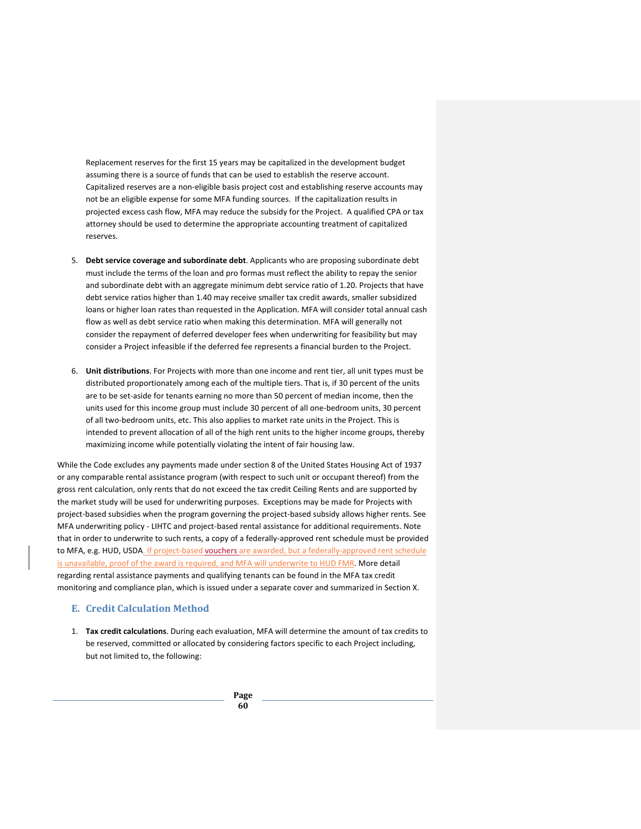Replacement reserves for the first 15 years may be capitalized in the development budget assuming there is a source of funds that can be used to establish the reserve account. Capitalized reserves are a non-eligible basis project cost and establishing reserve accounts may not be an eligible expense for some MFA funding sources. If the capitalization results in projected excess cash flow, MFA may reduce the subsidy for the Project. A qualified CPA or tax attorney should be used to determine the appropriate accounting treatment of capitalized reserves.

- 5. **Debt service coverage and subordinate debt**. Applicants who are proposing subordinate debt must include the terms of the loan and pro formas must reflect the ability to repay the senior and subordinate debt with an aggregate minimum debt service ratio of 1.20. Projects that have debt service ratios higher than 1.40 may receive smaller tax credit awards, smaller subsidized loans or higher loan rates than requested in the Application. MFA will consider total annual cash flow as well as debt service ratio when making this determination. MFA will generally not consider the repayment of deferred developer fees when underwriting for feasibility but may consider a Project infeasible if the deferred fee represents a financial burden to the Project.
- 6. **Unit distributions**. For Projects with more than one income and rent tier, all unit types must be distributed proportionately among each of the multiple tiers. That is, if 30 percent of the units are to be set-aside for tenants earning no more than 50 percent of median income, then the units used for this income group must include 30 percent of all one-bedroom units, 30 percent of all two-bedroom units, etc. This also applies to market rate units in the Project. This is intended to prevent allocation of all of the high rent units to the higher income groups, thereby maximizing income while potentially violating the intent of fair housing law.

While the Code excludes any payments made under section 8 of the United States Housing Act of 1937 or any comparable rental assistance program (with respect to such unit or occupant thereof) from the gross rent calculation, only rents that do not exceed the tax credit Ceiling Rents and are supported by the market study will be used for underwriting purposes. Exceptions may be made for Projects with project-based subsidies when the program governing the project-based subsidy allows higher rents. See MFA underwriting policy - LIHTC and project-based rental assistance for additional requirements. Note that in order to underwrite to such rents, a copy of a federally-approved rent schedule must be provided to MFA, e.g. HUD, USDA. If project-based vouchers are awarded, but a federally-approved rent schedule is unavailable, proof of the award is required, and MFA will underwrite to HUD FMR. More detail regarding rental assistance payments and qualifying tenants can be found in the MFA tax credit monitoring and compliance plan, which is issued under a separate cover and summarized in Section X.

# **E. Credit Calculation Method**

1. **Tax credit calculations**. During each evaluation, MFA will determine the amount of tax credits to be reserved, committed or allocated by considering factors specific to each Project including, but not limited to, the following: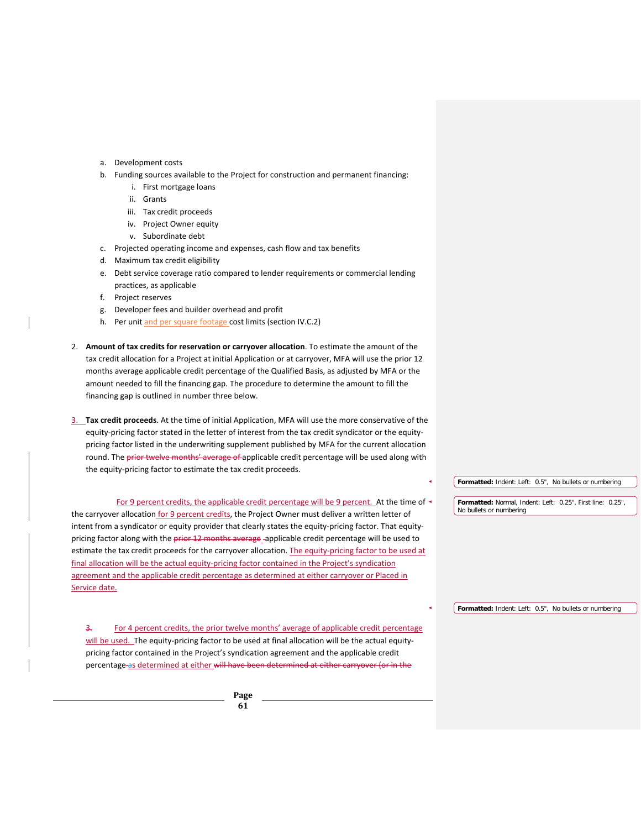- a. Development costs
- b. Funding sources available to the Project for construction and permanent financing:
	- i. First mortgage loans
	- ii. Grants
	- iii. Tax credit proceeds
	- iv. Project Owner equity
	- v. Subordinate debt
- c. Projected operating income and expenses, cash flow and tax benefits
- d. Maximum tax credit eligibility
- e. Debt service coverage ratio compared to lender requirements or commercial lending practices, as applicable
- f. Project reserves
- g. Developer fees and builder overhead and profit
- h. Per unit and per square footage cost limits (section IV.C.2)
- 2. **Amount of tax credits for reservation or carryover allocation**. To estimate the amount of the tax credit allocation for a Project at initial Application or at carryover, MFA will use the prior 12 months average applicable credit percentage of the Qualified Basis, as adjusted by MFA or the amount needed to fill the financing gap. The procedure to determine the amount to fill the financing gap is outlined in number three below.
- 3. **Tax credit proceeds**. At the time of initial Application, MFA will use the more conservative of the equity-pricing factor stated in the letter of interest from the tax credit syndicator or the equitypricing factor listed in the underwriting supplement published by MFA for the current allocation round. The prior twelve months' average of applicable credit percentage will be used along with the equity-pricing factor to estimate the tax credit proceeds.

For 9 percent credits, the applicable credit percentage will be 9 percent. At the time of the carryover allocation for 9 percent credits, the Project Owner must deliver a written letter of intent from a syndicator or equity provider that clearly states the equity-pricing factor. That equitypricing factor along with the prior 12 months average -applicable credit percentage will be used to estimate the tax credit proceeds for the carryover allocation. The equity-pricing factor to be used at final allocation will be the actual equity-pricing factor contained in the Project's syndication agreement and the applicable credit percentage as determined at either carryover or Placed in Service date.

3. For 4 percent credits, the prior twelve months' average of applicable credit percentage will be used. The equity-pricing factor to be used at final allocation will be the actual equitypricing factor contained in the Project's syndication agreement and the applicable credit percentage as determined at either will have been determined at either carryover (or in the

> **Page 61**

**Formatted:** Indent: Left: 0.5", No bullets or numbering

**Formatted:** Normal, Indent: Left: 0.25", First line: 0.25", No bullets or numbering

**Formatted:** Indent: Left: 0.5", No bullets or numbering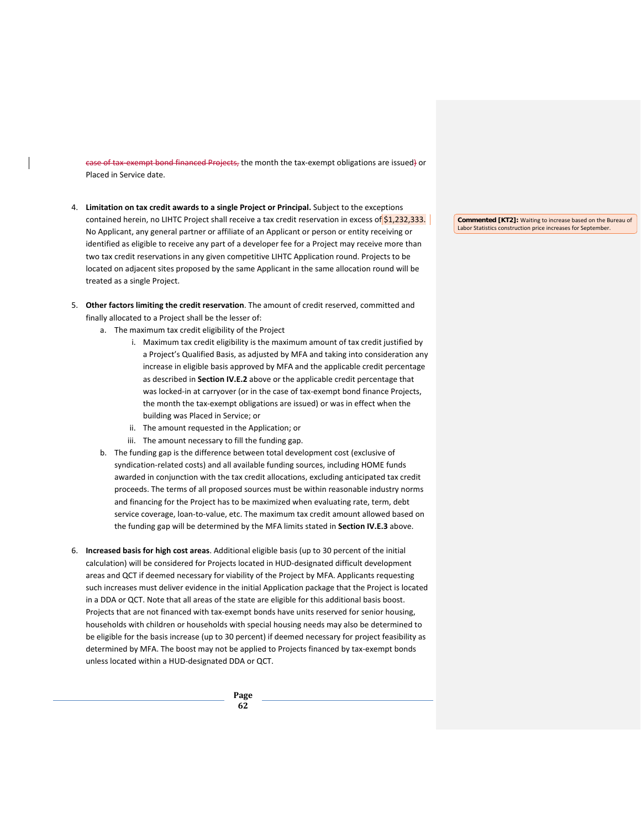case of tax-exempt bond financed Projects, the month the tax-exempt obligations are issued) or Placed in Service date.

- 4. **Limitation on tax credit awards to a single Project or Principal.** Subject to the exceptions contained herein, no LIHTC Project shall receive a tax credit reservation in excess of \$1,232,333. No Applicant, any general partner or affiliate of an Applicant or person or entity receiving or identified as eligible to receive any part of a developer fee for a Project may receive more than two tax credit reservations in any given competitive LIHTC Application round. Projects to be located on adjacent sites proposed by the same Applicant in the same allocation round will be treated as a single Project.
- 5. **Other factors limiting the credit reservation**. The amount of credit reserved, committed and finally allocated to a Project shall be the lesser of:
	- a. The maximum tax credit eligibility of the Project
		- i. Maximum tax credit eligibility is the maximum amount of tax credit justified by a Project's Qualified Basis, as adjusted by MFA and taking into consideration any increase in eligible basis approved by MFA and the applicable credit percentage as described in **Section IV.E.2** above or the applicable credit percentage that was locked-in at carryover (or in the case of tax-exempt bond finance Projects, the month the tax-exempt obligations are issued) or was in effect when the building was Placed in Service; or
		- ii. The amount requested in the Application; or
		- iii. The amount necessary to fill the funding gap.
	- b. The funding gap is the difference between total development cost (exclusive of syndication-related costs) and all available funding sources, including HOME funds awarded in conjunction with the tax credit allocations, excluding anticipated tax credit proceeds. The terms of all proposed sources must be within reasonable industry norms and financing for the Project has to be maximized when evaluating rate, term, debt service coverage, loan-to-value, etc. The maximum tax credit amount allowed based on the funding gap will be determined by the MFA limits stated in **Section IV.E.3** above.
- 6. **Increased basis for high cost areas**. Additional eligible basis (up to 30 percent of the initial calculation) will be considered for Projects located in HUD-designated difficult development areas and QCT if deemed necessary for viability of the Project by MFA. Applicants requesting such increases must deliver evidence in the initial Application package that the Project is located in a DDA or QCT. Note that all areas of the state are eligible for this additional basis boost. Projects that are not financed with tax-exempt bonds have units reserved for senior housing, households with children or households with special housing needs may also be determined to be eligible for the basis increase (up to 30 percent) if deemed necessary for project feasibility as determined by MFA. The boost may not be applied to Projects financed by tax-exempt bonds unless located within a HUD-designated DDA or QCT.

**Page 62**

**Commented [KT2]:** Waiting to increase based on the Bureau of Labor Statistics construction price increases for September.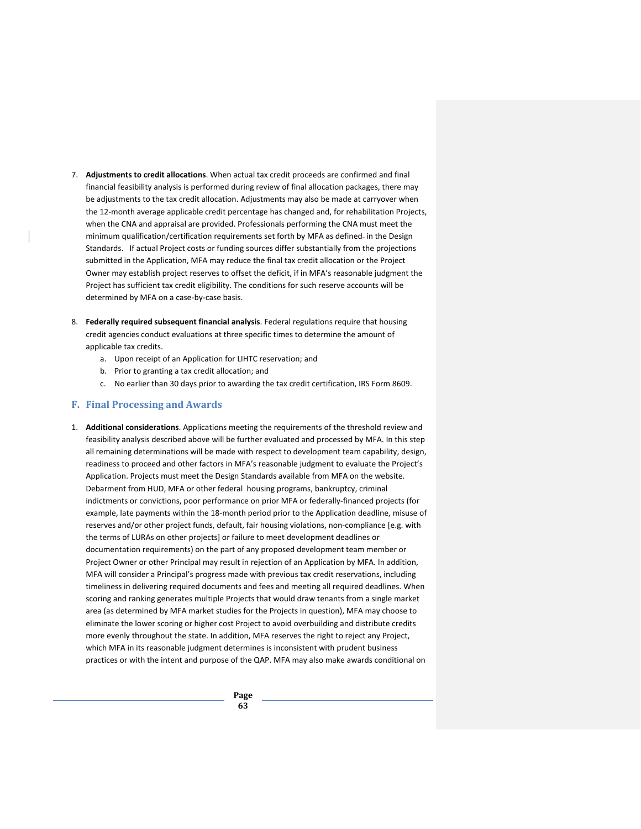- 7. **Adjustments to credit allocations**. When actual tax credit proceeds are confirmed and final financial feasibility analysis is performed during review of final allocation packages, there may be adjustments to the tax credit allocation. Adjustments may also be made at carryover when the 12-month average applicable credit percentage has changed and, for rehabilitation Projects, when the CNA and appraisal are provided. Professionals performing the CNA must meet the minimum qualification/certification requirements set forth by MFA as defined- in the Design Standards. If actual Project costs or funding sources differ substantially from the projections submitted in the Application, MFA may reduce the final tax credit allocation or the Project Owner may establish project reserves to offset the deficit, if in MFA's reasonable judgment the Project has sufficient tax credit eligibility. The conditions for such reserve accounts will be determined by MFA on a case-by-case basis.
- 8. **Federally required subsequent financial analysis**. Federal regulations require that housing credit agencies conduct evaluations at three specific times to determine the amount of applicable tax credits.
	- a. Upon receipt of an Application for LIHTC reservation; and
	- b. Prior to granting a tax credit allocation; and
	- c. No earlier than 30 days prior to awarding the tax credit certification, IRS Form 8609.

## **F. Final Processing and Awards**

1. **Additional considerations**. Applications meeting the requirements of the threshold review and feasibility analysis described above will be further evaluated and processed by MFA. In this step all remaining determinations will be made with respect to development team capability, design, readiness to proceed and other factors in MFA's reasonable judgment to evaluate the Project's Application. Projects must meet the Design Standards available from MFA on the website. Debarment from HUD, MFA or other federal housing programs, bankruptcy, criminal indictments or convictions, poor performance on prior MFA or federally-financed projects (for example, late payments within the 18-month period prior to the Application deadline, misuse of reserves and/or other project funds, default, fair housing violations, non-compliance [e.g. with the terms of LURAs on other projects] or failure to meet development deadlines or documentation requirements) on the part of any proposed development team member or Project Owner or other Principal may result in rejection of an Application by MFA. In addition, MFA will consider a Principal's progress made with previous tax credit reservations, including timeliness in delivering required documents and fees and meeting all required deadlines. When scoring and ranking generates multiple Projects that would draw tenants from a single market area (as determined by MFA market studies for the Projects in question), MFA may choose to eliminate the lower scoring or higher cost Project to avoid overbuilding and distribute credits more evenly throughout the state. In addition, MFA reserves the right to reject any Project, which MFA in its reasonable judgment determines is inconsistent with prudent business practices or with the intent and purpose of the QAP. MFA may also make awards conditional on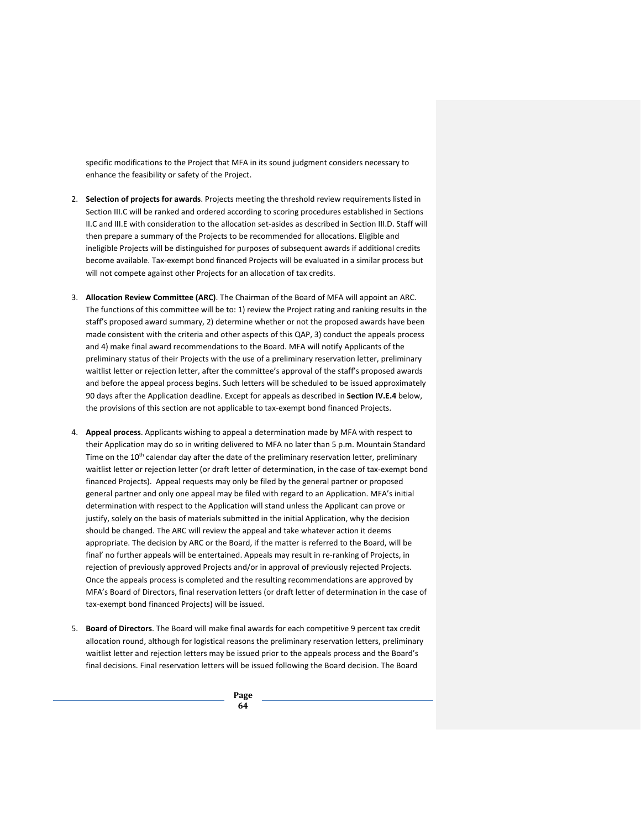specific modifications to the Project that MFA in its sound judgment considers necessary to enhance the feasibility or safety of the Project.

- 2. **Selection of projects for awards**. Projects meeting the threshold review requirements listed in Section III.C will be ranked and ordered according to scoring procedures established in Sections II.C and III.E with consideration to the allocation set-asides as described in Section III.D. Staff will then prepare a summary of the Projects to be recommended for allocations. Eligible and ineligible Projects will be distinguished for purposes of subsequent awards if additional credits become available. Tax-exempt bond financed Projects will be evaluated in a similar process but will not compete against other Projects for an allocation of tax credits.
- 3. **Allocation Review Committee (ARC)**. The Chairman of the Board of MFA will appoint an ARC. The functions of this committee will be to: 1) review the Project rating and ranking results in the staff's proposed award summary, 2) determine whether or not the proposed awards have been made consistent with the criteria and other aspects of this QAP, 3) conduct the appeals process and 4) make final award recommendations to the Board. MFA will notify Applicants of the preliminary status of their Projects with the use of a preliminary reservation letter, preliminary waitlist letter or rejection letter, after the committee's approval of the staff's proposed awards and before the appeal process begins. Such letters will be scheduled to be issued approximately 90 days after the Application deadline. Except for appeals as described in **Section IV.E.4** below, the provisions of this section are not applicable to tax-exempt bond financed Projects.
- 4. **Appeal process**. Applicants wishing to appeal a determination made by MFA with respect to their Application may do so in writing delivered to MFA no later than 5 p.m. Mountain Standard Time on the 10<sup>th</sup> calendar day after the date of the preliminary reservation letter, preliminary waitlist letter or rejection letter (or draft letter of determination, in the case of tax-exempt bond financed Projects). Appeal requests may only be filed by the general partner or proposed general partner and only one appeal may be filed with regard to an Application. MFA's initial determination with respect to the Application will stand unless the Applicant can prove or justify, solely on the basis of materials submitted in the initial Application, why the decision should be changed. The ARC will review the appeal and take whatever action it deems appropriate. The decision by ARC or the Board, if the matter is referred to the Board, will be final' no further appeals will be entertained. Appeals may result in re-ranking of Projects, in rejection of previously approved Projects and/or in approval of previously rejected Projects. Once the appeals process is completed and the resulting recommendations are approved by MFA's Board of Directors, final reservation letters (or draft letter of determination in the case of tax-exempt bond financed Projects) will be issued.
- 5. **Board of Directors**. The Board will make final awards for each competitive 9 percent tax credit allocation round, although for logistical reasons the preliminary reservation letters, preliminary waitlist letter and rejection letters may be issued prior to the appeals process and the Board's final decisions. Final reservation letters will be issued following the Board decision. The Board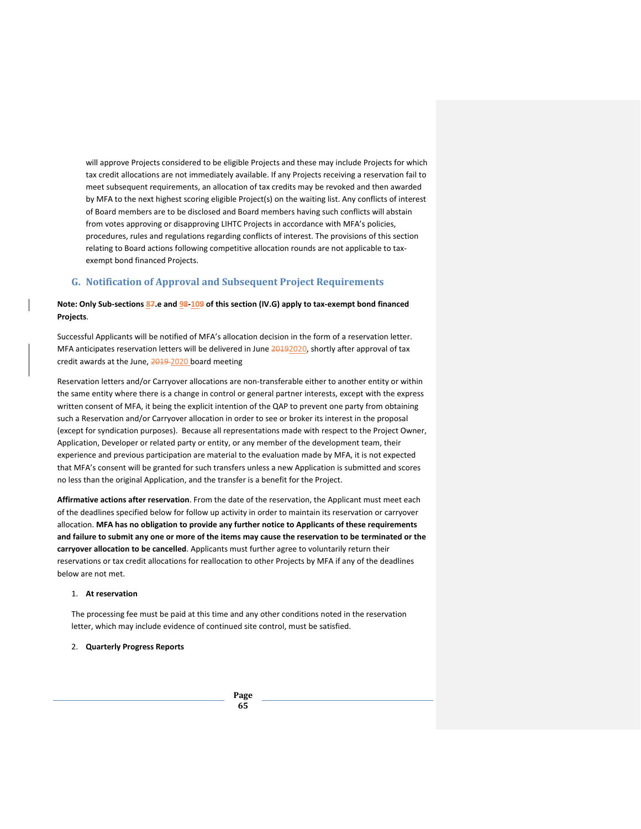will approve Projects considered to be eligible Projects and these may include Projects for which tax credit allocations are not immediately available. If any Projects receiving a reservation fail to meet subsequent requirements, an allocation of tax credits may be revoked and then awarded by MFA to the next highest scoring eligible Project(s) on the waiting list. Any conflicts of interest of Board members are to be disclosed and Board members having such conflicts will abstain from votes approving or disapproving LIHTC Projects in accordance with MFA's policies, procedures, rules and regulations regarding conflicts of interest. The provisions of this section relating to Board actions following competitive allocation rounds are not applicable to taxexempt bond financed Projects.

# **G. Notification of Approval and Subsequent Project Requirements**

# **Note: Only Sub-sections 87.e and 98-109 of this section (IV.G) apply to tax-exempt bond financed Projects**.

Successful Applicants will be notified of MFA's allocation decision in the form of a reservation letter. MFA anticipates reservation letters will be delivered in June 20192020, shortly after approval of tax credit awards at the June, 2019-2020 board meeting

Reservation letters and/or Carryover allocations are non-transferable either to another entity or within the same entity where there is a change in control or general partner interests, except with the express written consent of MFA, it being the explicit intention of the QAP to prevent one party from obtaining such a Reservation and/or Carryover allocation in order to see or broker its interest in the proposal (except for syndication purposes). Because all representations made with respect to the Project Owner, Application, Developer or related party or entity, or any member of the development team, their experience and previous participation are material to the evaluation made by MFA, it is not expected that MFA's consent will be granted for such transfers unless a new Application is submitted and scores no less than the original Application, and the transfer is a benefit for the Project.

**Affirmative actions after reservation**. From the date of the reservation, the Applicant must meet each of the deadlines specified below for follow up activity in order to maintain its reservation or carryover allocation. **MFA has no obligation to provide any further notice to Applicants of these requirements and failure to submit any one or more of the items may cause the reservation to be terminated or the carryover allocation to be cancelled**. Applicants must further agree to voluntarily return their reservations or tax credit allocations for reallocation to other Projects by MFA if any of the deadlines below are not met.

### 1. **At reservation**

The processing fee must be paid at this time and any other conditions noted in the reservation letter, which may include evidence of continued site control, must be satisfied.

## 2. **Quarterly Progress Reports**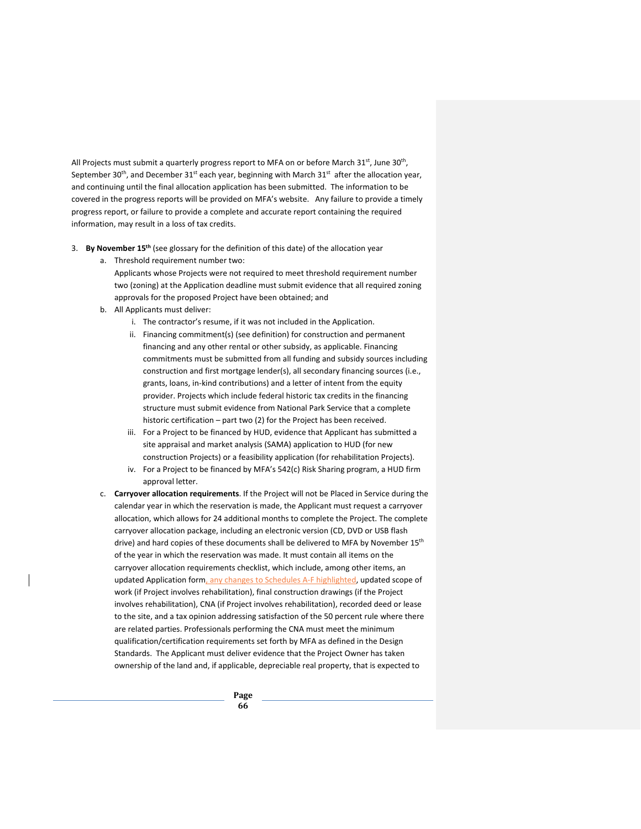All Projects must submit a quarterly progress report to MFA on or before March  $31<sup>st</sup>$ , June  $30<sup>th</sup>$ , September 30<sup>th</sup>, and December 31<sup>st</sup> each year, beginning with March 31<sup>st</sup> after the allocation year, and continuing until the final allocation application has been submitted. The information to be covered in the progress reports will be provided on MFA's website. Any failure to provide a timely progress report, or failure to provide a complete and accurate report containing the required information, may result in a loss of tax credits.

- 3. **By November 15th** (see glossary for the definition of this date) of the allocation year
	- a. Threshold requirement number two:
		- Applicants whose Projects were not required to meet threshold requirement number two (zoning) at the Application deadline must submit evidence that all required zoning approvals for the proposed Project have been obtained; and
	- b. All Applicants must deliver:
		- i. The contractor's resume, if it was not included in the Application.
		- ii. Financing commitment(s) (see definition) for construction and permanent financing and any other rental or other subsidy, as applicable. Financing commitments must be submitted from all funding and subsidy sources including construction and first mortgage lender(s), all secondary financing sources (i.e., grants, loans, in-kind contributions) and a letter of intent from the equity provider. Projects which include federal historic tax credits in the financing structure must submit evidence from National Park Service that a complete historic certification – part two (2) for the Project has been received.
		- iii. For a Project to be financed by HUD, evidence that Applicant has submitted a site appraisal and market analysis (SAMA) application to HUD (for new construction Projects) or a feasibility application (for rehabilitation Projects).
		- iv. For a Project to be financed by MFA's 542(c) Risk Sharing program, a HUD firm approval letter.
	- c. **Carryover allocation requirements**. If the Project will not be Placed in Service during the calendar year in which the reservation is made, the Applicant must request a carryover allocation, which allows for 24 additional months to complete the Project. The complete carryover allocation package, including an electronic version (CD, DVD or USB flash drive) and hard copies of these documents shall be delivered to MFA by November 15<sup>th</sup> of the year in which the reservation was made. It must contain all items on the carryover allocation requirements checklist, which include, among other items, an updated Application form, any changes to Schedules A-F highlighted, updated scope of work (if Project involves rehabilitation), final construction drawings (if the Project involves rehabilitation), CNA (if Project involves rehabilitation), recorded deed or lease to the site, and a tax opinion addressing satisfaction of the 50 percent rule where there are related parties. Professionals performing the CNA must meet the minimum qualification/certification requirements set forth by MFA as defined in the Design Standards. The Applicant must deliver evidence that the Project Owner has taken ownership of the land and, if applicable, depreciable real property, that is expected to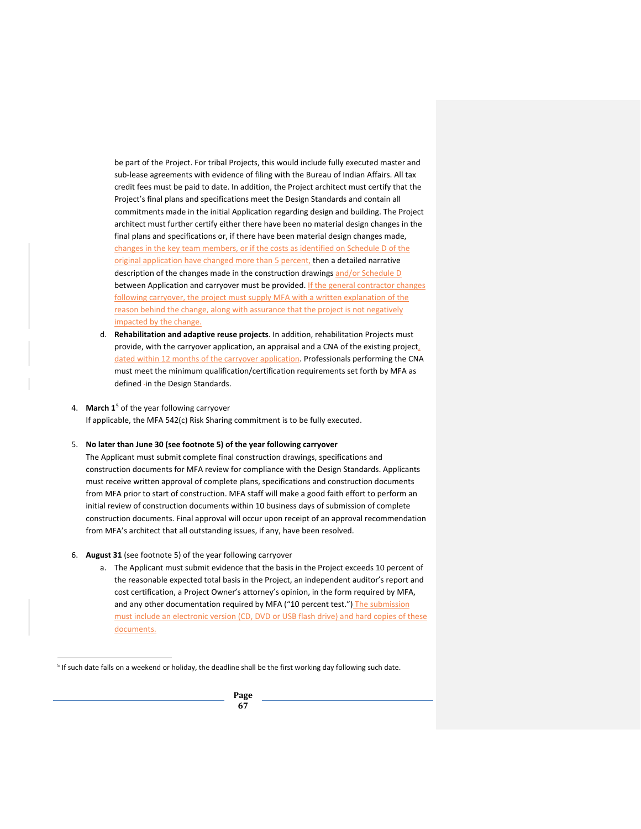be part of the Project. For tribal Projects, this would include fully executed master and sub-lease agreements with evidence of filing with the Bureau of Indian Affairs. All tax credit fees must be paid to date. In addition, the Project architect must certify that the Project's final plans and specifications meet the Design Standards and contain all commitments made in the initial Application regarding design and building. The Project architect must further certify either there have been no material design changes in the final plans and specifications or, if there have been material design changes made, changes in the key team members, or if the costs as identified on Schedule D of the original application have changed more than 5 percent, then a detailed narrative description of the changes made in the construction drawings and/or Schedule D between Application and carryover must be provided. If the general contractor changes following carryover, the project must supply MFA with a written explanation of the reason behind the change, along with assurance that the project is not negatively impacted by the change.

d. **Rehabilitation and adaptive reuse projects**. In addition, rehabilitation Projects must provide, with the carryover application, an appraisal and a CNA of the existing project, dated within 12 months of the carryover application. Professionals performing the CNA must meet the minimum qualification/certification requirements set forth by MFA as defined -in the Design Standards.

#### 4. **March 1**[5](#page-70-0) of the year following carryover

If applicable, the MFA 542(c) Risk Sharing commitment is to be fully executed.

#### 5. **No later than June 30 (see footnote 5) of the year following carryover**

The Applicant must submit complete final construction drawings, specifications and construction documents for MFA review for compliance with the Design Standards. Applicants must receive written approval of complete plans, specifications and construction documents from MFA prior to start of construction. MFA staff will make a good faith effort to perform an initial review of construction documents within 10 business days of submission of complete construction documents. Final approval will occur upon receipt of an approval recommendation from MFA's architect that all outstanding issues, if any, have been resolved.

### 6. **August 31** (see footnote 5) of the year following carryover

a. The Applicant must submit evidence that the basis in the Project exceeds 10 percent of the reasonable expected total basis in the Project, an independent auditor's report and cost certification, a Project Owner's attorney's opinion, in the form required by MFA, and any other documentation required by MFA ("10 percent test.") The submission must include an electronic version (CD, DVD or USB flash drive) and hard copies of these documents.

<span id="page-70-0"></span> <sup>5</sup> If such date falls on a weekend or holiday, the deadline shall be the first working day following such date.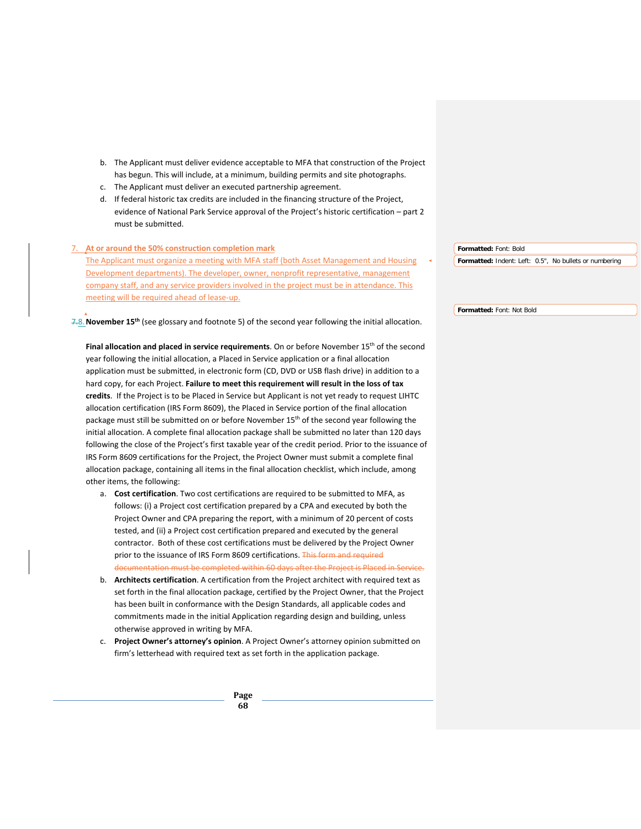- b. The Applicant must deliver evidence acceptable to MFA that construction of the Project has begun. This will include, at a minimum, building permits and site photographs.
- c. The Applicant must deliver an executed partnership agreement.
- d. If federal historic tax credits are included in the financing structure of the Project, evidence of National Park Service approval of the Project's historic certification – part 2 must be submitted.

| 7. At or around the 50% construction completion mark                                         | Formatted: Font: Bold                                  |
|----------------------------------------------------------------------------------------------|--------------------------------------------------------|
| The Applicant must organize a meeting with MFA staff (both Asset Management and Housing      | Formatted: Indent: Left: 0.5", No bullets or numbering |
| Development departments). The developer, owner, nonprofit representative, management         |                                                        |
| company staff, and any service providers involved in the project must be in attendance. This |                                                        |
| meeting will be required ahead of lease-up.                                                  |                                                        |
|                                                                                              | Formatted: Font: Not Bold                              |

7.8.**November 15th** (see glossary and footnote 5) of the second year following the initial allocation.

Final allocation and placed in service requirements. On or before November 15<sup>th</sup> of the second year following the initial allocation, a Placed in Service application or a final allocation application must be submitted, in electronic form (CD, DVD or USB flash drive) in addition to a hard copy, for each Project. **Failure to meet this requirement will result in the loss of tax credits**. If the Project is to be Placed in Service but Applicant is not yet ready to request LIHTC allocation certification (IRS Form 8609), the Placed in Service portion of the final allocation package must still be submitted on or before November 15<sup>th</sup> of the second year following the initial allocation. A complete final allocation package shall be submitted no later than 120 days following the close of the Project's first taxable year of the credit period. Prior to the issuance of IRS Form 8609 certifications for the Project, the Project Owner must submit a complete final allocation package, containing all items in the final allocation checklist, which include, among other items, the following:

- a. **Cost certification**. Two cost certifications are required to be submitted to MFA, as follows: (i) a Project cost certification prepared by a CPA and executed by both the Project Owner and CPA preparing the report, with a minimum of 20 percent of costs tested, and (ii) a Project cost certification prepared and executed by the general contractor. Both of these cost certifications must be delivered by the Project Owner prior to the issuance of IRS Form 8609 certifications. This form and required documentation must be completed within 60 days after the Project is Placed in Service.
- b. **Architects certification**. A certification from the Project architect with required text as set forth in the final allocation package, certified by the Project Owner, that the Project has been built in conformance with the Design Standards, all applicable codes and commitments made in the initial Application regarding design and building, unless otherwise approved in writing by MFA.
- c. **Project Owner's attorney's opinion**. A Project Owner's attorney opinion submitted on firm's letterhead with required text as set forth in the application package.

**Formatted:** Font: Not Bold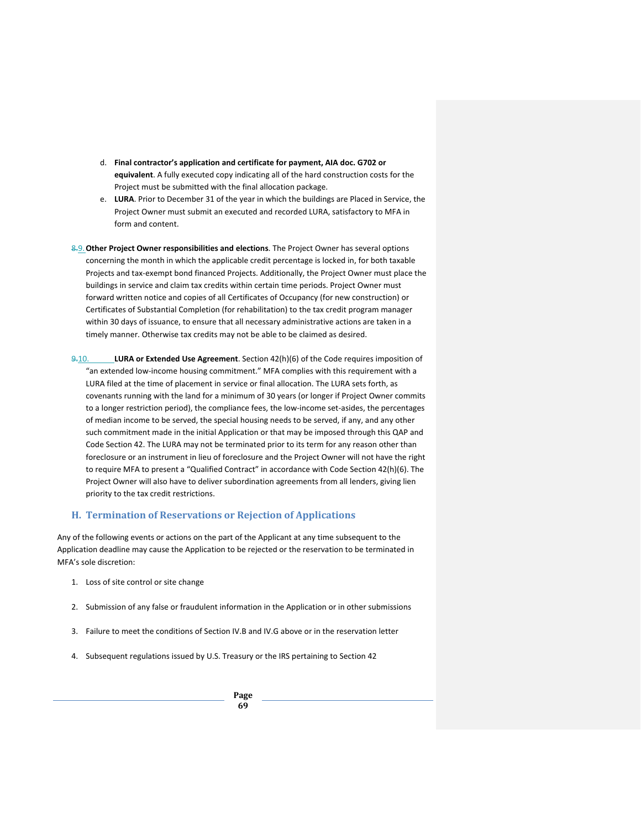- d. **Final contractor's application and certificate for payment, AIA doc. G702 or equivalent**. A fully executed copy indicating all of the hard construction costs for the Project must be submitted with the final allocation package.
- e. **LURA**. Prior to December 31 of the year in which the buildings are Placed in Service, the Project Owner must submit an executed and recorded LURA, satisfactory to MFA in form and content.
- 8.9.**Other Project Owner responsibilities and elections**. The Project Owner has several options concerning the month in which the applicable credit percentage is locked in, for both taxable Projects and tax-exempt bond financed Projects. Additionally, the Project Owner must place the buildings in service and claim tax credits within certain time periods. Project Owner must forward written notice and copies of all Certificates of Occupancy (for new construction) or Certificates of Substantial Completion (for rehabilitation) to the tax credit program manager within 30 days of issuance, to ensure that all necessary administrative actions are taken in a timely manner. Otherwise tax credits may not be able to be claimed as desired.
- 9.10. **LURA or Extended Use Agreement**. Section 42(h)(6) of the Code requires imposition of "an extended low-income housing commitment." MFA complies with this requirement with a LURA filed at the time of placement in service or final allocation. The LURA sets forth, as covenants running with the land for a minimum of 30 years (or longer if Project Owner commits to a longer restriction period), the compliance fees, the low-income set-asides, the percentages of median income to be served, the special housing needs to be served, if any, and any other such commitment made in the initial Application or that may be imposed through this QAP and Code Section 42. The LURA may not be terminated prior to its term for any reason other than foreclosure or an instrument in lieu of foreclosure and the Project Owner will not have the right to require MFA to present a "Qualified Contract" in accordance with Code Section 42(h)(6). The Project Owner will also have to deliver subordination agreements from all lenders, giving lien priority to the tax credit restrictions.

## **H. Termination of Reservations or Rejection of Applications**

Any of the following events or actions on the part of the Applicant at any time subsequent to the Application deadline may cause the Application to be rejected or the reservation to be terminated in MFA's sole discretion:

- 1. Loss of site control or site change
- 2. Submission of any false or fraudulent information in the Application or in other submissions
- 3. Failure to meet the conditions of Section IV.B and IV.G above or in the reservation letter
- 4. Subsequent regulations issued by U.S. Treasury or the IRS pertaining to Section 42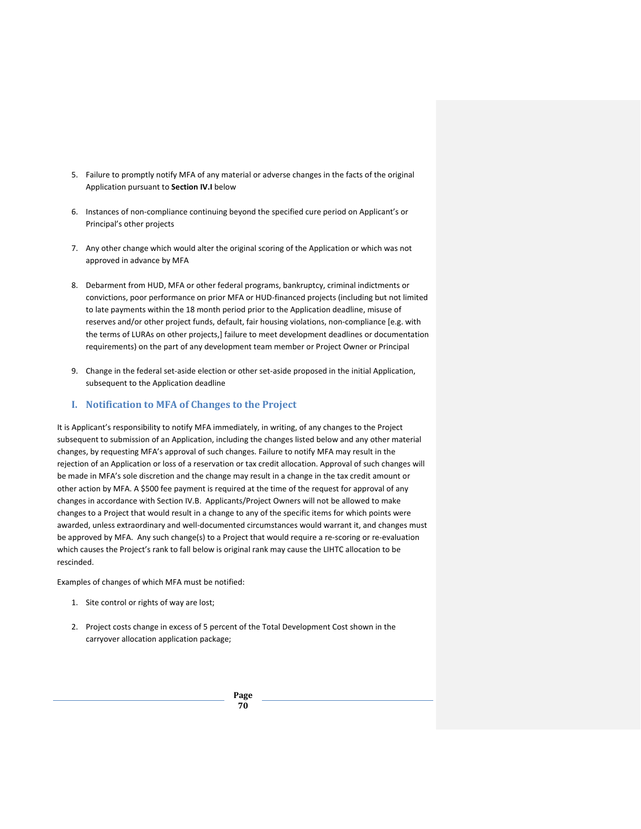- 5. Failure to promptly notify MFA of any material or adverse changes in the facts of the original Application pursuant to **Section IV.I** below
- 6. Instances of non-compliance continuing beyond the specified cure period on Applicant's or Principal's other projects
- 7. Any other change which would alter the original scoring of the Application or which was not approved in advance by MFA
- 8. Debarment from HUD, MFA or other federal programs, bankruptcy, criminal indictments or convictions, poor performance on prior MFA or HUD-financed projects (including but not limited to late payments within the 18 month period prior to the Application deadline, misuse of reserves and/or other project funds, default, fair housing violations, non-compliance [e.g. with the terms of LURAs on other projects,] failure to meet development deadlines or documentation requirements) on the part of any development team member or Project Owner or Principal
- 9. Change in the federal set-aside election or other set-aside proposed in the initial Application, subsequent to the Application deadline

## **I. Notification to MFA of Changes to the Project**

It is Applicant's responsibility to notify MFA immediately, in writing, of any changes to the Project subsequent to submission of an Application, including the changes listed below and any other material changes, by requesting MFA's approval of such changes. Failure to notify MFA may result in the rejection of an Application or loss of a reservation or tax credit allocation. Approval of such changes will be made in MFA's sole discretion and the change may result in a change in the tax credit amount or other action by MFA. A \$500 fee payment is required at the time of the request for approval of any changes in accordance with Section IV.B. Applicants/Project Owners will not be allowed to make changes to a Project that would result in a change to any of the specific items for which points were awarded, unless extraordinary and well-documented circumstances would warrant it, and changes must be approved by MFA. Any such change(s) to a Project that would require a re-scoring or re-evaluation which causes the Project's rank to fall below is original rank may cause the LIHTC allocation to be rescinded.

Examples of changes of which MFA must be notified:

- 1. Site control or rights of way are lost;
- 2. Project costs change in excess of 5 percent of the Total Development Cost shown in the carryover allocation application package;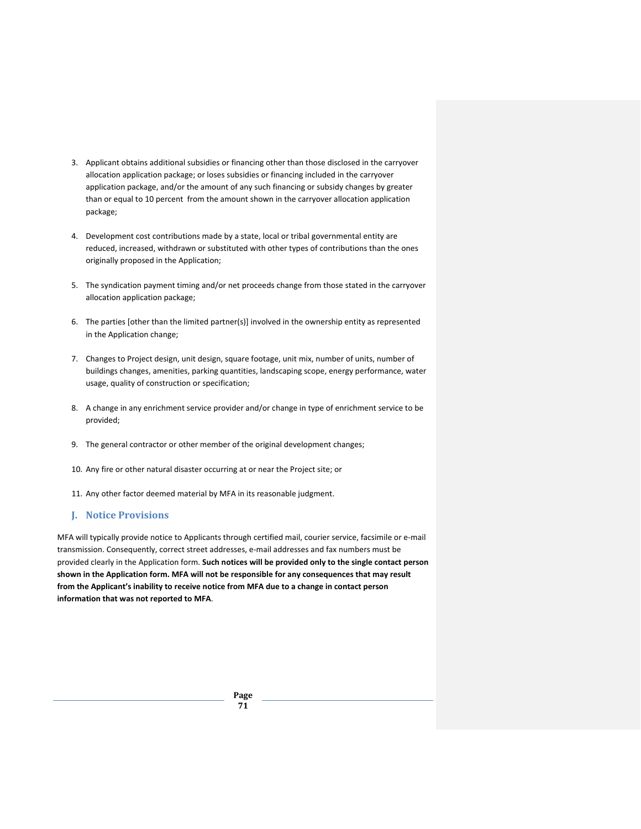- 3. Applicant obtains additional subsidies or financing other than those disclosed in the carryover allocation application package; or loses subsidies or financing included in the carryover application package, and/or the amount of any such financing or subsidy changes by greater than or equal to 10 percent from the amount shown in the carryover allocation application package;
- 4. Development cost contributions made by a state, local or tribal governmental entity are reduced, increased, withdrawn or substituted with other types of contributions than the ones originally proposed in the Application;
- 5. The syndication payment timing and/or net proceeds change from those stated in the carryover allocation application package;
- 6. The parties [other than the limited partner(s)] involved in the ownership entity as represented in the Application change;
- 7. Changes to Project design, unit design, square footage, unit mix, number of units, number of buildings changes, amenities, parking quantities, landscaping scope, energy performance, water usage, quality of construction or specification;
- 8. A change in any enrichment service provider and/or change in type of enrichment service to be provided;
- 9. The general contractor or other member of the original development changes;
- 10. Any fire or other natural disaster occurring at or near the Project site; or
- 11. Any other factor deemed material by MFA in its reasonable judgment.

## **J. Notice Provisions**

MFA will typically provide notice to Applicants through certified mail, courier service, facsimile or e-mail transmission. Consequently, correct street addresses, e-mail addresses and fax numbers must be provided clearly in the Application form. **Such notices will be provided only to the single contact person shown in the Application form. MFA will not be responsible for any consequences that may result from the Applicant's inability to receive notice from MFA due to a change in contact person information that was not reported to MFA**.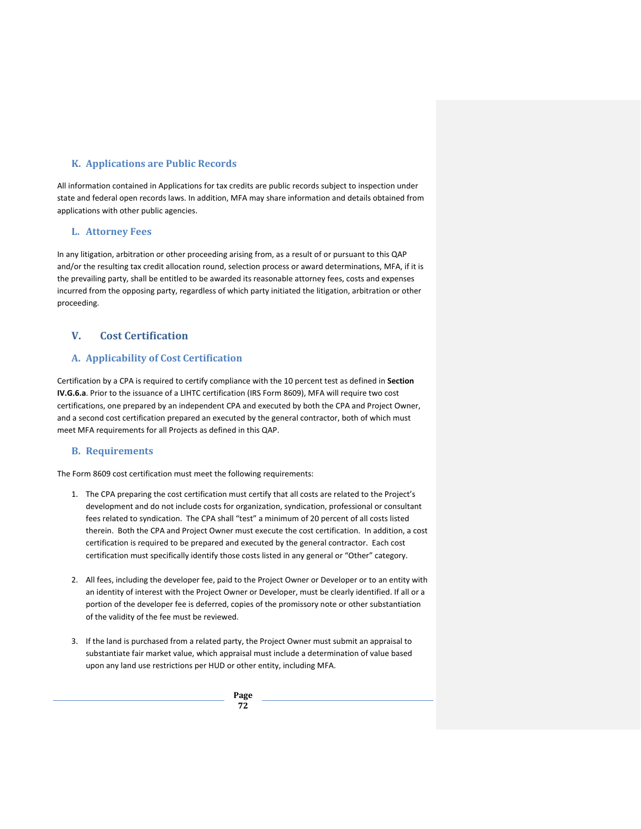# **K. Applications are Public Records**

All information contained in Applications for tax credits are public records subject to inspection under state and federal open records laws. In addition, MFA may share information and details obtained from applications with other public agencies.

## **L. Attorney Fees**

In any litigation, arbitration or other proceeding arising from, as a result of or pursuant to this QAP and/or the resulting tax credit allocation round, selection process or award determinations, MFA, if it is the prevailing party, shall be entitled to be awarded its reasonable attorney fees, costs and expenses incurred from the opposing party, regardless of which party initiated the litigation, arbitration or other proceeding.

# **V. Cost Certification**

## **A. Applicability of Cost Certification**

Certification by a CPA is required to certify compliance with the 10 percent test as defined in **Section IV.G.6.a**. Prior to the issuance of a LIHTC certification (IRS Form 8609), MFA will require two cost certifications, one prepared by an independent CPA and executed by both the CPA and Project Owner, and a second cost certification prepared an executed by the general contractor, both of which must meet MFA requirements for all Projects as defined in this QAP.

## **B. Requirements**

The Form 8609 cost certification must meet the following requirements:

- 1. The CPA preparing the cost certification must certify that all costs are related to the Project's development and do not include costs for organization, syndication, professional or consultant fees related to syndication. The CPA shall "test" a minimum of 20 percent of all costs listed therein. Both the CPA and Project Owner must execute the cost certification. In addition, a cost certification is required to be prepared and executed by the general contractor. Each cost certification must specifically identify those costs listed in any general or "Other" category.
- 2. All fees, including the developer fee, paid to the Project Owner or Developer or to an entity with an identity of interest with the Project Owner or Developer, must be clearly identified. If all or a portion of the developer fee is deferred, copies of the promissory note or other substantiation of the validity of the fee must be reviewed.
- 3. If the land is purchased from a related party, the Project Owner must submit an appraisal to substantiate fair market value, which appraisal must include a determination of value based upon any land use restrictions per HUD or other entity, including MFA.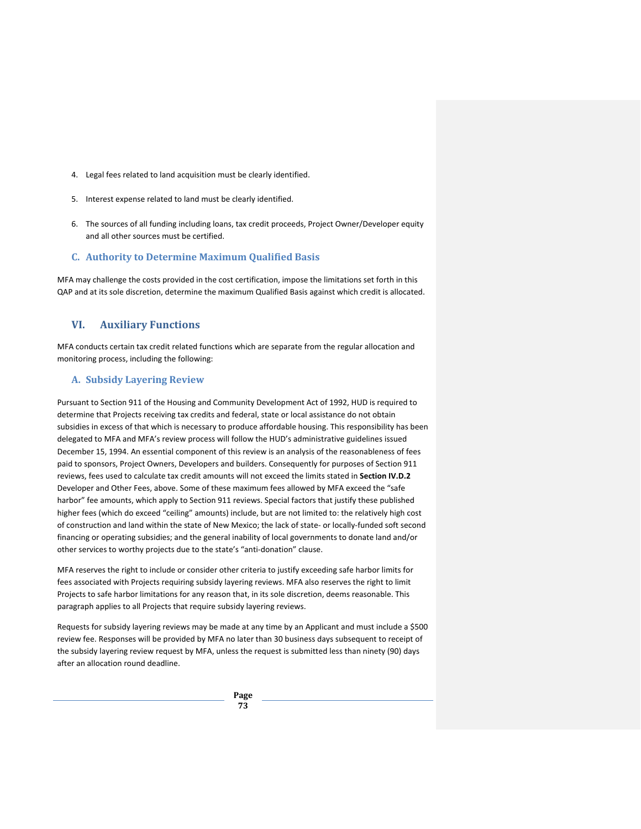- 4. Legal fees related to land acquisition must be clearly identified.
- 5. Interest expense related to land must be clearly identified.
- 6. The sources of all funding including loans, tax credit proceeds, Project Owner/Developer equity and all other sources must be certified.

#### **C. Authority to Determine Maximum Qualified Basis**

MFA may challenge the costs provided in the cost certification, impose the limitations set forth in this QAP and at its sole discretion, determine the maximum Qualified Basis against which credit is allocated.

## **VI. Auxiliary Functions**

MFA conducts certain tax credit related functions which are separate from the regular allocation and monitoring process, including the following:

## **A. Subsidy Layering Review**

Pursuant to Section 911 of the Housing and Community Development Act of 1992, HUD is required to determine that Projects receiving tax credits and federal, state or local assistance do not obtain subsidies in excess of that which is necessary to produce affordable housing. This responsibility has been delegated to MFA and MFA's review process will follow the HUD's administrative guidelines issued December 15, 1994. An essential component of this review is an analysis of the reasonableness of fees paid to sponsors, Project Owners, Developers and builders. Consequently for purposes of Section 911 reviews, fees used to calculate tax credit amounts will not exceed the limits stated in **Section IV.D.2** Developer and Other Fees, above. Some of these maximum fees allowed by MFA exceed the "safe harbor" fee amounts, which apply to Section 911 reviews. Special factors that justify these published higher fees (which do exceed "ceiling" amounts) include, but are not limited to: the relatively high cost of construction and land within the state of New Mexico; the lack of state- or locally-funded soft second financing or operating subsidies; and the general inability of local governments to donate land and/or other services to worthy projects due to the state's "anti-donation" clause.

MFA reserves the right to include or consider other criteria to justify exceeding safe harbor limits for fees associated with Projects requiring subsidy layering reviews. MFA also reserves the right to limit Projects to safe harbor limitations for any reason that, in its sole discretion, deems reasonable. This paragraph applies to all Projects that require subsidy layering reviews.

Requests for subsidy layering reviews may be made at any time by an Applicant and must include a \$500 review fee. Responses will be provided by MFA no later than 30 business days subsequent to receipt of the subsidy layering review request by MFA, unless the request is submitted less than ninety (90) days after an allocation round deadline.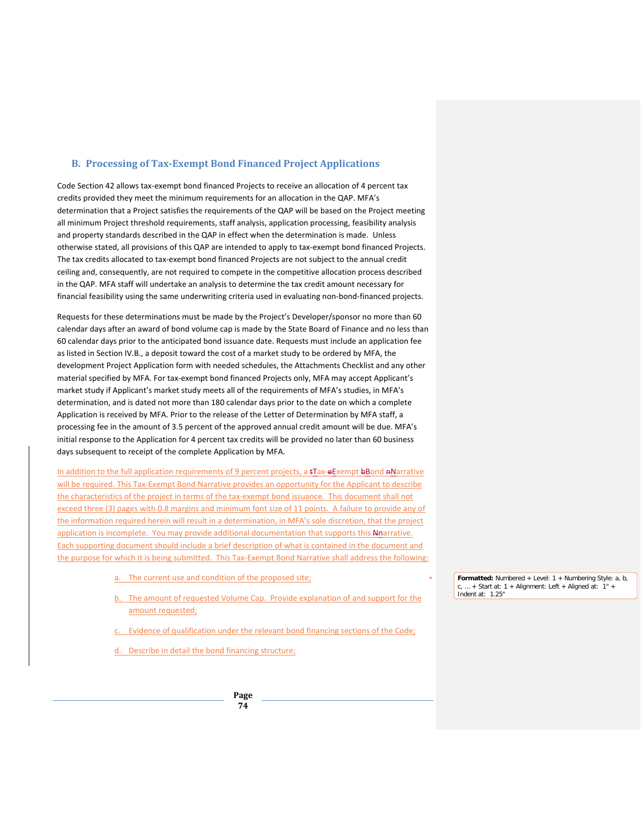## **B. Processing of Tax-Exempt Bond Financed Project Applications**

Code Section 42 allows tax-exempt bond financed Projects to receive an allocation of 4 percent tax credits provided they meet the minimum requirements for an allocation in the QAP. MFA's determination that a Project satisfies the requirements of the QAP will be based on the Project meeting all minimum Project threshold requirements, staff analysis, application processing, feasibility analysis and property standards described in the QAP in effect when the determination is made. Unless otherwise stated, all provisions of this QAP are intended to apply to tax-exempt bond financed Projects. The tax credits allocated to tax-exempt bond financed Projects are not subject to the annual credit ceiling and, consequently, are not required to compete in the competitive allocation process described in the QAP. MFA staff will undertake an analysis to determine the tax credit amount necessary for financial feasibility using the same underwriting criteria used in evaluating non-bond-financed projects.

Requests for these determinations must be made by the Project's Developer/sponsor no more than 60 calendar days after an award of bond volume cap is made by the State Board of Finance and no less than 60 calendar days prior to the anticipated bond issuance date. Requests must include an application fee as listed in Section IV.B., a deposit toward the cost of a market study to be ordered by MFA, the development Project Application form with needed schedules, the Attachments Checklist and any other material specified by MFA. For tax-exempt bond financed Projects only, MFA may accept Applicant's market study if Applicant's market study meets all of the requirements of MFA's studies, in MFA's determination, and is dated not more than 180 calendar days prior to the date on which a complete Application is received by MFA. Prior to the release of the Letter of Determination by MFA staff, a processing fee in the amount of 3.5 percent of the approved annual credit amount will be due. MFA's initial response to the Application for 4 percent tax credits will be provided no later than 60 business days subsequent to receipt of the complete Application by MFA.

In addition to the full application requirements of 9 percent projects, a tTax-eExempt bBond nNarrative will be required. This Tax-Exempt Bond Narrative provides an opportunity for the Applicant to describe the characteristics of the project in terms of the tax-exempt bond issuance. This document shall not exceed three (3) pages with 0.8 margins and minimum font size of 11 points. A failure to provide any of the information required herein will result in a determination, in MFA's sole discretion, that the project application is incomplete. You may provide additional documentation that supports this Nnarrative. Each supporting document should include a brief description of what is contained in the document and the purpose for which it is being submitted. This Tax-Exempt Bond Narrative shall address the following:

- a. The current use and condition of the proposed site;
- b. The amount of requested Volume Cap. Provide explanation of and support for the amount requested;
- Evidence of qualification under the relevant bond financing sections of the Code;
- Describe in detail the bond financing structure;

**Page 74**

**Formatted:** Numbered + Level: 1 + Numbering Style: a, b,  $c, ... +$  Start at: 1 + Alignment: Left + Aligned at: 1" + Indent at: 1.25"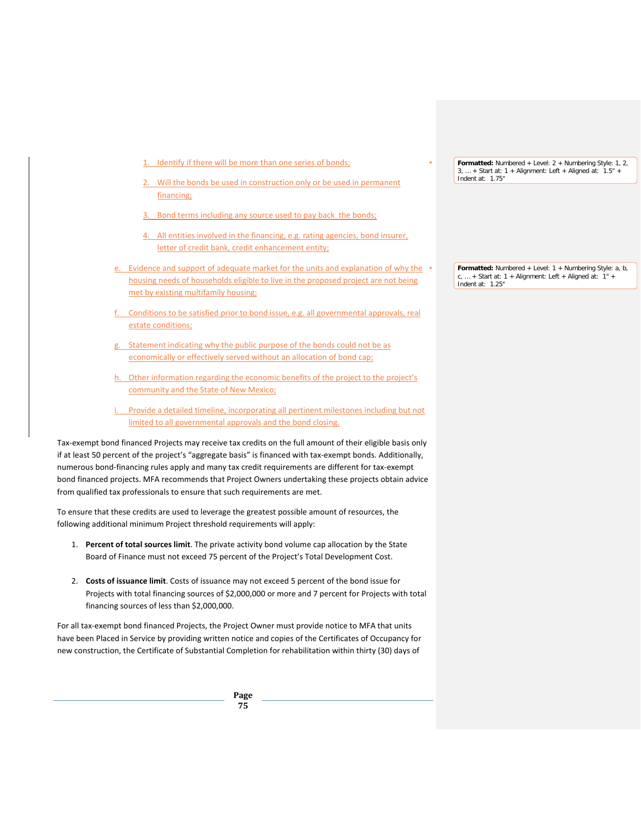- 1. Identify if there will be more than one series of bonds;
- Will the bonds be used in construction only or be used in permanent financing;
- 3. Bond terms including any source used to pay back the bonds;
- All entities involved in the financing, e.g. rating agencies, bond insurer, letter of credit bank, credit enhancement entity;
- e. Evidence and support of adequate market for the units and explanation of why the housing needs of households eligible to live in the proposed project are not being met by existing multifamily housing;
- f. Conditions to be satisfied prior to bond issue, e.g. all governmental approvals, real estate conditions;
- g. Statement indicating why the public purpose of the bonds could not be as economically or effectively served without an allocation of bond cap;
- h. Other information regarding the economic benefits of the project to the project's community and the State of New Mexico;
- i. Provide a detailed timeline, incorporating all pertinent milestones including but not limited to all governmental approvals and the bond closing.

Tax-exempt bond financed Projects may receive tax credits on the full amount of their eligible basis only if at least 50 percent of the project's "aggregate basis" is financed with tax-exempt bonds. Additionally, numerous bond-financing rules apply and many tax credit requirements are different for tax-exempt bond financed projects. MFA recommends that Project Owners undertaking these projects obtain advice from qualified tax professionals to ensure that such requirements are met.

To ensure that these credits are used to leverage the greatest possible amount of resources, the following additional minimum Project threshold requirements will apply:

- 1. **Percent of total sources limit**. The private activity bond volume cap allocation by the State Board of Finance must not exceed 75 percent of the Project's Total Development Cost.
- 2. **Costs of issuance limit**. Costs of issuance may not exceed 5 percent of the bond issue for Projects with total financing sources of \$2,000,000 or more and 7 percent for Projects with total financing sources of less than \$2,000,000.

For all tax-exempt bond financed Projects, the Project Owner must provide notice to MFA that units have been Placed in Service by providing written notice and copies of the Certificates of Occupancy for new construction, the Certificate of Substantial Completion for rehabilitation within thirty (30) days of

> **Page 75**

**Formatted:** Numbered + Level: 2 + Numbering Style: 1, 2,  $3, ... +$  Start at: 1 + Alignment: Left + Aligned at:  $1.5"$ Indent at: 1.75"

**Formatted:** Numbered + Level: 1 + Numbering Style: a, b,  $c, ... +$  Start at: 1 + Alignment: Left + Aligned at: 1" + Indent at: 1.25"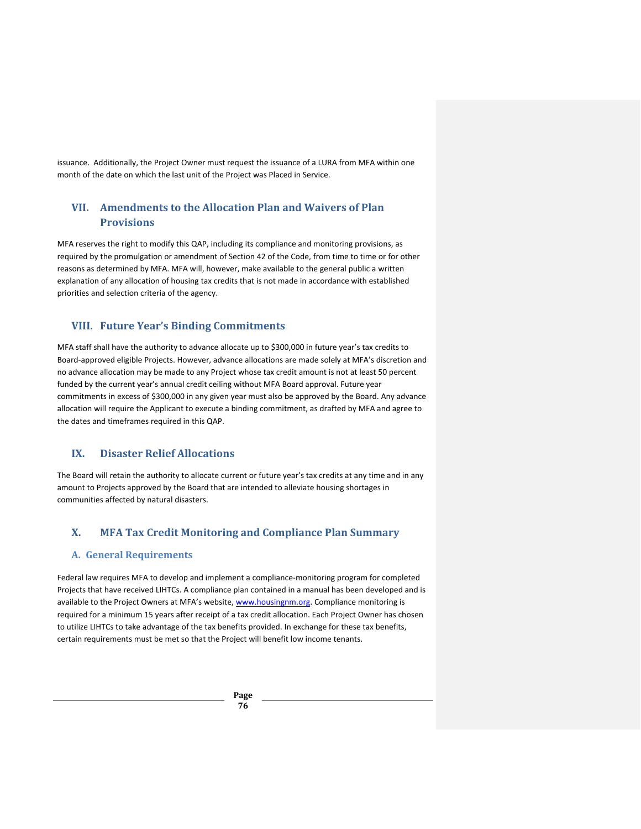issuance. Additionally, the Project Owner must request the issuance of a LURA from MFA within one month of the date on which the last unit of the Project was Placed in Service.

# **VII. Amendments to the Allocation Plan and Waivers of Plan Provisions**

MFA reserves the right to modify this QAP, including its compliance and monitoring provisions, as required by the promulgation or amendment of Section 42 of the Code, from time to time or for other reasons as determined by MFA. MFA will, however, make available to the general public a written explanation of any allocation of housing tax credits that is not made in accordance with established priorities and selection criteria of the agency.

## **VIII. Future Year's Binding Commitments**

MFA staff shall have the authority to advance allocate up to \$300,000 in future year's tax credits to Board-approved eligible Projects. However, advance allocations are made solely at MFA's discretion and no advance allocation may be made to any Project whose tax credit amount is not at least 50 percent funded by the current year's annual credit ceiling without MFA Board approval. Future year commitments in excess of \$300,000 in any given year must also be approved by the Board. Any advance allocation will require the Applicant to execute a binding commitment, as drafted by MFA and agree to the dates and timeframes required in this QAP.

## **IX. Disaster Relief Allocations**

The Board will retain the authority to allocate current or future year's tax credits at any time and in any amount to Projects approved by the Board that are intended to alleviate housing shortages in communities affected by natural disasters.

## **X. MFA Tax Credit Monitoring and Compliance Plan Summary**

## **A. General Requirements**

Federal law requires MFA to develop and implement a compliance-monitoring program for completed Projects that have received LIHTCs. A compliance plan contained in a manual has been developed and is available to the Project Owners at MFA's website, [www.housingnm.org.](http://www.housingnm.org/) Compliance monitoring is required for a minimum 15 years after receipt of a tax credit allocation. Each Project Owner has chosen to utilize LIHTCs to take advantage of the tax benefits provided. In exchange for these tax benefits, certain requirements must be met so that the Project will benefit low income tenants.

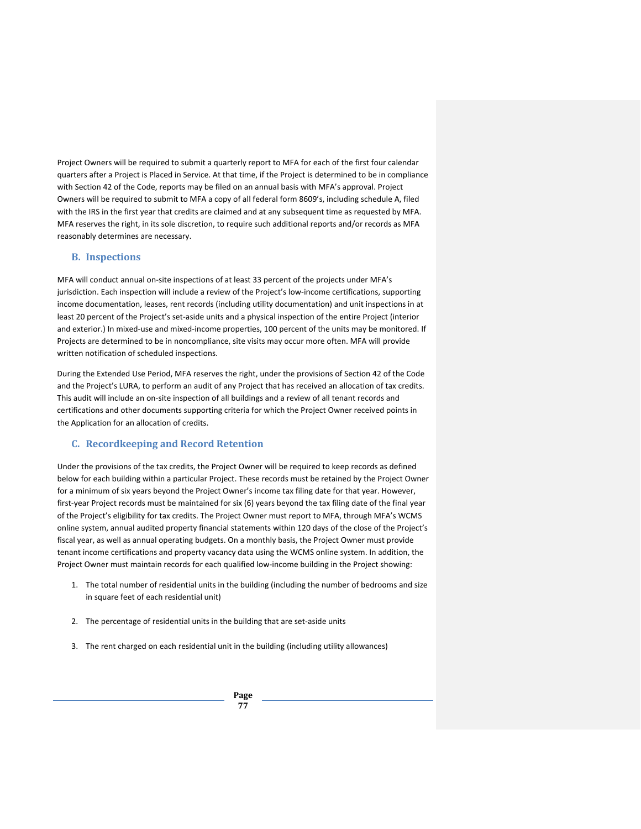Project Owners will be required to submit a quarterly report to MFA for each of the first four calendar quarters after a Project is Placed in Service. At that time, if the Project is determined to be in compliance with Section 42 of the Code, reports may be filed on an annual basis with MFA's approval. Project Owners will be required to submit to MFA a copy of all federal form 8609's, including schedule A, filed with the IRS in the first year that credits are claimed and at any subsequent time as requested by MFA. MFA reserves the right, in its sole discretion, to require such additional reports and/or records as MFA reasonably determines are necessary.

## **B. Inspections**

MFA will conduct annual on-site inspections of at least 33 percent of the projects under MFA's jurisdiction. Each inspection will include a review of the Project's low-income certifications, supporting income documentation, leases, rent records (including utility documentation) and unit inspections in at least 20 percent of the Project's set-aside units and a physical inspection of the entire Project (interior and exterior.) In mixed-use and mixed-income properties, 100 percent of the units may be monitored. If Projects are determined to be in noncompliance, site visits may occur more often. MFA will provide written notification of scheduled inspections.

During the Extended Use Period, MFA reserves the right, under the provisions of Section 42 of the Code and the Project's LURA, to perform an audit of any Project that has received an allocation of tax credits. This audit will include an on-site inspection of all buildings and a review of all tenant records and certifications and other documents supporting criteria for which the Project Owner received points in the Application for an allocation of credits.

## **C. Recordkeeping and Record Retention**

Under the provisions of the tax credits, the Project Owner will be required to keep records as defined below for each building within a particular Project. These records must be retained by the Project Owner for a minimum of six years beyond the Project Owner's income tax filing date for that year. However, first-year Project records must be maintained for six (6) years beyond the tax filing date of the final year of the Project's eligibility for tax credits. The Project Owner must report to MFA, through MFA's WCMS online system, annual audited property financial statements within 120 days of the close of the Project's fiscal year, as well as annual operating budgets. On a monthly basis, the Project Owner must provide tenant income certifications and property vacancy data using the WCMS online system. In addition, the Project Owner must maintain records for each qualified low-income building in the Project showing:

- 1. The total number of residential units in the building (including the number of bedrooms and size in square feet of each residential unit)
- 2. The percentage of residential units in the building that are set-aside units
- 3. The rent charged on each residential unit in the building (including utility allowances)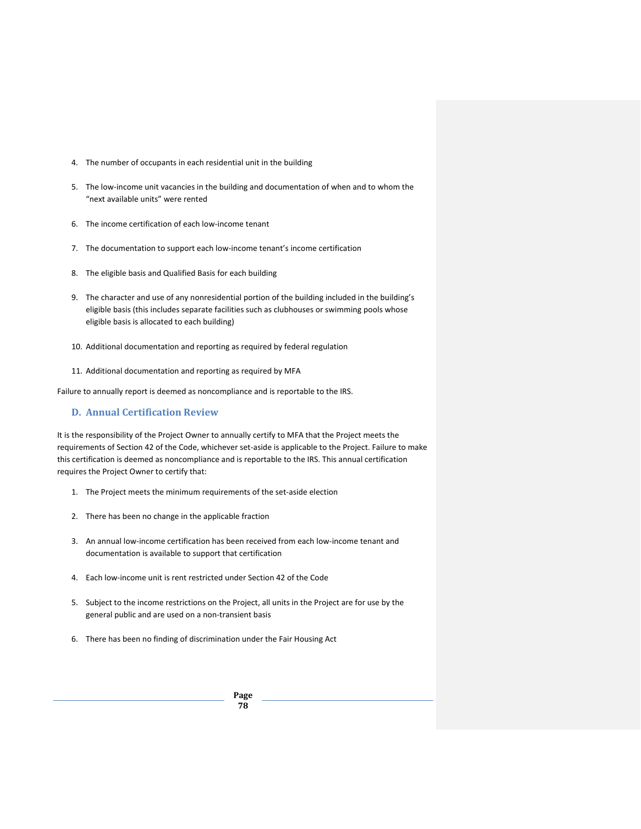- 4. The number of occupants in each residential unit in the building
- 5. The low-income unit vacancies in the building and documentation of when and to whom the "next available units" were rented
- 6. The income certification of each low-income tenant
- 7. The documentation to support each low-income tenant's income certification
- 8. The eligible basis and Qualified Basis for each building
- 9. The character and use of any nonresidential portion of the building included in the building's eligible basis (this includes separate facilities such as clubhouses or swimming pools whose eligible basis is allocated to each building)
- 10. Additional documentation and reporting as required by federal regulation
- 11. Additional documentation and reporting as required by MFA

Failure to annually report is deemed as noncompliance and is reportable to the IRS.

## **D. Annual Certification Review**

It is the responsibility of the Project Owner to annually certify to MFA that the Project meets the requirements of Section 42 of the Code, whichever set-aside is applicable to the Project. Failure to make this certification is deemed as noncompliance and is reportable to the IRS. This annual certification requires the Project Owner to certify that:

- 1. The Project meets the minimum requirements of the set-aside election
- 2. There has been no change in the applicable fraction
- 3. An annual low-income certification has been received from each low-income tenant and documentation is available to support that certification
- 4. Each low-income unit is rent restricted under Section 42 of the Code
- 5. Subject to the income restrictions on the Project, all units in the Project are for use by the general public and are used on a non-transient basis
- 6. There has been no finding of discrimination under the Fair Housing Act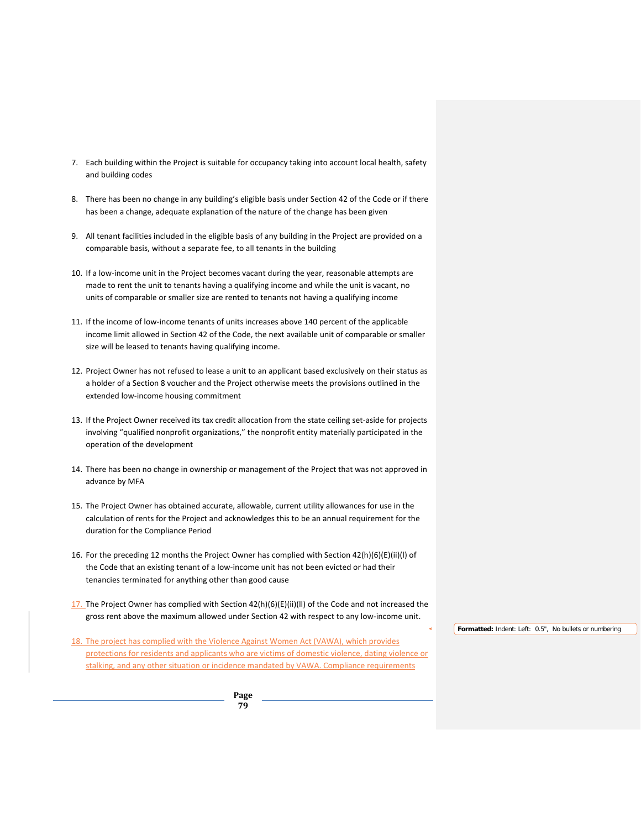- 7. Each building within the Project is suitable for occupancy taking into account local health, safety and building codes
- 8. There has been no change in any building's eligible basis under Section 42 of the Code or if there has been a change, adequate explanation of the nature of the change has been given
- 9. All tenant facilities included in the eligible basis of any building in the Project are provided on a comparable basis, without a separate fee, to all tenants in the building
- 10. If a low-income unit in the Project becomes vacant during the year, reasonable attempts are made to rent the unit to tenants having a qualifying income and while the unit is vacant, no units of comparable or smaller size are rented to tenants not having a qualifying income
- 11. If the income of low-income tenants of units increases above 140 percent of the applicable income limit allowed in Section 42 of the Code, the next available unit of comparable or smaller size will be leased to tenants having qualifying income.
- 12. Project Owner has not refused to lease a unit to an applicant based exclusively on their status as a holder of a Section 8 voucher and the Project otherwise meets the provisions outlined in the extended low-income housing commitment
- 13. If the Project Owner received its tax credit allocation from the state ceiling set-aside for projects involving "qualified nonprofit organizations," the nonprofit entity materially participated in the operation of the development
- 14. There has been no change in ownership or management of the Project that was not approved in advance by MFA
- 15. The Project Owner has obtained accurate, allowable, current utility allowances for use in the calculation of rents for the Project and acknowledges this to be an annual requirement for the duration for the Compliance Period
- 16. For the preceding 12 months the Project Owner has complied with Section 42(h)(6)(E)(ii)(l) of the Code that an existing tenant of a low-income unit has not been evicted or had their tenancies terminated for anything other than good cause
- 17. The Project Owner has complied with Section  $42(h)(6)(E)(ii)(II)$  of the Code and not increased the gross rent above the maximum allowed under Section 42 with respect to any low-income unit.
- 18. The project has complied with the Violence Against Women Act (VAWA), which provides protections for residents and applicants who are victims of domestic violence, dating violence or stalking, and any other situation or incidence mandated by VAWA. Compliance requirements

**Formatted:** Indent: Left: 0.5", No bullets or numbering

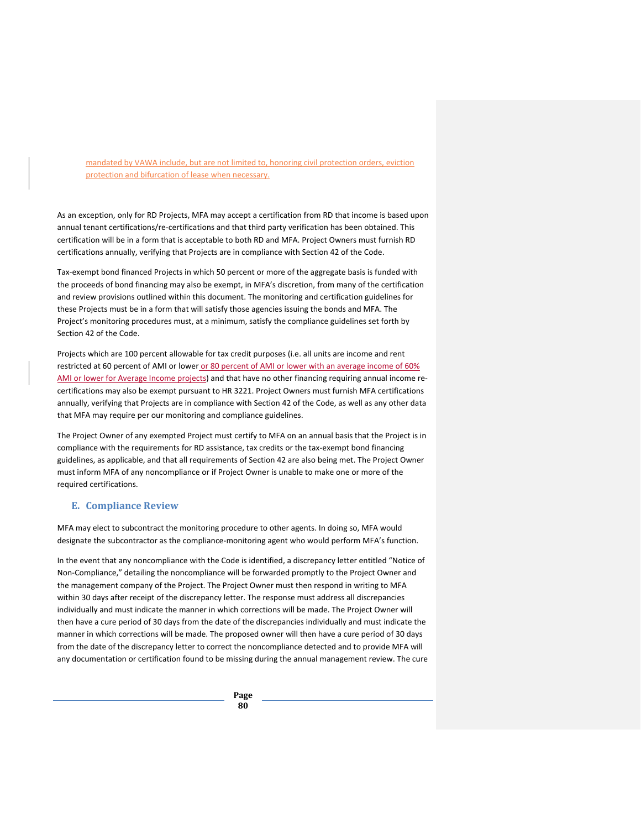mandated by VAWA include, but are not limited to, honoring civil protection orders, eviction protection and bifurcation of lease when necessary.

As an exception, only for RD Projects, MFA may accept a certification from RD that income is based upon annual tenant certifications/re-certifications and that third party verification has been obtained. This certification will be in a form that is acceptable to both RD and MFA. Project Owners must furnish RD certifications annually, verifying that Projects are in compliance with Section 42 of the Code.

Tax-exempt bond financed Projects in which 50 percent or more of the aggregate basis is funded with the proceeds of bond financing may also be exempt, in MFA's discretion, from many of the certification and review provisions outlined within this document. The monitoring and certification guidelines for these Projects must be in a form that will satisfy those agencies issuing the bonds and MFA. The Project's monitoring procedures must, at a minimum, satisfy the compliance guidelines set forth by Section 42 of the Code.

Projects which are 100 percent allowable for tax credit purposes (i.e. all units are income and rent restricted at 60 percent of AMI or lower or 80 percent of AMI or lower with an average income of 60% AMI or lower for Average Income projects) and that have no other financing requiring annual income recertifications may also be exempt pursuant to HR 3221. Project Owners must furnish MFA certifications annually, verifying that Projects are in compliance with Section 42 of the Code, as well as any other data that MFA may require per our monitoring and compliance guidelines.

The Project Owner of any exempted Project must certify to MFA on an annual basis that the Project is in compliance with the requirements for RD assistance, tax credits or the tax-exempt bond financing guidelines, as applicable, and that all requirements of Section 42 are also being met. The Project Owner must inform MFA of any noncompliance or if Project Owner is unable to make one or more of the required certifications.

## **E. Compliance Review**

MFA may elect to subcontract the monitoring procedure to other agents. In doing so, MFA would designate the subcontractor as the compliance-monitoring agent who would perform MFA's function.

In the event that any noncompliance with the Code is identified, a discrepancy letter entitled "Notice of Non-Compliance," detailing the noncompliance will be forwarded promptly to the Project Owner and the management company of the Project. The Project Owner must then respond in writing to MFA within 30 days after receipt of the discrepancy letter. The response must address all discrepancies individually and must indicate the manner in which corrections will be made. The Project Owner will then have a cure period of 30 days from the date of the discrepancies individually and must indicate the manner in which corrections will be made. The proposed owner will then have a cure period of 30 days from the date of the discrepancy letter to correct the noncompliance detected and to provide MFA will any documentation or certification found to be missing during the annual management review. The cure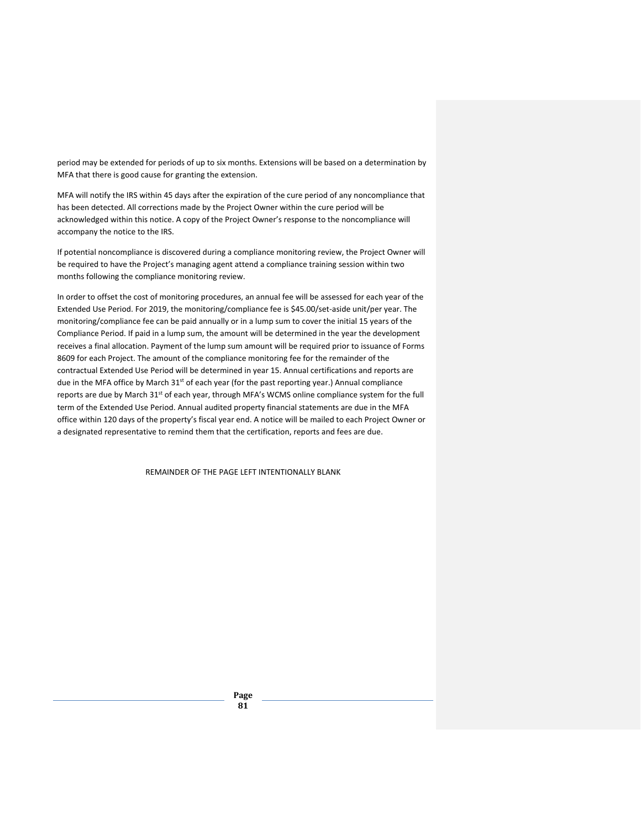period may be extended for periods of up to six months. Extensions will be based on a determination by MFA that there is good cause for granting the extension.

MFA will notify the IRS within 45 days after the expiration of the cure period of any noncompliance that has been detected. All corrections made by the Project Owner within the cure period will be acknowledged within this notice. A copy of the Project Owner's response to the noncompliance will accompany the notice to the IRS.

If potential noncompliance is discovered during a compliance monitoring review, the Project Owner will be required to have the Project's managing agent attend a compliance training session within two months following the compliance monitoring review.

In order to offset the cost of monitoring procedures, an annual fee will be assessed for each year of the Extended Use Period. For 2019, the monitoring/compliance fee is \$45.00/set-aside unit/per year. The monitoring/compliance fee can be paid annually or in a lump sum to cover the initial 15 years of the Compliance Period. If paid in a lump sum, the amount will be determined in the year the development receives a final allocation. Payment of the lump sum amount will be required prior to issuance of Forms 8609 for each Project. The amount of the compliance monitoring fee for the remainder of the contractual Extended Use Period will be determined in year 15. Annual certifications and reports are due in the MFA office by March 31<sup>st</sup> of each year (for the past reporting year.) Annual compliance reports are due by March 31<sup>st</sup> of each year, through MFA's WCMS online compliance system for the full term of the Extended Use Period. Annual audited property financial statements are due in the MFA office within 120 days of the property's fiscal year end. A notice will be mailed to each Project Owner or a designated representative to remind them that the certification, reports and fees are due.

REMAINDER OF THE PAGE LEFT INTENTIONALLY BLANK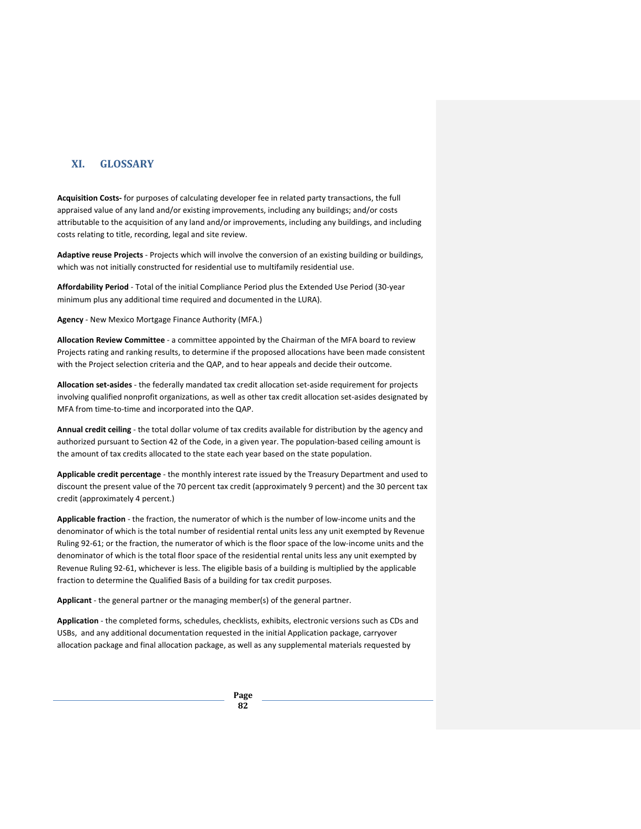## **XI. GLOSSARY**

**Acquisition Costs-** for purposes of calculating developer fee in related party transactions, the full appraised value of any land and/or existing improvements, including any buildings; and/or costs attributable to the acquisition of any land and/or improvements, including any buildings, and including costs relating to title, recording, legal and site review.

**Adaptive reuse Projects** - Projects which will involve the conversion of an existing building or buildings, which was not initially constructed for residential use to multifamily residential use.

**Affordability Period** - Total of the initial Compliance Period plus the Extended Use Period (30-year minimum plus any additional time required and documented in the LURA).

**Agency** - New Mexico Mortgage Finance Authority (MFA.)

**Allocation Review Committee** - a committee appointed by the Chairman of the MFA board to review Projects rating and ranking results, to determine if the proposed allocations have been made consistent with the Project selection criteria and the QAP, and to hear appeals and decide their outcome.

**Allocation set-asides** - the federally mandated tax credit allocation set-aside requirement for projects involving qualified nonprofit organizations, as well as other tax credit allocation set-asides designated by MFA from time-to-time and incorporated into the QAP.

**Annual credit ceiling** - the total dollar volume of tax credits available for distribution by the agency and authorized pursuant to Section 42 of the Code, in a given year. The population-based ceiling amount is the amount of tax credits allocated to the state each year based on the state population.

**Applicable credit percentage** - the monthly interest rate issued by the Treasury Department and used to discount the present value of the 70 percent tax credit (approximately 9 percent) and the 30 percent tax credit (approximately 4 percent.)

**Applicable fraction** - the fraction, the numerator of which is the number of low-income units and the denominator of which is the total number of residential rental units less any unit exempted by Revenue Ruling 92-61; or the fraction, the numerator of which is the floor space of the low-income units and the denominator of which is the total floor space of the residential rental units less any unit exempted by Revenue Ruling 92-61, whichever is less. The eligible basis of a building is multiplied by the applicable fraction to determine the Qualified Basis of a building for tax credit purposes.

**Applicant** - the general partner or the managing member(s) of the general partner.

**Application** - the completed forms, schedules, checklists, exhibits, electronic versions such as CDs and USBs, and any additional documentation requested in the initial Application package, carryover allocation package and final allocation package, as well as any supplemental materials requested by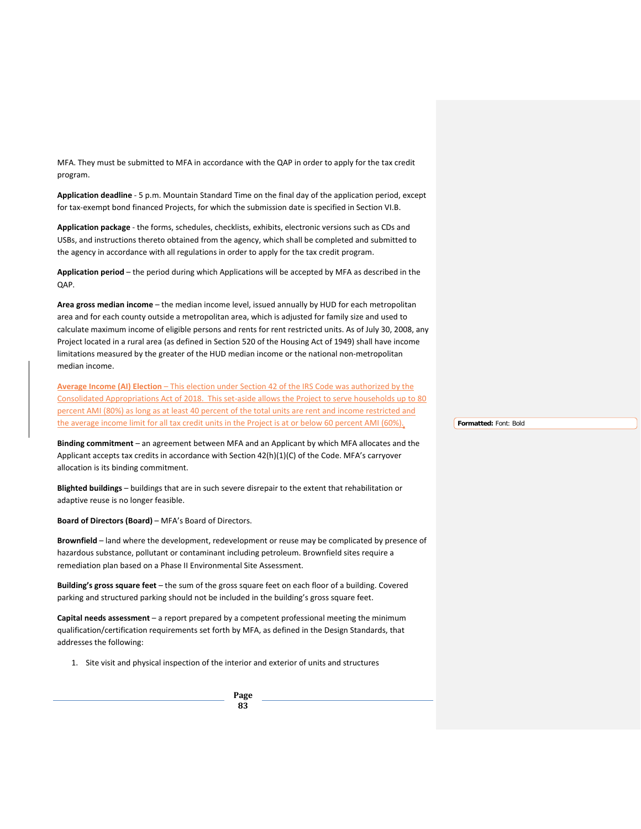MFA. They must be submitted to MFA in accordance with the QAP in order to apply for the tax credit program.

**Application deadline** - 5 p.m. Mountain Standard Time on the final day of the application period, except for tax-exempt bond financed Projects, for which the submission date is specified in Section VI.B.

**Application package** - the forms, schedules, checklists, exhibits, electronic versions such as CDs and USBs, and instructions thereto obtained from the agency, which shall be completed and submitted to the agency in accordance with all regulations in order to apply for the tax credit program.

**Application period** – the period during which Applications will be accepted by MFA as described in the QAP.

**Area gross median income** – the median income level, issued annually by HUD for each metropolitan area and for each county outside a metropolitan area, which is adjusted for family size and used to calculate maximum income of eligible persons and rents for rent restricted units. As of July 30, 2008, any Project located in a rural area (as defined in Section 520 of the Housing Act of 1949) shall have income limitations measured by the greater of the HUD median income or the national non-metropolitan median income.

**Average Income (AI) Election** – This election under Section 42 of the IRS Code was authorized by the Consolidated Appropriations Act of 2018. This set-aside allows the Project to serve households up to 80 percent AMI (80%) as long as at least 40 percent of the total units are rent and income restricted and the average income limit for all tax credit units in the Project is at or below 60 percent AMI (60%).

**Binding commitment** – an agreement between MFA and an Applicant by which MFA allocates and the Applicant accepts tax credits in accordance with Section 42(h)(1)(C) of the Code. MFA's carryover allocation is its binding commitment.

**Blighted buildings** – buildings that are in such severe disrepair to the extent that rehabilitation or adaptive reuse is no longer feasible.

**Board of Directors (Board)** – MFA's Board of Directors.

**Brownfield** – land where the development, redevelopment or reuse may be complicated by presence of hazardous substance, pollutant or contaminant including petroleum. Brownfield sites require a remediation plan based on a Phase II Environmental Site Assessment.

**Building's gross square feet** – the sum of the gross square feet on each floor of a building. Covered parking and structured parking should not be included in the building's gross square feet.

**Capital needs assessment** – a report prepared by a competent professional meeting the minimum qualification/certification requirements set forth by MFA, as defined in the Design Standards, that addresses the following:

1. Site visit and physical inspection of the interior and exterior of units and structures

**Page 83**

**Formatted:** Font: Bold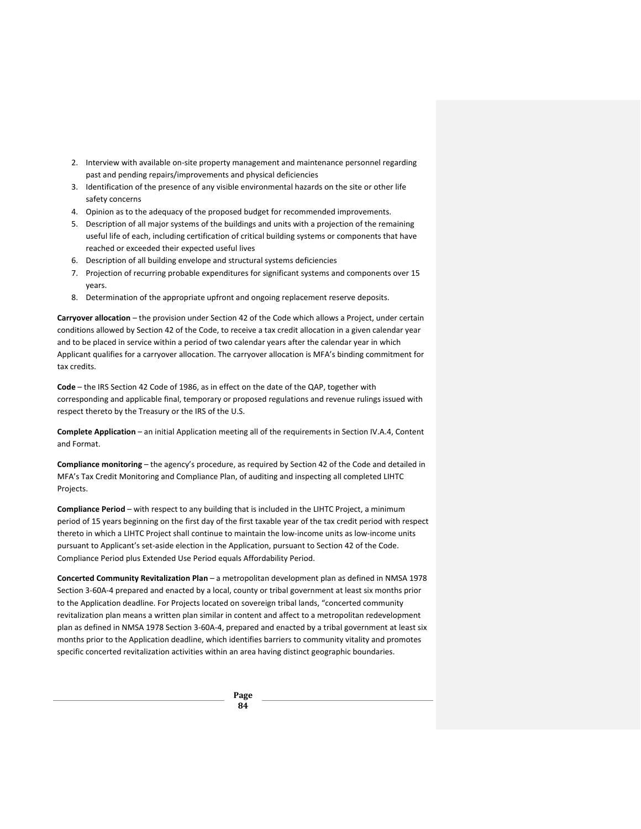- 2. Interview with available on-site property management and maintenance personnel regarding past and pending repairs/improvements and physical deficiencies
- 3. Identification of the presence of any visible environmental hazards on the site or other life safety concerns
- 4. Opinion as to the adequacy of the proposed budget for recommended improvements.
- 5. Description of all major systems of the buildings and units with a projection of the remaining useful life of each, including certification of critical building systems or components that have reached or exceeded their expected useful lives
- 6. Description of all building envelope and structural systems deficiencies
- 7. Projection of recurring probable expenditures for significant systems and components over 15 years.
- 8. Determination of the appropriate upfront and ongoing replacement reserve deposits.

**Carryover allocation** – the provision under Section 42 of the Code which allows a Project, under certain conditions allowed by Section 42 of the Code, to receive a tax credit allocation in a given calendar year and to be placed in service within a period of two calendar years after the calendar year in which Applicant qualifies for a carryover allocation. The carryover allocation is MFA's binding commitment for tax credits.

**Code** – the IRS Section 42 Code of 1986, as in effect on the date of the QAP, together with corresponding and applicable final, temporary or proposed regulations and revenue rulings issued with respect thereto by the Treasury or the IRS of the U.S.

**Complete Application** – an initial Application meeting all of the requirements in Section IV.A.4, Content and Format.

**Compliance monitoring** – the agency's procedure, as required by Section 42 of the Code and detailed in MFA's Tax Credit Monitoring and Compliance Plan, of auditing and inspecting all completed LIHTC Projects.

**Compliance Period** – with respect to any building that is included in the LIHTC Project, a minimum period of 15 years beginning on the first day of the first taxable year of the tax credit period with respect thereto in which a LIHTC Project shall continue to maintain the low-income units as low-income units pursuant to Applicant's set-aside election in the Application, pursuant to Section 42 of the Code. Compliance Period plus Extended Use Period equals Affordability Period.

**Concerted Community Revitalization Plan** – a metropolitan development plan as defined in NMSA 1978 Section 3-60A-4 prepared and enacted by a local, county or tribal government at least six months prior to the Application deadline. For Projects located on sovereign tribal lands, "concerted community revitalization plan means a written plan similar in content and affect to a metropolitan redevelopment plan as defined in NMSA 1978 Section 3-60A-4, prepared and enacted by a tribal government at least six months prior to the Application deadline, which identifies barriers to community vitality and promotes specific concerted revitalization activities within an area having distinct geographic boundaries.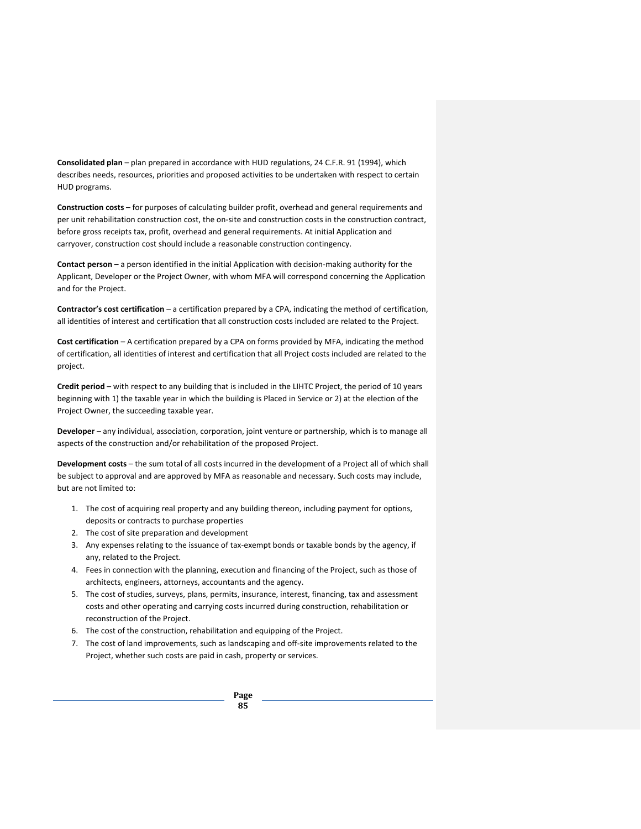**Consolidated plan** – plan prepared in accordance with HUD regulations, 24 C.F.R. 91 (1994), which describes needs, resources, priorities and proposed activities to be undertaken with respect to certain HUD programs.

**Construction costs** – for purposes of calculating builder profit, overhead and general requirements and per unit rehabilitation construction cost, the on-site and construction costs in the construction contract, before gross receipts tax, profit, overhead and general requirements. At initial Application and carryover, construction cost should include a reasonable construction contingency.

**Contact person** – a person identified in the initial Application with decision-making authority for the Applicant, Developer or the Project Owner, with whom MFA will correspond concerning the Application and for the Project.

**Contractor's cost certification** – a certification prepared by a CPA, indicating the method of certification, all identities of interest and certification that all construction costs included are related to the Project.

**Cost certification** – A certification prepared by a CPA on forms provided by MFA, indicating the method of certification, all identities of interest and certification that all Project costs included are related to the project.

**Credit period** – with respect to any building that is included in the LIHTC Project, the period of 10 years beginning with 1) the taxable year in which the building is Placed in Service or 2) at the election of the Project Owner, the succeeding taxable year.

**Developer** – any individual, association, corporation, joint venture or partnership, which is to manage all aspects of the construction and/or rehabilitation of the proposed Project.

**Development costs** – the sum total of all costs incurred in the development of a Project all of which shall be subject to approval and are approved by MFA as reasonable and necessary. Such costs may include, but are not limited to:

- 1. The cost of acquiring real property and any building thereon, including payment for options, deposits or contracts to purchase properties
- 2. The cost of site preparation and development
- 3. Any expenses relating to the issuance of tax-exempt bonds or taxable bonds by the agency, if any, related to the Project.
- 4. Fees in connection with the planning, execution and financing of the Project, such as those of architects, engineers, attorneys, accountants and the agency.
- 5. The cost of studies, surveys, plans, permits, insurance, interest, financing, tax and assessment costs and other operating and carrying costs incurred during construction, rehabilitation or reconstruction of the Project.
- 6. The cost of the construction, rehabilitation and equipping of the Project.
- 7. The cost of land improvements, such as landscaping and off-site improvements related to the Project, whether such costs are paid in cash, property or services.

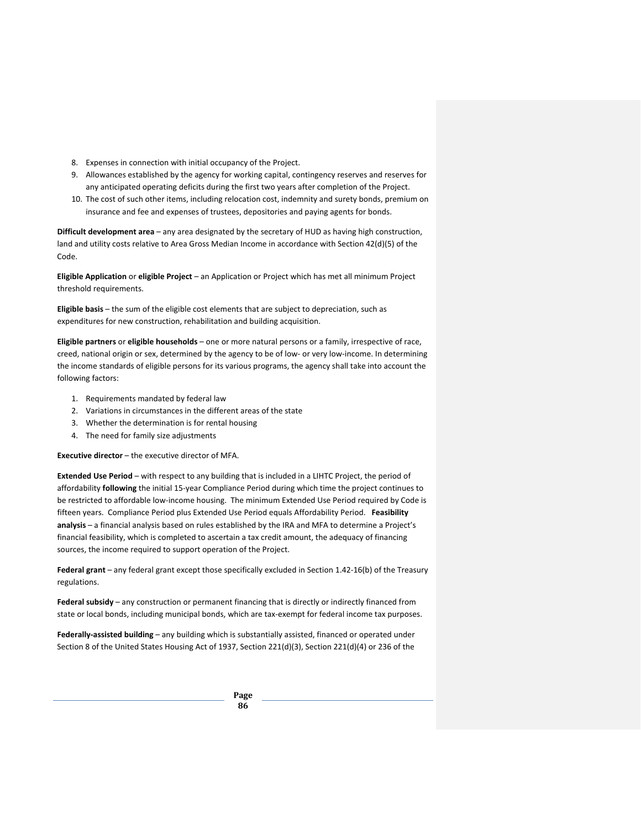- 8. Expenses in connection with initial occupancy of the Project.
- 9. Allowances established by the agency for working capital, contingency reserves and reserves for any anticipated operating deficits during the first two years after completion of the Project.
- 10. The cost of such other items, including relocation cost, indemnity and surety bonds, premium on insurance and fee and expenses of trustees, depositories and paying agents for bonds.

**Difficult development area** – any area designated by the secretary of HUD as having high construction, land and utility costs relative to Area Gross Median Income in accordance with Section 42(d)(5) of the Code.

**Eligible Application** or **eligible Project** – an Application or Project which has met all minimum Project threshold requirements.

**Eligible basis** – the sum of the eligible cost elements that are subject to depreciation, such as expenditures for new construction, rehabilitation and building acquisition.

**Eligible partners** or **eligible households** – one or more natural persons or a family, irrespective of race, creed, national origin or sex, determined by the agency to be of low- or very low-income. In determining the income standards of eligible persons for its various programs, the agency shall take into account the following factors:

- 1. Requirements mandated by federal law
- 2. Variations in circumstances in the different areas of the state
- 3. Whether the determination is for rental housing
- 4. The need for family size adjustments

**Executive director** – the executive director of MFA.

**Extended Use Period** – with respect to any building that is included in a LIHTC Project, the period of affordability **following** the initial 15-year Compliance Period during which time the project continues to be restricted to affordable low-income housing. The minimum Extended Use Period required by Code is fifteen years. Compliance Period plus Extended Use Period equals Affordability Period. **Feasibility analysis** – a financial analysis based on rules established by the IRA and MFA to determine a Project's financial feasibility, which is completed to ascertain a tax credit amount, the adequacy of financing sources, the income required to support operation of the Project.

**Federal grant** – any federal grant except those specifically excluded in Section 1.42-16(b) of the Treasury regulations.

**Federal subsidy** – any construction or permanent financing that is directly or indirectly financed from state or local bonds, including municipal bonds, which are tax-exempt for federal income tax purposes.

**Federally-assisted building** – any building which is substantially assisted, financed or operated under Section 8 of the United States Housing Act of 1937, Section 221(d)(3), Section 221(d)(4) or 236 of the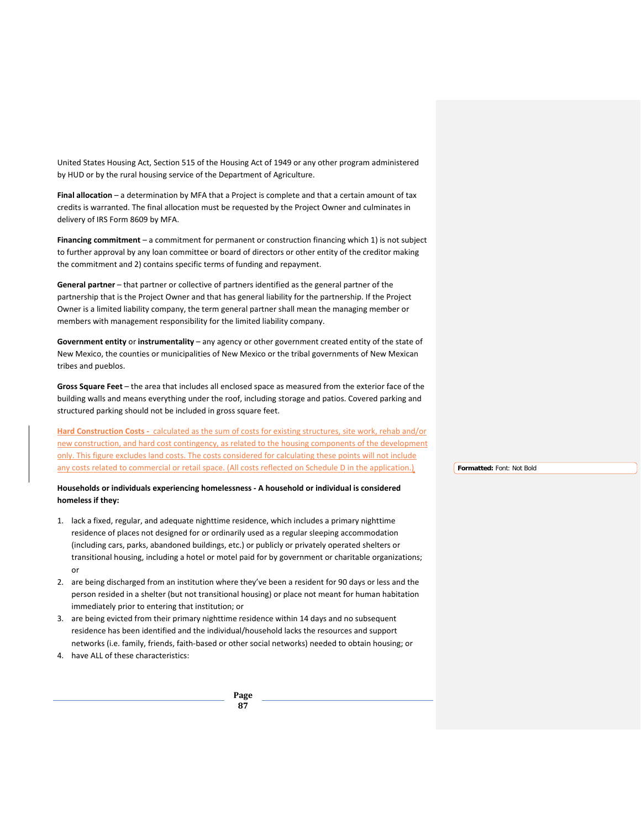United States Housing Act, Section 515 of the Housing Act of 1949 or any other program administered by HUD or by the rural housing service of the Department of Agriculture.

**Final allocation** – a determination by MFA that a Project is complete and that a certain amount of tax credits is warranted. The final allocation must be requested by the Project Owner and culminates in delivery of IRS Form 8609 by MFA.

**Financing commitment** – a commitment for permanent or construction financing which 1) is not subject to further approval by any loan committee or board of directors or other entity of the creditor making the commitment and 2) contains specific terms of funding and repayment.

**General partner** – that partner or collective of partners identified as the general partner of the partnership that is the Project Owner and that has general liability for the partnership. If the Project Owner is a limited liability company, the term general partner shall mean the managing member or members with management responsibility for the limited liability company.

**Government entity** or **instrumentality** – any agency or other government created entity of the state of New Mexico, the counties or municipalities of New Mexico or the tribal governments of New Mexican tribes and pueblos.

**Gross Square Feet** – the area that includes all enclosed space as measured from the exterior face of the building walls and means everything under the roof, including storage and patios. Covered parking and structured parking should not be included in gross square feet.

**Hard Construction Costs -** calculated as the sum of costs for existing structures, site work, rehab and/or new construction, and hard cost contingency, as related to the housing components of the development only. This figure excludes land costs. The costs considered for calculating these points will not include any costs related to commercial or retail space. (All costs reflected on Schedule D in the application.)

#### **Households or individuals experiencing homelessness - A household or individual is considered homeless if they:**

- 1. lack a fixed, regular, and adequate nighttime residence, which includes a primary nighttime residence of places not designed for or ordinarily used as a regular sleeping accommodation (including cars, parks, abandoned buildings, etc.) or publicly or privately operated shelters or transitional housing, including a hotel or motel paid for by government or charitable organizations; or
- 2. are being discharged from an institution where they've been a resident for 90 days or less and the person resided in a shelter (but not transitional housing) or place not meant for human habitation immediately prior to entering that institution; or
- 3. are being evicted from their primary nighttime residence within 14 days and no subsequent residence has been identified and the individual/household lacks the resources and support networks (i.e. family, friends, faith-based or other social networks) needed to obtain housing; or
- 4. have ALL of these characteristics:

**Formatted:** Font: Not Bold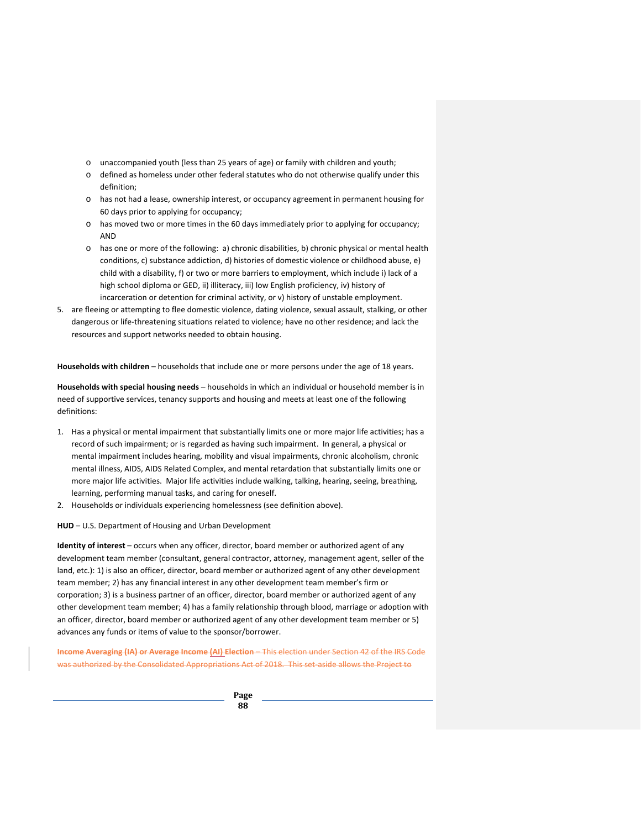- o unaccompanied youth (less than 25 years of age) or family with children and youth;
- o defined as homeless under other federal statutes who do not otherwise qualify under this definition;
- o has not had a lease, ownership interest, or occupancy agreement in permanent housing for 60 days prior to applying for occupancy;
- o has moved two or more times in the 60 days immediately prior to applying for occupancy; AND
- o has one or more of the following: a) chronic disabilities, b) chronic physical or mental health conditions, c) substance addiction, d) histories of domestic violence or childhood abuse, e) child with a disability, f) or two or more barriers to employment, which include i) lack of a high school diploma or GED, ii) illiteracy, iii) low English proficiency, iv) history of incarceration or detention for criminal activity, or v) history of unstable employment.
- 5. are fleeing or attempting to flee domestic violence, dating violence, sexual assault, stalking, or other dangerous or life-threatening situations related to violence; have no other residence; and lack the resources and support networks needed to obtain housing.

**Households with children** – households that include one or more persons under the age of 18 years.

**Households with special housing needs** – households in which an individual or household member is in need of supportive services, tenancy supports and housing and meets at least one of the following definitions:

- 1. Has a physical or mental impairment that substantially limits one or more major life activities; has a record of such impairment; or is regarded as having such impairment. In general, a physical or mental impairment includes hearing, mobility and visual impairments, chronic alcoholism, chronic mental illness, AIDS, AIDS Related Complex, and mental retardation that substantially limits one or more major life activities. Major life activities include walking, talking, hearing, seeing, breathing, learning, performing manual tasks, and caring for oneself.
- 2. Households or individuals experiencing homelessness (see definition above).

**HUD** – U.S. Department of Housing and Urban Development

**Identity of interest** – occurs when any officer, director, board member or authorized agent of any development team member (consultant, general contractor, attorney, management agent, seller of the land, etc.): 1) is also an officer, director, board member or authorized agent of any other development team member; 2) has any financial interest in any other development team member's firm or corporation; 3) is a business partner of an officer, director, board member or authorized agent of any other development team member; 4) has a family relationship through blood, marriage or adoption with an officer, director, board member or authorized agent of any other development team member or 5) advances any funds or items of value to the sponsor/borrower.

**Income Averaging (IA) or Average Income (AI) Election** – This election under Section 42 of the IRS Code was authorized by the Consolidated Appropriations Act of 2018. This set-aside allows the Project to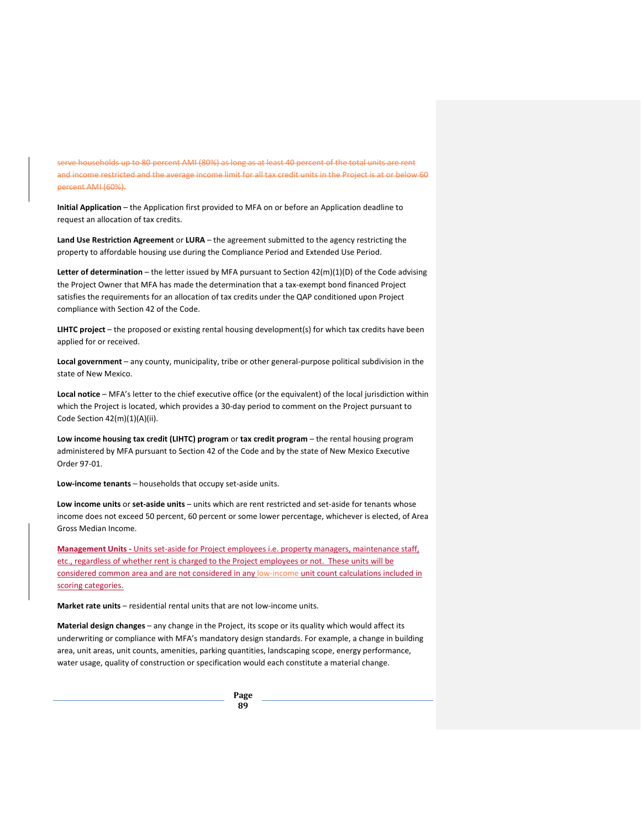serve households up to 80 percent AMI (80%) as long as at least 40 percent of the total units are rent and income restricted and the average income limit for all tax credit units in the Project is at or below 60 percent AMI (60%).

**Initial Application** – the Application first provided to MFA on or before an Application deadline to request an allocation of tax credits.

**Land Use Restriction Agreement** or **LURA** – the agreement submitted to the agency restricting the property to affordable housing use during the Compliance Period and Extended Use Period.

**Letter of determination** – the letter issued by MFA pursuant to Section 42(m)(1)(D) of the Code advising the Project Owner that MFA has made the determination that a tax-exempt bond financed Project satisfies the requirements for an allocation of tax credits under the QAP conditioned upon Project compliance with Section 42 of the Code.

**LIHTC project** – the proposed or existing rental housing development(s) for which tax credits have been applied for or received.

**Local government** – any county, municipality, tribe or other general-purpose political subdivision in the state of New Mexico.

**Local notice** – MFA's letter to the chief executive office (or the equivalent) of the local jurisdiction within which the Project is located, which provides a 30-day period to comment on the Project pursuant to Code Section 42(m)(1)(A)(ii).

**Low income housing tax credit (LIHTC) program** or **tax credit program** – the rental housing program administered by MFA pursuant to Section 42 of the Code and by the state of New Mexico Executive Order 97-01.

**Low-income tenants** – households that occupy set-aside units.

**Low income units** or **set-aside units** – units which are rent restricted and set-aside for tenants whose income does not exceed 50 percent, 60 percent or some lower percentage, whichever is elected, of Area Gross Median Income.

**Management Units -** Units set-aside for Project employees i.e. property managers, maintenance staff, etc., regardless of whether rent is charged to the Project employees or not. These units will be considered common area and are not considered in any low-income unit count calculations included in scoring categories.

**Market rate units** – residential rental units that are not low-income units.

**Material design changes** – any change in the Project, its scope or its quality which would affect its underwriting or compliance with MFA's mandatory design standards. For example, a change in building area, unit areas, unit counts, amenities, parking quantities, landscaping scope, energy performance, water usage, quality of construction or specification would each constitute a material change.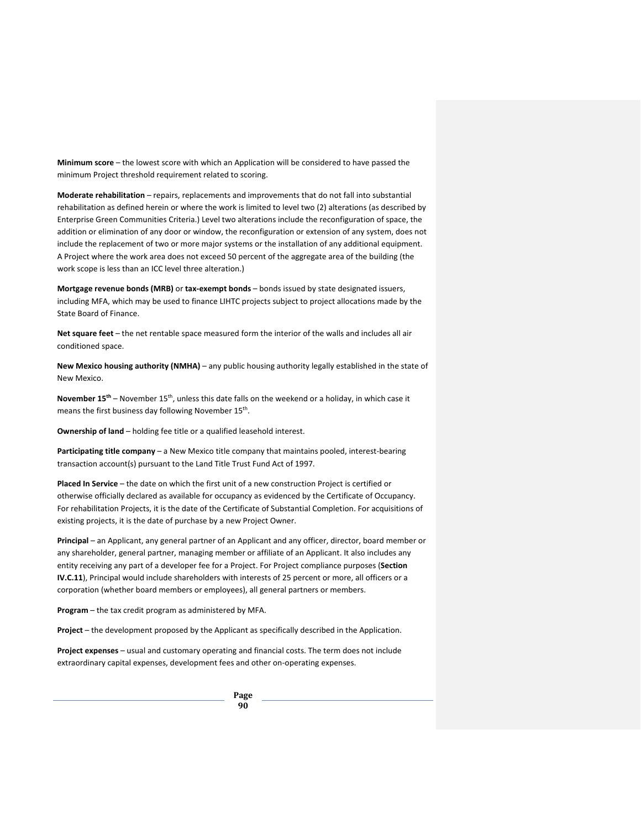**Minimum score** – the lowest score with which an Application will be considered to have passed the minimum Project threshold requirement related to scoring.

**Moderate rehabilitation** – repairs, replacements and improvements that do not fall into substantial rehabilitation as defined herein or where the work is limited to level two (2) alterations (as described by Enterprise Green Communities Criteria.) Level two alterations include the reconfiguration of space, the addition or elimination of any door or window, the reconfiguration or extension of any system, does not include the replacement of two or more major systems or the installation of any additional equipment. A Project where the work area does not exceed 50 percent of the aggregate area of the building (the work scope is less than an ICC level three alteration.)

**Mortgage revenue bonds (MRB)** or **tax-exempt bonds** – bonds issued by state designated issuers, including MFA, which may be used to finance LIHTC projects subject to project allocations made by the State Board of Finance.

**Net square feet** – the net rentable space measured form the interior of the walls and includes all air conditioned space.

**New Mexico housing authority (NMHA)** – any public housing authority legally established in the state of New Mexico.

**November 15th** – November 15th, unless this date falls on the weekend or a holiday, in which case it means the first business day following November 15<sup>th</sup>.

**Ownership of land** – holding fee title or a qualified leasehold interest.

**Participating title company** – a New Mexico title company that maintains pooled, interest-bearing transaction account(s) pursuant to the Land Title Trust Fund Act of 1997.

**Placed In Service** – the date on which the first unit of a new construction Project is certified or otherwise officially declared as available for occupancy as evidenced by the Certificate of Occupancy. For rehabilitation Projects, it is the date of the Certificate of Substantial Completion. For acquisitions of existing projects, it is the date of purchase by a new Project Owner.

**Principal** – an Applicant, any general partner of an Applicant and any officer, director, board member or any shareholder, general partner, managing member or affiliate of an Applicant. It also includes any entity receiving any part of a developer fee for a Project. For Project compliance purposes (**Section IV.C.11**), Principal would include shareholders with interests of 25 percent or more, all officers or a corporation (whether board members or employees), all general partners or members.

**Program** – the tax credit program as administered by MFA.

**Project** – the development proposed by the Applicant as specifically described in the Application.

**Project expenses** – usual and customary operating and financial costs. The term does not include extraordinary capital expenses, development fees and other on-operating expenses.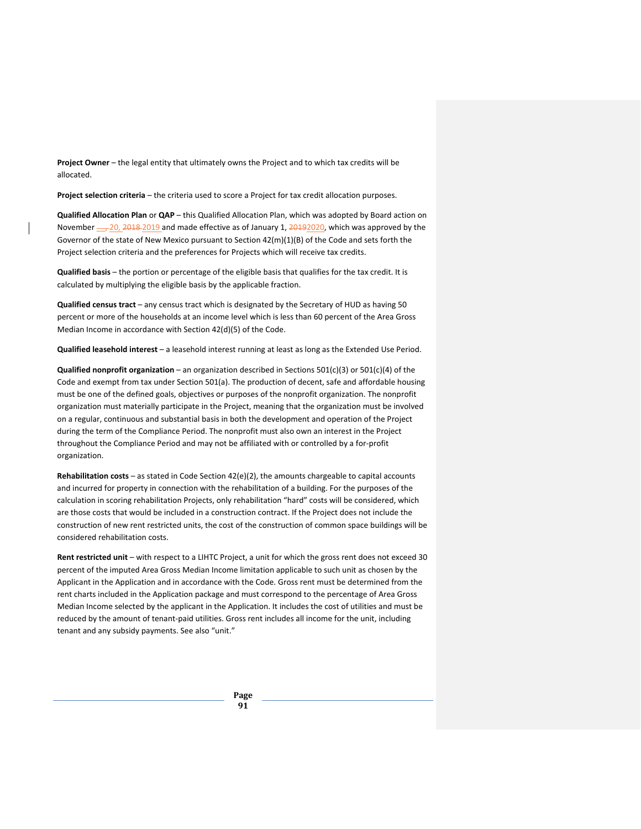**Project Owner** – the legal entity that ultimately owns the Project and to which tax credits will be allocated.

**Project selection criteria** – the criteria used to score a Project for tax credit allocation purposes.

**Qualified Allocation Plan** or **QAP** – this Qualified Allocation Plan, which was adopted by Board action on November  $\underline{\phantom{z}}$ , 2018-2019 and made effective as of January 1, 20192020, which was approved by the Governor of the state of New Mexico pursuant to Section 42(m)(1)(B) of the Code and sets forth the Project selection criteria and the preferences for Projects which will receive tax credits.

**Qualified basis** – the portion or percentage of the eligible basis that qualifies for the tax credit. It is calculated by multiplying the eligible basis by the applicable fraction.

**Qualified census tract** – any census tract which is designated by the Secretary of HUD as having 50 percent or more of the households at an income level which is less than 60 percent of the Area Gross Median Income in accordance with Section 42(d)(5) of the Code.

**Qualified leasehold interest** – a leasehold interest running at least as long as the Extended Use Period.

**Qualified nonprofit organization** – an organization described in Sections 501(c)(3) or 501(c)(4) of the Code and exempt from tax under Section 501(a). The production of decent, safe and affordable housing must be one of the defined goals, objectives or purposes of the nonprofit organization. The nonprofit organization must materially participate in the Project, meaning that the organization must be involved on a regular, continuous and substantial basis in both the development and operation of the Project during the term of the Compliance Period. The nonprofit must also own an interest in the Project throughout the Compliance Period and may not be affiliated with or controlled by a for-profit organization.

**Rehabilitation costs** – as stated in Code Section 42(e)(2), the amounts chargeable to capital accounts and incurred for property in connection with the rehabilitation of a building. For the purposes of the calculation in scoring rehabilitation Projects, only rehabilitation "hard" costs will be considered, which are those costs that would be included in a construction contract. If the Project does not include the construction of new rent restricted units, the cost of the construction of common space buildings will be considered rehabilitation costs.

**Rent restricted unit** – with respect to a LIHTC Project, a unit for which the gross rent does not exceed 30 percent of the imputed Area Gross Median Income limitation applicable to such unit as chosen by the Applicant in the Application and in accordance with the Code. Gross rent must be determined from the rent charts included in the Application package and must correspond to the percentage of Area Gross Median Income selected by the applicant in the Application. It includes the cost of utilities and must be reduced by the amount of tenant-paid utilities. Gross rent includes all income for the unit, including tenant and any subsidy payments. See also "unit."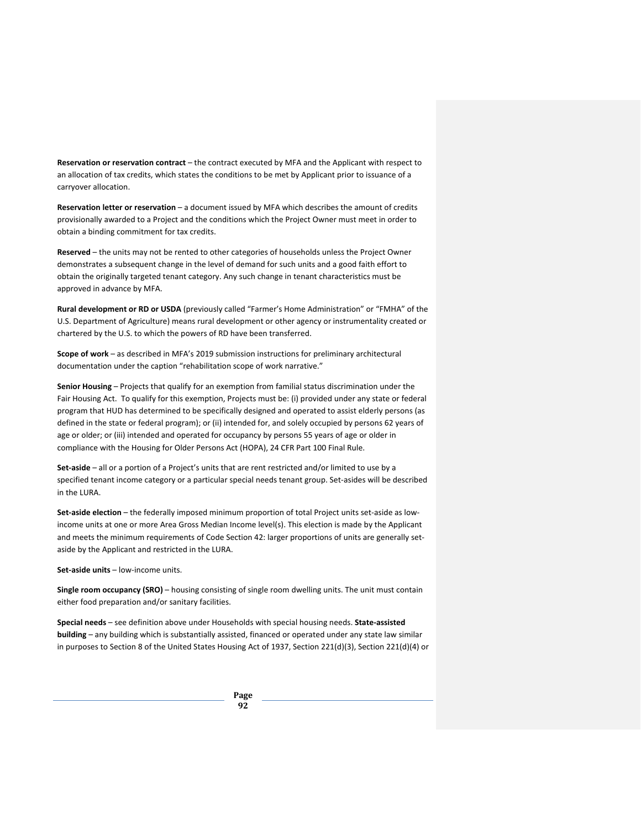**Reservation or reservation contract** – the contract executed by MFA and the Applicant with respect to an allocation of tax credits, which states the conditions to be met by Applicant prior to issuance of a carryover allocation.

**Reservation letter or reservation** – a document issued by MFA which describes the amount of credits provisionally awarded to a Project and the conditions which the Project Owner must meet in order to obtain a binding commitment for tax credits.

**Reserved** – the units may not be rented to other categories of households unless the Project Owner demonstrates a subsequent change in the level of demand for such units and a good faith effort to obtain the originally targeted tenant category. Any such change in tenant characteristics must be approved in advance by MFA.

**Rural development or RD or USDA** (previously called "Farmer's Home Administration" or "FMHA" of the U.S. Department of Agriculture) means rural development or other agency or instrumentality created or chartered by the U.S. to which the powers of RD have been transferred.

**Scope of work** – as described in MFA's 2019 submission instructions for preliminary architectural documentation under the caption "rehabilitation scope of work narrative."

**Senior Housing** – Projects that qualify for an exemption from familial status discrimination under the Fair Housing Act. To qualify for this exemption, Projects must be: (i) provided under any state or federal program that HUD has determined to be specifically designed and operated to assist elderly persons (as defined in the state or federal program); or (ii) intended for, and solely occupied by persons 62 years of age or older; or (iii) intended and operated for occupancy by persons 55 years of age or older in compliance with the Housing for Older Persons Act (HOPA), 24 CFR Part 100 Final Rule.

**Set-aside** – all or a portion of a Project's units that are rent restricted and/or limited to use by a specified tenant income category or a particular special needs tenant group. Set-asides will be described in the LURA.

**Set-aside election** – the federally imposed minimum proportion of total Project units set-aside as lowincome units at one or more Area Gross Median Income level(s). This election is made by the Applicant and meets the minimum requirements of Code Section 42: larger proportions of units are generally setaside by the Applicant and restricted in the LURA.

**Set-aside units** – low-income units.

**Single room occupancy (SRO)** – housing consisting of single room dwelling units. The unit must contain either food preparation and/or sanitary facilities.

**Special needs** – see definition above under Households with special housing needs. **State-assisted building** – any building which is substantially assisted, financed or operated under any state law similar in purposes to Section 8 of the United States Housing Act of 1937, Section 221(d)(3), Section 221(d)(4) or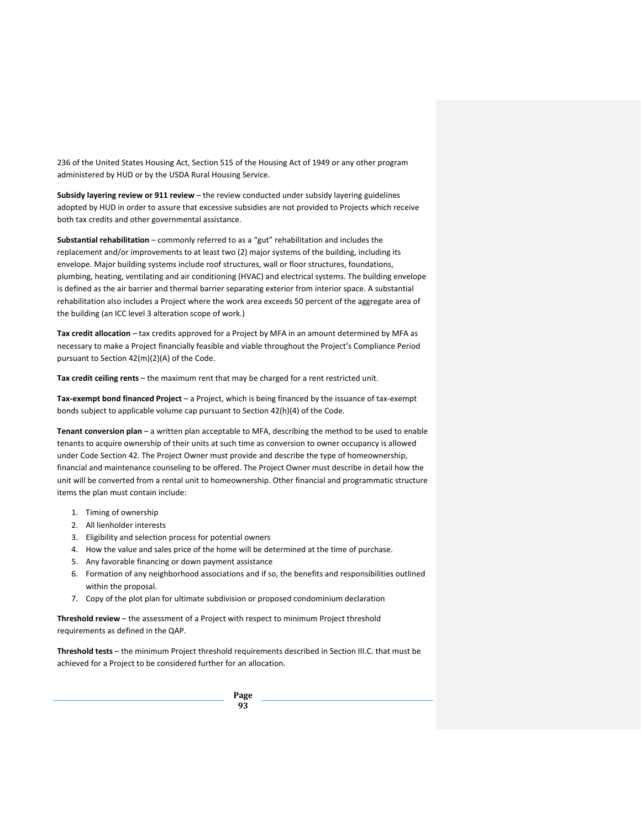236 of the United States Housing Act, Section 515 of the Housing Act of 1949 or any other program administered by HUD or by the USDA Rural Housing Service.

**Subsidy layering review or 911 review** – the review conducted under subsidy layering guidelines adopted by HUD in order to assure that excessive subsidies are not provided to Projects which receive both tax credits and other governmental assistance.

**Substantial rehabilitation** – commonly referred to as a "gut" rehabilitation and includes the replacement and/or improvements to at least two (2) major systems of the building, including its envelope. Major building systems include roof structures, wall or floor structures, foundations, plumbing, heating, ventilating and air conditioning (HVAC) and electrical systems. The building envelope is defined as the air barrier and thermal barrier separating exterior from interior space. A substantial rehabilitation also includes a Project where the work area exceeds 50 percent of the aggregate area of the building (an ICC level 3 alteration scope of work.)

**Tax credit allocation** – tax credits approved for a Project by MFA in an amount determined by MFA as necessary to make a Project financially feasible and viable throughout the Project's Compliance Period pursuant to Section 42(m)(2)(A) of the Code.

**Tax credit ceiling rents** – the maximum rent that may be charged for a rent restricted unit.

**Tax-exempt bond financed Project** – a Project, which is being financed by the issuance of tax-exempt bonds subject to applicable volume cap pursuant to Section 42(h)(4) of the Code.

**Tenant conversion plan** – a written plan acceptable to MFA, describing the method to be used to enable tenants to acquire ownership of their units at such time as conversion to owner occupancy is allowed under Code Section 42. The Project Owner must provide and describe the type of homeownership, financial and maintenance counseling to be offered. The Project Owner must describe in detail how the unit will be converted from a rental unit to homeownership. Other financial and programmatic structure items the plan must contain include:

- 1. Timing of ownership
- 2. All lienholder interests
- 3. Eligibility and selection process for potential owners
- 4. How the value and sales price of the home will be determined at the time of purchase.
- 5. Any favorable financing or down payment assistance
- 6. Formation of any neighborhood associations and if so, the benefits and responsibilities outlined within the proposal.
- 7. Copy of the plot plan for ultimate subdivision or proposed condominium declaration

**Threshold review** – the assessment of a Project with respect to minimum Project threshold requirements as defined in the QAP.

**Threshold tests** – the minimum Project threshold requirements described in Section III.C. that must be achieved for a Project to be considered further for an allocation.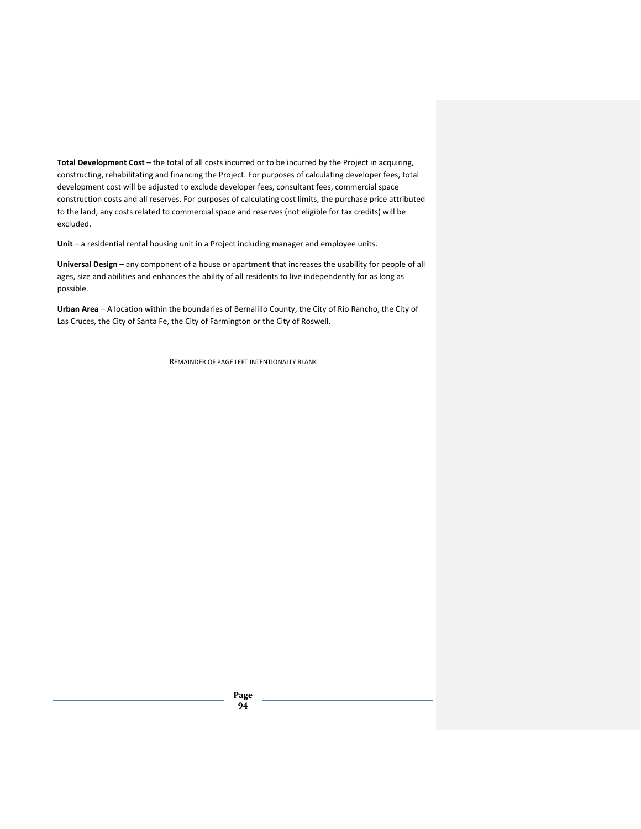**Total Development Cost** – the total of all costs incurred or to be incurred by the Project in acquiring, constructing, rehabilitating and financing the Project. For purposes of calculating developer fees, total development cost will be adjusted to exclude developer fees, consultant fees, commercial space construction costs and all reserves. For purposes of calculating cost limits, the purchase price attributed to the land, any costs related to commercial space and reserves (not eligible for tax credits) will be excluded.

**Unit** – a residential rental housing unit in a Project including manager and employee units.

**Universal Design** – any component of a house or apartment that increases the usability for people of all ages, size and abilities and enhances the ability of all residents to live independently for as long as possible.

**Urban Area** – A location within the boundaries of Bernalillo County, the City of Rio Rancho, the City of Las Cruces, the City of Santa Fe, the City of Farmington or the City of Roswell.

REMAINDER OF PAGE LEFT INTENTIONALLY BLANK